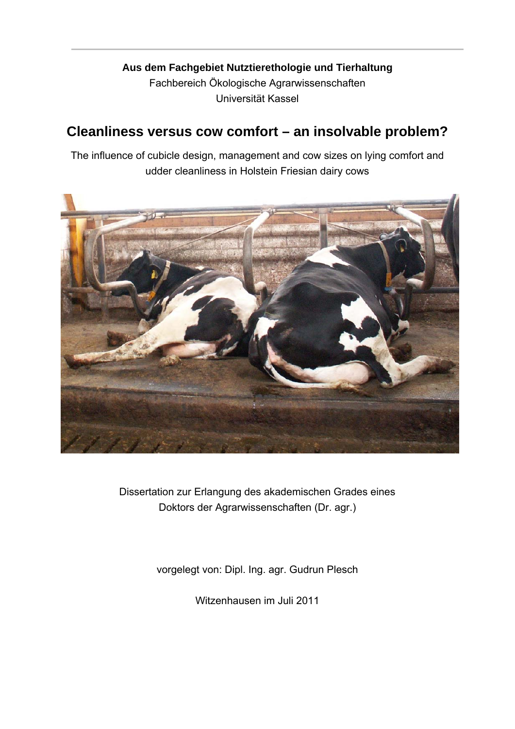# **Aus dem Fachgebiet Nutztierethologie und Tierhaltung**  Fachbereich Ökologische Agrarwissenschaften Universität Kassel

# **Cleanliness versus cow comfort – an insolvable problem?**

The influence of cubicle design, management and cow sizes on lying comfort and udder cleanliness in Holstein Friesian dairy cows



Dissertation zur Erlangung des akademischen Grades eines Doktors der Agrarwissenschaften (Dr. agr.)

vorgelegt von: Dipl. Ing. agr. Gudrun Plesch

Witzenhausen im Juli 2011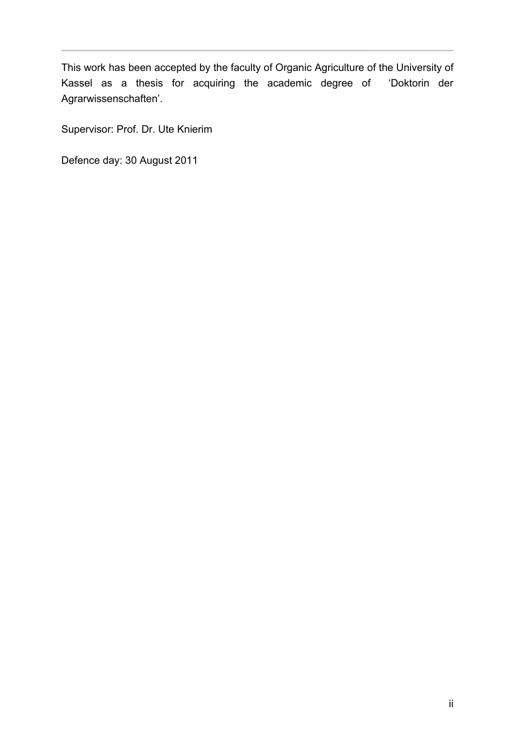This work has been accepted by the faculty of Organic Agriculture of the University of Kassel as a thesis for acquiring the academic degree of 'Doktorin der Agrarwissenschaften'.

Supervisor: Prof. Dr. Ute Knierim

Defence day: 30 August 2011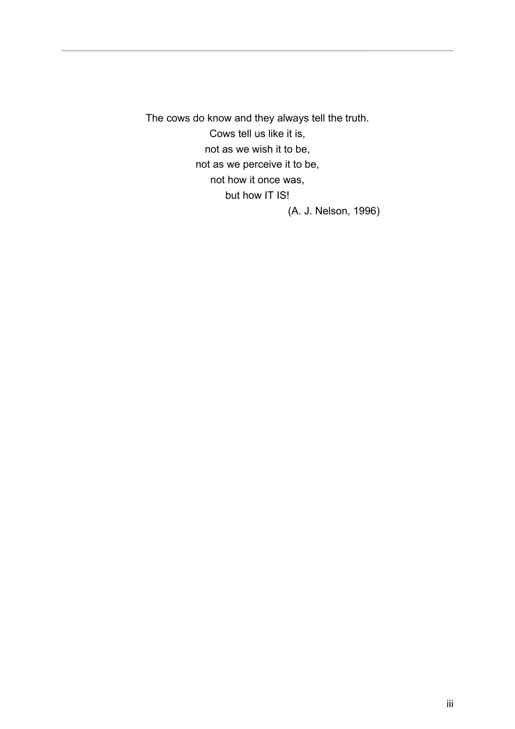The cows do know and they always tell the truth. Cows tell us like it is, not as we wish it to be, not as we perceive it to be, not how it once was, but how IT IS! (A. J. Nelson, 1996)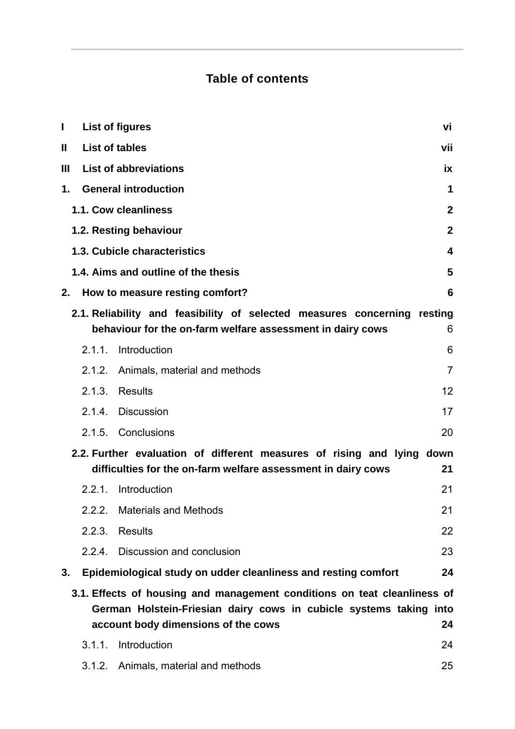# **Table of contents**

| I            | <b>List of figures</b><br>vi                                                                                                                                                                |                                                                                                                                         |                  |  |  |  |  |  |  |
|--------------|---------------------------------------------------------------------------------------------------------------------------------------------------------------------------------------------|-----------------------------------------------------------------------------------------------------------------------------------------|------------------|--|--|--|--|--|--|
| $\mathbf{I}$ |                                                                                                                                                                                             | <b>List of tables</b><br>vii                                                                                                            |                  |  |  |  |  |  |  |
| Ш            |                                                                                                                                                                                             | <b>List of abbreviations</b><br>iх                                                                                                      |                  |  |  |  |  |  |  |
| 1.           |                                                                                                                                                                                             | <b>General introduction</b>                                                                                                             | 1                |  |  |  |  |  |  |
|              |                                                                                                                                                                                             | 1.1. Cow cleanliness                                                                                                                    | $\boldsymbol{2}$ |  |  |  |  |  |  |
|              |                                                                                                                                                                                             | 1.2. Resting behaviour                                                                                                                  | $\mathbf{2}$     |  |  |  |  |  |  |
|              |                                                                                                                                                                                             | 1.3. Cubicle characteristics                                                                                                            | 4                |  |  |  |  |  |  |
|              |                                                                                                                                                                                             | 1.4. Aims and outline of the thesis                                                                                                     | 5                |  |  |  |  |  |  |
| 2.           |                                                                                                                                                                                             | How to measure resting comfort?                                                                                                         | 6                |  |  |  |  |  |  |
|              |                                                                                                                                                                                             | 2.1. Reliability and feasibility of selected measures concerning<br>behaviour for the on-farm welfare assessment in dairy cows          | resting<br>6     |  |  |  |  |  |  |
|              | 2.1.1.                                                                                                                                                                                      | Introduction                                                                                                                            | 6                |  |  |  |  |  |  |
|              |                                                                                                                                                                                             | 2.1.2. Animals, material and methods                                                                                                    | $\overline{7}$   |  |  |  |  |  |  |
|              | 2.1.3.                                                                                                                                                                                      | <b>Results</b>                                                                                                                          | 12               |  |  |  |  |  |  |
|              | 2.1.4.                                                                                                                                                                                      | <b>Discussion</b>                                                                                                                       | 17               |  |  |  |  |  |  |
|              | 2.1.5.                                                                                                                                                                                      | Conclusions                                                                                                                             | 20               |  |  |  |  |  |  |
|              |                                                                                                                                                                                             | 2.2. Further evaluation of different measures of rising and lying down<br>difficulties for the on-farm welfare assessment in dairy cows | 21               |  |  |  |  |  |  |
|              |                                                                                                                                                                                             | 2.2.1. Introduction                                                                                                                     | 21               |  |  |  |  |  |  |
|              |                                                                                                                                                                                             | 2.2.2. Materials and Methods                                                                                                            | 21               |  |  |  |  |  |  |
|              | 2.2.3.                                                                                                                                                                                      | <b>Results</b>                                                                                                                          | 22               |  |  |  |  |  |  |
|              | 2.2.4.                                                                                                                                                                                      | Discussion and conclusion                                                                                                               | 23               |  |  |  |  |  |  |
| 3.           |                                                                                                                                                                                             | Epidemiological study on udder cleanliness and resting comfort                                                                          | 24               |  |  |  |  |  |  |
|              | 3.1. Effects of housing and management conditions on teat cleanliness of<br>German Holstein-Friesian dairy cows in cubicle systems taking into<br>account body dimensions of the cows<br>24 |                                                                                                                                         |                  |  |  |  |  |  |  |
|              | 3.1.1.                                                                                                                                                                                      | Introduction                                                                                                                            | 24               |  |  |  |  |  |  |
|              |                                                                                                                                                                                             | 3.1.2. Animals, material and methods                                                                                                    | 25               |  |  |  |  |  |  |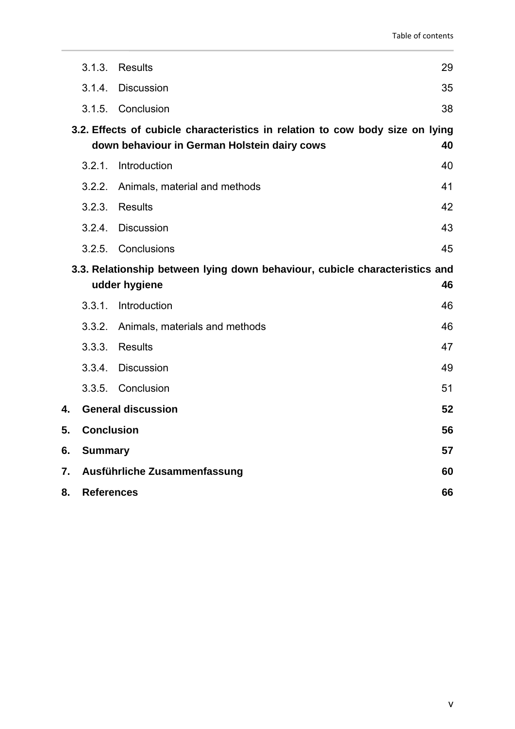|    | 3.1.3.                             | Results                                                                                                                       | 29 |  |  |  |  |
|----|------------------------------------|-------------------------------------------------------------------------------------------------------------------------------|----|--|--|--|--|
|    | 3.1.4.                             | <b>Discussion</b>                                                                                                             | 35 |  |  |  |  |
|    |                                    | 3.1.5. Conclusion                                                                                                             | 38 |  |  |  |  |
|    |                                    | 3.2. Effects of cubicle characteristics in relation to cow body size on lying<br>down behaviour in German Holstein dairy cows | 40 |  |  |  |  |
|    | 3.2.1.                             | Introduction                                                                                                                  | 40 |  |  |  |  |
|    | 3.2.2.                             | Animals, material and methods                                                                                                 | 41 |  |  |  |  |
|    | 3.2.3.                             | Results                                                                                                                       | 42 |  |  |  |  |
|    | 3.2.4.                             | <b>Discussion</b>                                                                                                             | 43 |  |  |  |  |
|    |                                    | 3.2.5. Conclusions                                                                                                            | 45 |  |  |  |  |
|    |                                    | 3.3. Relationship between lying down behaviour, cubicle characteristics and                                                   |    |  |  |  |  |
|    |                                    | udder hygiene                                                                                                                 | 46 |  |  |  |  |
|    | 3.3.1.                             | Introduction                                                                                                                  | 46 |  |  |  |  |
|    | 3.3.2.                             | Animals, materials and methods                                                                                                | 46 |  |  |  |  |
|    | 3.3.3.                             | Results                                                                                                                       | 47 |  |  |  |  |
|    | 3.3.4.                             | <b>Discussion</b>                                                                                                             | 49 |  |  |  |  |
|    | 3.3.5.                             | Conclusion                                                                                                                    | 51 |  |  |  |  |
| 4. |                                    | <b>General discussion</b>                                                                                                     | 52 |  |  |  |  |
| 5. | <b>Conclusion</b>                  |                                                                                                                               | 56 |  |  |  |  |
| 6. | <b>Summary</b>                     |                                                                                                                               | 57 |  |  |  |  |
| 7. | Ausführliche Zusammenfassung<br>60 |                                                                                                                               |    |  |  |  |  |
| 8. | <b>References</b><br>66            |                                                                                                                               |    |  |  |  |  |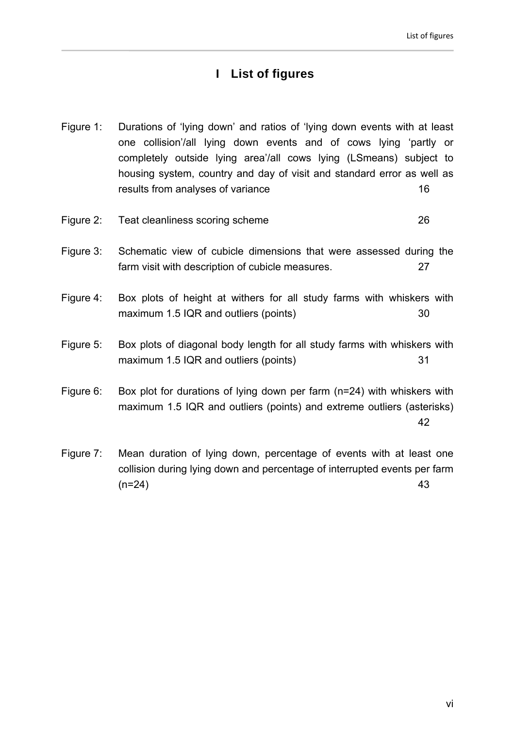# **I List of figures**

- Figure 1: Durations of 'lying down' and ratios of 'lying down events with at least one collision'/all lying down events and of cows lying 'partly or completely outside lying area'/all cows lying (LSmeans) subject to housing system, country and day of visit and standard error as well as results from analyses of variance 16
- Figure 2: Teat cleanliness scoring scheme 26 26
- Figure 3: Schematic view of cubicle dimensions that were assessed during the farm visit with description of cubicle measures. 27
- Figure 4: Box plots of height at withers for all study farms with whiskers with maximum 1.5 IQR and outliers (points) 30
- Figure 5: Box plots of diagonal body length for all study farms with whiskers with maximum 1.5 IQR and outliers (points) 31
- Figure 6: Box plot for durations of lying down per farm (n=24) with whiskers with maximum 1.5 IQR and outliers (points) and extreme outliers (asterisks) 42
- Figure 7: Mean duration of lying down, percentage of events with at least one collision during lying down and percentage of interrupted events per farm  $(n=24)$  43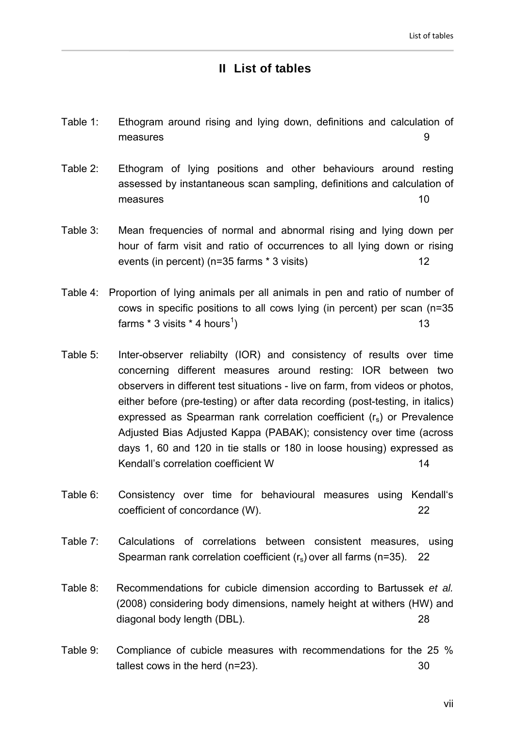# **II List of tables**

- Table 1: Ethogram around rising and lying down, definitions and calculation of measures 9
- Table 2: Ethogram of lying positions and other behaviours around resting assessed by instantaneous scan sampling, definitions and calculation of measures 10
- Table 3: Mean frequencies of normal and abnormal rising and lying down per hour of farm visit and ratio of occurrences to all lying down or rising events (in percent) (n=35 farms \* 3 visits) 12
- Table 4: Proportion of lying animals per all animals in pen and ratio of number of cows in specific positions to all cows lying (in percent) per scan (n=35 farms  $*$  3 visits  $*$  4 hours<sup>1</sup>) ) and the contract of  $\sim$  13
- Table 5: Inter-observer reliabilty (IOR) and consistency of results over time concerning different measures around resting: IOR between two observers in different test situations - live on farm, from videos or photos, either before (pre-testing) or after data recording (post-testing, in italics) expressed as Spearman rank correlation coefficient  $(r<sub>s</sub>)$  or Prevalence Adjusted Bias Adjusted Kappa (PABAK); consistency over time (across days 1, 60 and 120 in tie stalls or 180 in loose housing) expressed as Kendall's correlation coefficient W 14
- Table 6: Consistency over time for behavioural measures using Kendall's coefficient of concordance (W). 22
- Table 7: Calculations of correlations between consistent measures, using Spearman rank correlation coefficient  $(r_s)$  over all farms (n=35). 22
- Table 8: Recommendations for cubicle dimension according to Bartussek *et al.* (2008) considering body dimensions, namely height at withers (HW) and diagonal body length (DBL). 28
- Table 9: Compliance of cubicle measures with recommendations for the 25 % tallest cows in the herd (n=23). 30

vii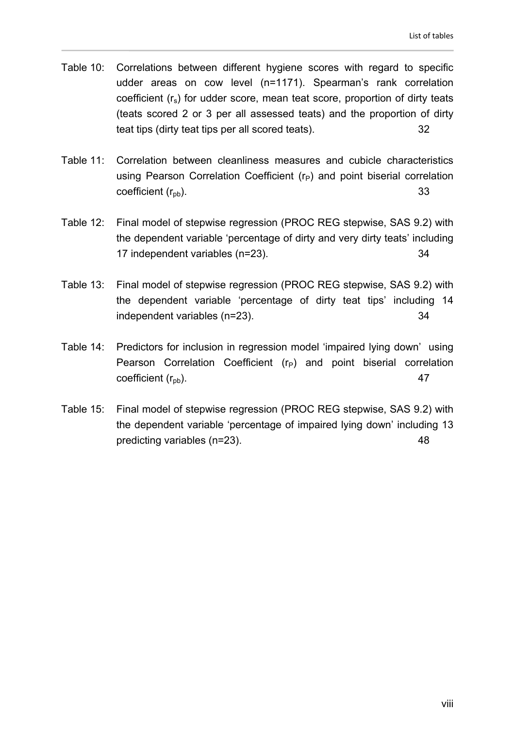- Table 10: Correlations between different hygiene scores with regard to specific udder areas on cow level (n=1171). Spearman's rank correlation coefficient  $(r<sub>s</sub>)$  for udder score, mean teat score, proportion of dirty teats (teats scored 2 or 3 per all assessed teats) and the proportion of dirty teat tips (dirty teat tips per all scored teats). 32
- Table 11: Correlation between cleanliness measures and cubicle characteristics using Pearson Correlation Coefficient  $(r_P)$  and point biserial correlation  $coefficient (r_{\text{ob}})$ . 33
- Table 12: Final model of stepwise regression (PROC REG stepwise, SAS 9.2) with the dependent variable 'percentage of dirty and very dirty teats' including 17 independent variables (n=23). 34
- Table 13: Final model of stepwise regression (PROC REG stepwise, SAS 9.2) with the dependent variable 'percentage of dirty teat tips' including 14 independent variables (n=23). 34
- Table 14: Predictors for inclusion in regression model 'impaired lying down' using Pearson Correlation Coefficient  $(r_P)$  and point biserial correlation  $coefficient (r_{\text{ph}})$ . 47
- Table 15: Final model of stepwise regression (PROC REG stepwise, SAS 9.2) with the dependent variable 'percentage of impaired lying down' including 13 predicting variables (n=23). 48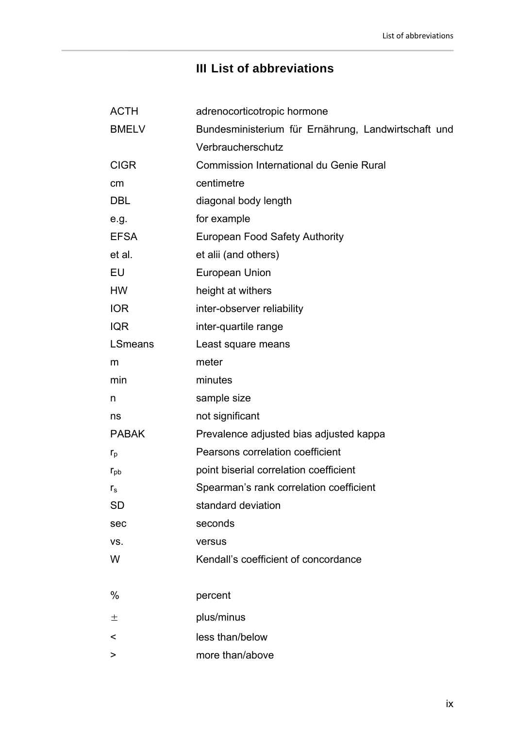# **III List of abbreviations**

| <b>ACTH</b>    | adrenocorticotropic hormone                         |
|----------------|-----------------------------------------------------|
| <b>BMELV</b>   | Bundesministerium für Ernährung, Landwirtschaft und |
|                | Verbraucherschutz                                   |
| <b>CIGR</b>    | <b>Commission International du Genie Rural</b>      |
| cm             | centimetre                                          |
| <b>DBL</b>     | diagonal body length                                |
| e.g.           | for example                                         |
| <b>EFSA</b>    | <b>European Food Safety Authority</b>               |
| et al.         | et alii (and others)                                |
| EU             | <b>European Union</b>                               |
| <b>HW</b>      | height at withers                                   |
| <b>IOR</b>     | inter-observer reliability                          |
| <b>IQR</b>     | inter-quartile range                                |
| <b>LSmeans</b> | Least square means                                  |
| m              | meter                                               |
| min            | minutes                                             |
| n              | sample size                                         |
| ns             | not significant                                     |
| <b>PABAK</b>   | Prevalence adjusted bias adjusted kappa             |
| $r_{p}$        | Pearsons correlation coefficient                    |
| $r_{\rm pb}$   | point biserial correlation coefficient              |
| $r_{\rm s}$    | Spearman's rank correlation coefficient             |
| <b>SD</b>      | standard deviation                                  |
| sec            | seconds                                             |
| VS.            | versus                                              |
| W              | Kendall's coefficient of concordance                |
|                |                                                     |
| %              | percent                                             |
| 土              | plus/minus                                          |
| <              | less than/below                                     |
| >              | more than/above                                     |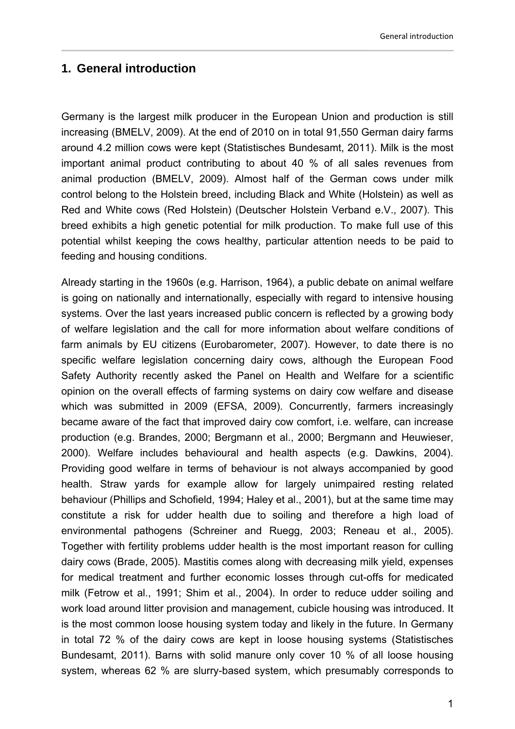# **1. General introduction**

Germany is the largest milk producer in the European Union and production is still increasing (BMELV, 2009). At the end of 2010 on in total 91,550 German dairy farms around 4.2 million cows were kept (Statistisches Bundesamt, 2011). Milk is the most important animal product contributing to about 40 % of all sales revenues from animal production (BMELV, 2009). Almost half of the German cows under milk control belong to the Holstein breed, including Black and White (Holstein) as well as Red and White cows (Red Holstein) (Deutscher Holstein Verband e.V., 2007). This breed exhibits a high genetic potential for milk production. To make full use of this potential whilst keeping the cows healthy, particular attention needs to be paid to feeding and housing conditions.

Already starting in the 1960s (e.g. Harrison, 1964), a public debate on animal welfare is going on nationally and internationally, especially with regard to intensive housing systems. Over the last years increased public concern is reflected by a growing body of welfare legislation and the call for more information about welfare conditions of farm animals by EU citizens (Eurobarometer, 2007). However, to date there is no specific welfare legislation concerning dairy cows, although the European Food Safety Authority recently asked the Panel on Health and Welfare for a scientific opinion on the overall effects of farming systems on dairy cow welfare and disease which was submitted in 2009 (EFSA, 2009). Concurrently, farmers increasingly became aware of the fact that improved dairy cow comfort, i.e. welfare, can increase production (e.g. Brandes, 2000; Bergmann et al., 2000; Bergmann and Heuwieser, 2000). Welfare includes behavioural and health aspects (e.g. Dawkins, 2004). Providing good welfare in terms of behaviour is not always accompanied by good health. Straw yards for example allow for largely unimpaired resting related behaviour (Phillips and Schofield, 1994; Haley et al., 2001), but at the same time may constitute a risk for udder health due to soiling and therefore a high load of environmental pathogens (Schreiner and Ruegg, 2003; Reneau et al., 2005). Together with fertility problems udder health is the most important reason for culling dairy cows (Brade, 2005). Mastitis comes along with decreasing milk yield, expenses for medical treatment and further economic losses through cut-offs for medicated milk (Fetrow et al., 1991; Shim et al., 2004). In order to reduce udder soiling and work load around litter provision and management, cubicle housing was introduced. It is the most common loose housing system today and likely in the future. In Germany in total 72 % of the dairy cows are kept in loose housing systems (Statistisches Bundesamt, 2011). Barns with solid manure only cover 10 % of all loose housing system, whereas 62 % are slurry-based system, which presumably corresponds to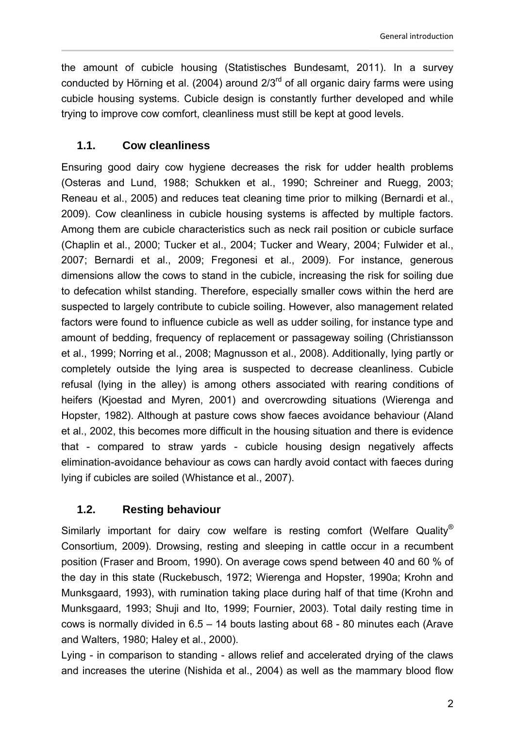the amount of cubicle housing (Statistisches Bundesamt, 2011). In a survey conducted by Hörning et al. (2004) around  $2/3<sup>rd</sup>$  of all organic dairy farms were using cubicle housing systems. Cubicle design is constantly further developed and while trying to improve cow comfort, cleanliness must still be kept at good levels.

## **1.1. Cow cleanliness**

Ensuring good dairy cow hygiene decreases the risk for udder health problems (Osteras and Lund, 1988; Schukken et al., 1990; Schreiner and Ruegg, 2003; Reneau et al., 2005) and reduces teat cleaning time prior to milking (Bernardi et al., 2009). Cow cleanliness in cubicle housing systems is affected by multiple factors. Among them are cubicle characteristics such as neck rail position or cubicle surface (Chaplin et al., 2000; Tucker et al., 2004; Tucker and Weary, 2004; Fulwider et al., 2007; Bernardi et al., 2009; Fregonesi et al., 2009). For instance, generous dimensions allow the cows to stand in the cubicle, increasing the risk for soiling due to defecation whilst standing. Therefore, especially smaller cows within the herd are suspected to largely contribute to cubicle soiling. However, also management related factors were found to influence cubicle as well as udder soiling, for instance type and amount of bedding, frequency of replacement or passageway soiling (Christiansson et al., 1999; Norring et al., 2008; Magnusson et al., 2008). Additionally, lying partly or completely outside the lying area is suspected to decrease cleanliness. Cubicle refusal (lying in the alley) is among others associated with rearing conditions of heifers (Kjoestad and Myren, 2001) and overcrowding situations (Wierenga and Hopster, 1982). Although at pasture cows show faeces avoidance behaviour (Aland et al., 2002, this becomes more difficult in the housing situation and there is evidence that - compared to straw yards - cubicle housing design negatively affects elimination-avoidance behaviour as cows can hardly avoid contact with faeces during lying if cubicles are soiled (Whistance et al., 2007).

## **1.2. Resting behaviour**

Similarly important for dairy cow welfare is resting comfort (Welfare Quality<sup>®</sup> Consortium, 2009). Drowsing, resting and sleeping in cattle occur in a recumbent position (Fraser and Broom, 1990). On average cows spend between 40 and 60 % of the day in this state (Ruckebusch, 1972; Wierenga and Hopster, 1990a; Krohn and Munksgaard, 1993), with rumination taking place during half of that time (Krohn and Munksgaard, 1993; Shuji and Ito, 1999; Fournier, 2003). Total daily resting time in cows is normally divided in 6.5 – 14 bouts lasting about 68 - 80 minutes each (Arave and Walters, 1980; Haley et al., 2000).

Lying - in comparison to standing - allows relief and accelerated drying of the claws and increases the uterine (Nishida et al., 2004) as well as the mammary blood flow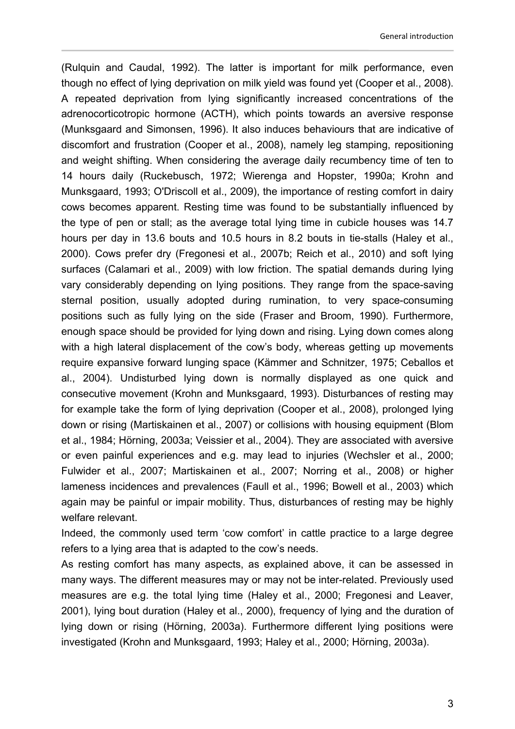General introduction

(Rulquin and Caudal, 1992). The latter is important for milk performance, even though no effect of lying deprivation on milk yield was found yet (Cooper et al., 2008). A repeated deprivation from lying significantly increased concentrations of the adrenocorticotropic hormone (ACTH), which points towards an aversive response (Munksgaard and Simonsen, 1996). It also induces behaviours that are indicative of discomfort and frustration (Cooper et al., 2008), namely leg stamping, repositioning and weight shifting. When considering the average daily recumbency time of ten to 14 hours daily (Ruckebusch, 1972; Wierenga and Hopster, 1990a; Krohn and Munksgaard, 1993; O'Driscoll et al., 2009), the importance of resting comfort in dairy cows becomes apparent. Resting time was found to be substantially influenced by the type of pen or stall; as the average total lying time in cubicle houses was 14.7 hours per day in 13.6 bouts and 10.5 hours in 8.2 bouts in tie-stalls (Haley et al., 2000). Cows prefer dry (Fregonesi et al., 2007b; Reich et al., 2010) and soft lying surfaces (Calamari et al., 2009) with low friction. The spatial demands during lying vary considerably depending on lying positions. They range from the space-saving sternal position, usually adopted during rumination, to very space-consuming positions such as fully lying on the side (Fraser and Broom, 1990). Furthermore, enough space should be provided for lying down and rising. Lying down comes along with a high lateral displacement of the cow's body, whereas getting up movements require expansive forward lunging space (Kämmer and Schnitzer, 1975; Ceballos et al., 2004). Undisturbed lying down is normally displayed as one quick and consecutive movement (Krohn and Munksgaard, 1993). Disturbances of resting may for example take the form of lying deprivation (Cooper et al., 2008), prolonged lying down or rising (Martiskainen et al., 2007) or collisions with housing equipment (Blom et al., 1984; Hörning, 2003a; Veissier et al., 2004). They are associated with aversive or even painful experiences and e.g. may lead to injuries (Wechsler et al., 2000; Fulwider et al., 2007; Martiskainen et al., 2007; Norring et al., 2008) or higher lameness incidences and prevalences (Faull et al., 1996; Bowell et al., 2003) which again may be painful or impair mobility. Thus, disturbances of resting may be highly welfare relevant.

Indeed, the commonly used term 'cow comfort' in cattle practice to a large degree refers to a lying area that is adapted to the cow's needs.

As resting comfort has many aspects, as explained above, it can be assessed in many ways. The different measures may or may not be inter-related. Previously used measures are e.g. the total lying time (Haley et al., 2000; Fregonesi and Leaver, 2001), lying bout duration (Haley et al., 2000), frequency of lying and the duration of lying down or rising (Hörning, 2003a). Furthermore different lying positions were investigated (Krohn and Munksgaard, 1993; Haley et al., 2000; Hörning, 2003a).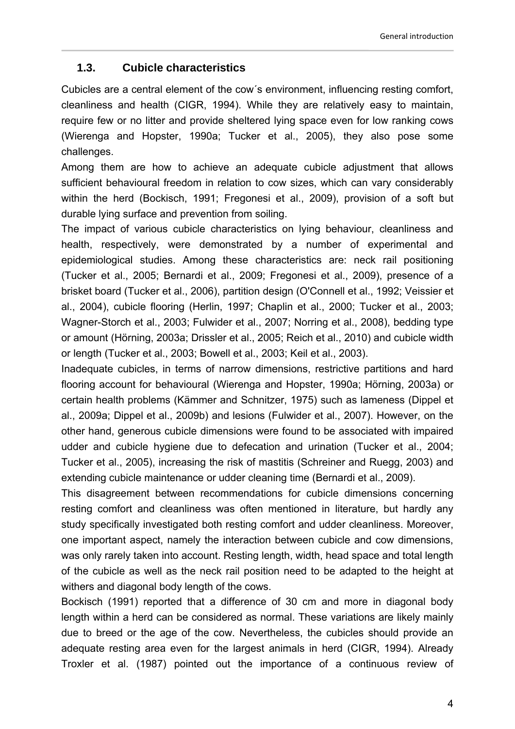# **1.3. Cubicle characteristics**

Cubicles are a central element of the cow´s environment, influencing resting comfort, cleanliness and health (CIGR, 1994). While they are relatively easy to maintain, require few or no litter and provide sheltered lying space even for low ranking cows (Wierenga and Hopster, 1990a; Tucker et al., 2005), they also pose some challenges.

Among them are how to achieve an adequate cubicle adjustment that allows sufficient behavioural freedom in relation to cow sizes, which can vary considerably within the herd (Bockisch, 1991; Fregonesi et al., 2009), provision of a soft but durable lying surface and prevention from soiling.

The impact of various cubicle characteristics on lying behaviour, cleanliness and health, respectively, were demonstrated by a number of experimental and epidemiological studies. Among these characteristics are: neck rail positioning (Tucker et al., 2005; Bernardi et al., 2009; Fregonesi et al., 2009), presence of a brisket board (Tucker et al., 2006), partition design (O'Connell et al., 1992; Veissier et al., 2004), cubicle flooring (Herlin, 1997; Chaplin et al., 2000; Tucker et al., 2003; Wagner-Storch et al., 2003; Fulwider et al., 2007; Norring et al., 2008), bedding type or amount (Hörning, 2003a; Drissler et al., 2005; Reich et al., 2010) and cubicle width or length (Tucker et al., 2003; Bowell et al., 2003; Keil et al., 2003).

Inadequate cubicles, in terms of narrow dimensions, restrictive partitions and hard flooring account for behavioural (Wierenga and Hopster, 1990a; Hörning, 2003a) or certain health problems (Kämmer and Schnitzer, 1975) such as lameness (Dippel et al., 2009a; Dippel et al., 2009b) and lesions (Fulwider et al., 2007). However, on the other hand, generous cubicle dimensions were found to be associated with impaired udder and cubicle hygiene due to defecation and urination (Tucker et al., 2004; Tucker et al., 2005), increasing the risk of mastitis (Schreiner and Ruegg, 2003) and extending cubicle maintenance or udder cleaning time (Bernardi et al., 2009).

This disagreement between recommendations for cubicle dimensions concerning resting comfort and cleanliness was often mentioned in literature, but hardly any study specifically investigated both resting comfort and udder cleanliness. Moreover, one important aspect, namely the interaction between cubicle and cow dimensions, was only rarely taken into account. Resting length, width, head space and total length of the cubicle as well as the neck rail position need to be adapted to the height at withers and diagonal body length of the cows.

Bockisch (1991) reported that a difference of 30 cm and more in diagonal body length within a herd can be considered as normal. These variations are likely mainly due to breed or the age of the cow. Nevertheless, the cubicles should provide an adequate resting area even for the largest animals in herd (CIGR, 1994). Already Troxler et al. (1987) pointed out the importance of a continuous review of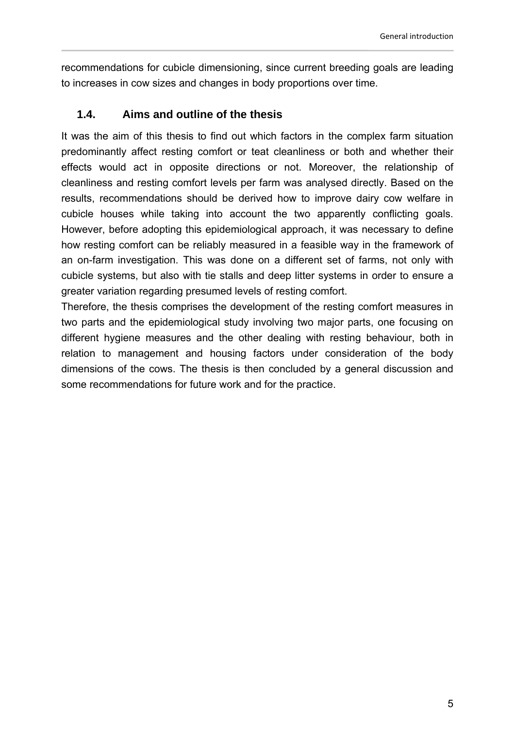recommendations for cubicle dimensioning, since current breeding goals are leading to increases in cow sizes and changes in body proportions over time.

## **1.4. Aims and outline of the thesis**

It was the aim of this thesis to find out which factors in the complex farm situation predominantly affect resting comfort or teat cleanliness or both and whether their effects would act in opposite directions or not. Moreover, the relationship of cleanliness and resting comfort levels per farm was analysed directly. Based on the results, recommendations should be derived how to improve dairy cow welfare in cubicle houses while taking into account the two apparently conflicting goals. However, before adopting this epidemiological approach, it was necessary to define how resting comfort can be reliably measured in a feasible way in the framework of an on-farm investigation. This was done on a different set of farms, not only with cubicle systems, but also with tie stalls and deep litter systems in order to ensure a greater variation regarding presumed levels of resting comfort.

Therefore, the thesis comprises the development of the resting comfort measures in two parts and the epidemiological study involving two major parts, one focusing on different hygiene measures and the other dealing with resting behaviour, both in relation to management and housing factors under consideration of the body dimensions of the cows. The thesis is then concluded by a general discussion and some recommendations for future work and for the practice.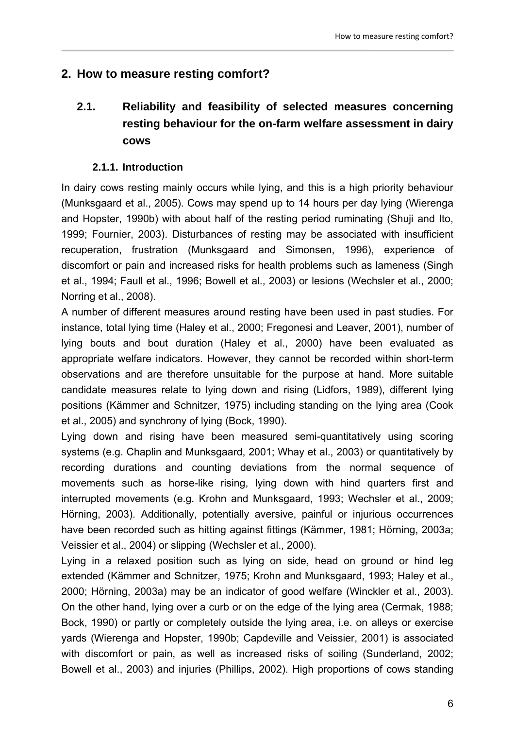# **2. How to measure resting comfort?**

# **2.1. Reliability and feasibility of selected measures concerning resting behaviour for the on-farm welfare assessment in dairy cows**

## **2.1.1. Introduction**

In dairy cows resting mainly occurs while lying, and this is a high priority behaviour (Munksgaard et al., 2005). Cows may spend up to 14 hours per day lying (Wierenga and Hopster, 1990b) with about half of the resting period ruminating (Shuji and Ito, 1999; Fournier, 2003). Disturbances of resting may be associated with insufficient recuperation, frustration (Munksgaard and Simonsen, 1996), experience of discomfort or pain and increased risks for health problems such as lameness (Singh et al., 1994; Faull et al., 1996; Bowell et al., 2003) or lesions (Wechsler et al., 2000; Norring et al., 2008).

A number of different measures around resting have been used in past studies. For instance, total lying time (Haley et al., 2000; Fregonesi and Leaver, 2001), number of lying bouts and bout duration (Haley et al., 2000) have been evaluated as appropriate welfare indicators. However, they cannot be recorded within short-term observations and are therefore unsuitable for the purpose at hand. More suitable candidate measures relate to lying down and rising (Lidfors, 1989), different lying positions (Kämmer and Schnitzer, 1975) including standing on the lying area (Cook et al., 2005) and synchrony of lying (Bock, 1990).

Lying down and rising have been measured semi-quantitatively using scoring systems (e.g. Chaplin and Munksgaard, 2001; Whay et al., 2003) or quantitatively by recording durations and counting deviations from the normal sequence of movements such as horse-like rising, lying down with hind quarters first and interrupted movements (e.g. Krohn and Munksgaard, 1993; Wechsler et al., 2009; Hörning, 2003). Additionally, potentially aversive, painful or injurious occurrences have been recorded such as hitting against fittings (Kämmer, 1981; Hörning, 2003a; Veissier et al., 2004) or slipping (Wechsler et al., 2000).

Lying in a relaxed position such as lying on side, head on ground or hind leg extended (Kämmer and Schnitzer, 1975; Krohn and Munksgaard, 1993; Haley et al., 2000; Hörning, 2003a) may be an indicator of good welfare (Winckler et al., 2003). On the other hand, lying over a curb or on the edge of the lying area (Cermak, 1988; Bock, 1990) or partly or completely outside the lying area, i.e. on alleys or exercise yards (Wierenga and Hopster, 1990b; Capdeville and Veissier, 2001) is associated with discomfort or pain, as well as increased risks of soiling (Sunderland, 2002; Bowell et al., 2003) and injuries (Phillips, 2002). High proportions of cows standing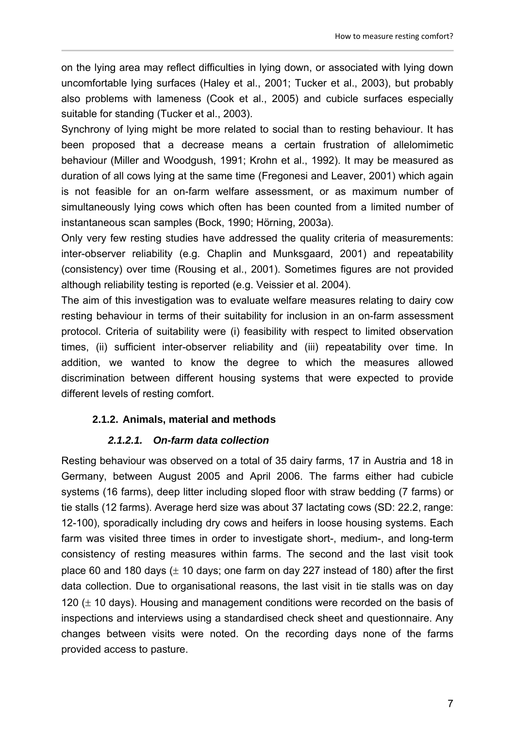on the lying area may reflect difficulties in lying down, or associated with lying down uncomfortable lying surfaces (Haley et al., 2001; Tucker et al., 2003), but probably also problems with lameness (Cook et al., 2005) and cubicle surfaces especially suitable for standing (Tucker et al., 2003).

Synchrony of lying might be more related to social than to resting behaviour. It has been proposed that a decrease means a certain frustration of allelomimetic behaviour (Miller and Woodgush, 1991; Krohn et al., 1992). It may be measured as duration of all cows lying at the same time (Fregonesi and Leaver, 2001) which again is not feasible for an on-farm welfare assessment, or as maximum number of simultaneously lying cows which often has been counted from a limited number of instantaneous scan samples (Bock, 1990; Hörning, 2003a).

Only very few resting studies have addressed the quality criteria of measurements: inter-observer reliability (e.g. Chaplin and Munksgaard, 2001) and repeatability (consistency) over time (Rousing et al., 2001). Sometimes figures are not provided although reliability testing is reported (e.g. Veissier et al. 2004).

The aim of this investigation was to evaluate welfare measures relating to dairy cow resting behaviour in terms of their suitability for inclusion in an on-farm assessment protocol. Criteria of suitability were (i) feasibility with respect to limited observation times, (ii) sufficient inter-observer reliability and (iii) repeatability over time. In addition, we wanted to know the degree to which the measures allowed discrimination between different housing systems that were expected to provide different levels of resting comfort.

## **2.1.2. Animals, material and methods**

## *2.1.2.1. On-farm data collection*

Resting behaviour was observed on a total of 35 dairy farms, 17 in Austria and 18 in Germany, between August 2005 and April 2006. The farms either had cubicle systems (16 farms), deep litter including sloped floor with straw bedding (7 farms) or tie stalls (12 farms). Average herd size was about 37 lactating cows (SD: 22.2, range: 12-100), sporadically including dry cows and heifers in loose housing systems. Each farm was visited three times in order to investigate short-, medium-, and long-term consistency of resting measures within farms. The second and the last visit took place 60 and 180 days  $(\pm 10 \text{ days})$ ; one farm on day 227 instead of 180) after the first data collection. Due to organisational reasons, the last visit in tie stalls was on day 120 ( $\pm$  10 days). Housing and management conditions were recorded on the basis of inspections and interviews using a standardised check sheet and questionnaire. Any changes between visits were noted. On the recording days none of the farms provided access to pasture.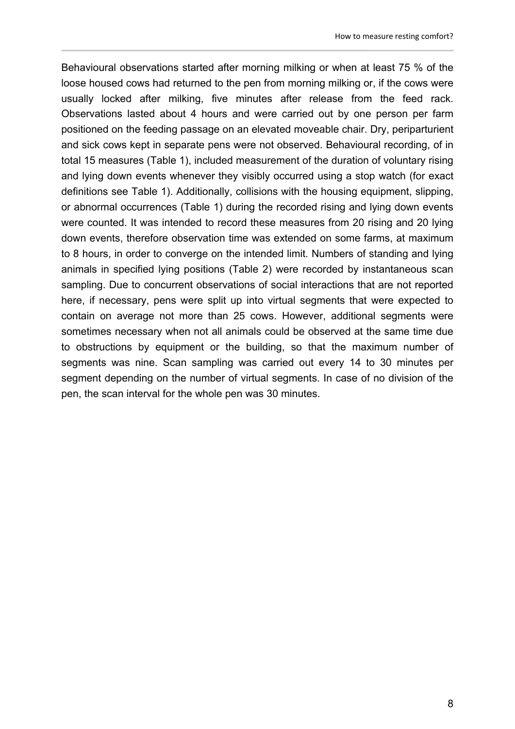Behavioural observations started after morning milking or when at least 75 % of the loose housed cows had returned to the pen from morning milking or, if the cows were usually locked after milking, five minutes after release from the feed rack. Observations lasted about 4 hours and were carried out by one person per farm positioned on the feeding passage on an elevated moveable chair. Dry, periparturient and sick cows kept in separate pens were not observed. Behavioural recording, of in total 15 measures (Table 1), included measurement of the duration of voluntary rising and lying down events whenever they visibly occurred using a stop watch (for exact definitions see Table 1). Additionally, collisions with the housing equipment, slipping, or abnormal occurrences (Table 1) during the recorded rising and lying down events were counted. It was intended to record these measures from 20 rising and 20 lying down events, therefore observation time was extended on some farms, at maximum to 8 hours, in order to converge on the intended limit. Numbers of standing and lying animals in specified lying positions (Table 2) were recorded by instantaneous scan sampling. Due to concurrent observations of social interactions that are not reported here, if necessary, pens were split up into virtual segments that were expected to contain on average not more than 25 cows. However, additional segments were sometimes necessary when not all animals could be observed at the same time due to obstructions by equipment or the building, so that the maximum number of segments was nine. Scan sampling was carried out every 14 to 30 minutes per segment depending on the number of virtual segments. In case of no division of the pen, the scan interval for the whole pen was 30 minutes.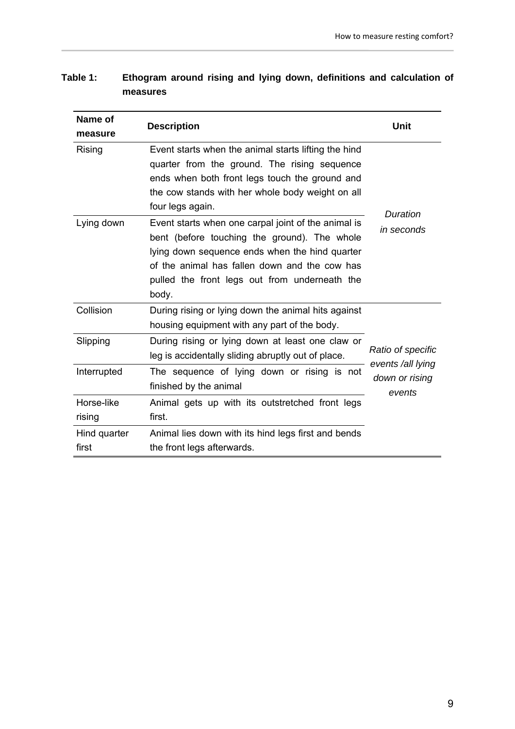| Name of<br>measure    | <b>Description</b>                                                                                                                                                                                                             | Unit                                          |
|-----------------------|--------------------------------------------------------------------------------------------------------------------------------------------------------------------------------------------------------------------------------|-----------------------------------------------|
| Rising                | Event starts when the animal starts lifting the hind<br>quarter from the ground. The rising sequence<br>ends when both front legs touch the ground and<br>the cow stands with her whole body weight on all<br>four legs again. | <b>Duration</b>                               |
| Lying down            | in seconds                                                                                                                                                                                                                     |                                               |
| Collision             | During rising or lying down the animal hits against<br>housing equipment with any part of the body.                                                                                                                            |                                               |
| Slipping              | During rising or lying down at least one claw or<br>leg is accidentally sliding abruptly out of place.                                                                                                                         | Ratio of specific                             |
| Interrupted           | The sequence of lying down or rising is not<br>finished by the animal                                                                                                                                                          | events /all lying<br>down or rising<br>events |
| Horse-like<br>rising  | Animal gets up with its outstretched front legs<br>first.                                                                                                                                                                      |                                               |
| Hind quarter<br>first | Animal lies down with its hind legs first and bends<br>the front legs afterwards.                                                                                                                                              |                                               |

| Table 1: |          |  |  |  | Ethogram around rising and lying down, definitions and calculation of |  |
|----------|----------|--|--|--|-----------------------------------------------------------------------|--|
|          | measures |  |  |  |                                                                       |  |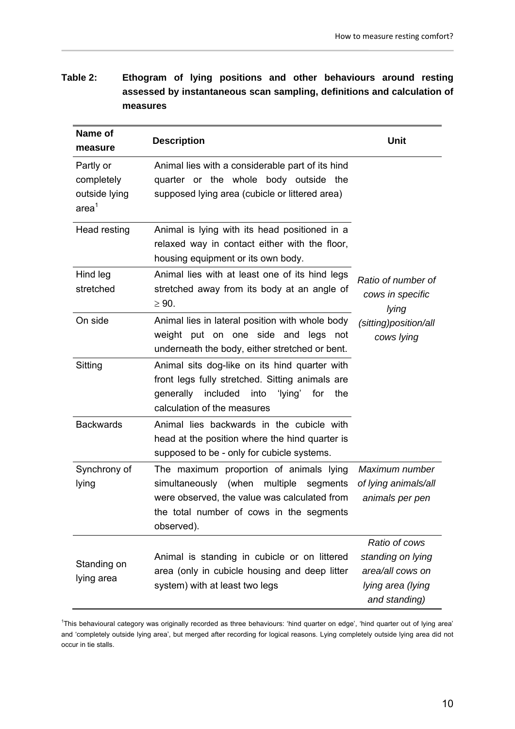| Table 2: |          |  |  | Ethogram of lying positions and other behaviours around resting         |  |
|----------|----------|--|--|-------------------------------------------------------------------------|--|
|          |          |  |  | assessed by instantaneous scan sampling, definitions and calculation of |  |
|          | measures |  |  |                                                                         |  |

| Name of<br>measure                                            | <b>Description</b>                                                                                                                                                                             | Unit                                                                                         |
|---------------------------------------------------------------|------------------------------------------------------------------------------------------------------------------------------------------------------------------------------------------------|----------------------------------------------------------------------------------------------|
| Partly or<br>completely<br>outside lying<br>area <sup>1</sup> | Animal lies with a considerable part of its hind<br>quarter or the whole body outside the<br>supposed lying area (cubicle or littered area)                                                    |                                                                                              |
| Head resting                                                  | Animal is lying with its head positioned in a<br>relaxed way in contact either with the floor,<br>housing equipment or its own body.                                                           |                                                                                              |
| Hind leg<br>stretched                                         | Animal lies with at least one of its hind legs<br>stretched away from its body at an angle of<br>$\geq 90$ .                                                                                   | Ratio of number of<br>cows in specific<br>lying                                              |
| On side                                                       | Animal lies in lateral position with whole body<br>weight put on one side and<br>legs<br>not<br>underneath the body, either stretched or bent.                                                 | (sitting)position/all<br>cows lying                                                          |
| Sitting                                                       | Animal sits dog-like on its hind quarter with<br>front legs fully stretched. Sitting animals are<br>generally<br>included<br>'lying' for<br>into<br>the<br>calculation of the measures         |                                                                                              |
| <b>Backwards</b>                                              | Animal lies backwards in the cubicle with<br>head at the position where the hind quarter is<br>supposed to be - only for cubicle systems.                                                      |                                                                                              |
| Synchrony of<br>lying                                         | The maximum proportion of animals lying<br>simultaneously (when<br>multiple segments<br>were observed, the value was calculated from<br>the total number of cows in the segments<br>observed). | Maximum number<br>of lying animals/all<br>animals per pen                                    |
| Standing on<br>lying area                                     | Animal is standing in cubicle or on littered<br>area (only in cubicle housing and deep litter<br>system) with at least two legs                                                                | Ratio of cows<br>standing on lying<br>area/all cows on<br>lying area (lying<br>and standing) |

<sup>1</sup> This behavioural category was originally recorded as three behaviours: 'hind quarter on edge', 'hind quarter out of lying area' and 'completely outside lying area', but merged after recording for logical reasons. Lying completely outside lying area did not occur in tie stalls.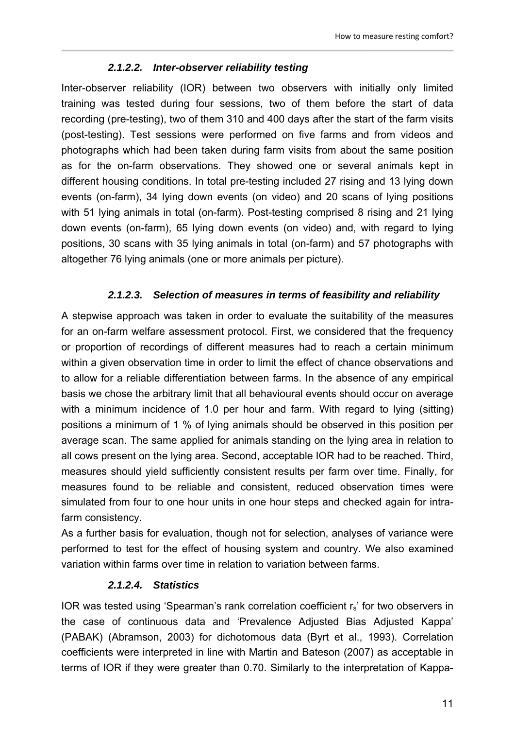## *2.1.2.2. Inter-observer reliability testing*

Inter-observer reliability (IOR) between two observers with initially only limited training was tested during four sessions, two of them before the start of data recording (pre-testing), two of them 310 and 400 days after the start of the farm visits (post-testing). Test sessions were performed on five farms and from videos and photographs which had been taken during farm visits from about the same position as for the on-farm observations. They showed one or several animals kept in different housing conditions. In total pre-testing included 27 rising and 13 lying down events (on-farm), 34 lying down events (on video) and 20 scans of lying positions with 51 lying animals in total (on-farm). Post-testing comprised 8 rising and 21 lying down events (on-farm), 65 lying down events (on video) and, with regard to lying positions, 30 scans with 35 lying animals in total (on-farm) and 57 photographs with altogether 76 lying animals (one or more animals per picture).

## *2.1.2.3. Selection of measures in terms of feasibility and reliability*

A stepwise approach was taken in order to evaluate the suitability of the measures for an on-farm welfare assessment protocol. First, we considered that the frequency or proportion of recordings of different measures had to reach a certain minimum within a given observation time in order to limit the effect of chance observations and to allow for a reliable differentiation between farms. In the absence of any empirical basis we chose the arbitrary limit that all behavioural events should occur on average with a minimum incidence of 1.0 per hour and farm. With regard to lying (sitting) positions a minimum of 1 % of lying animals should be observed in this position per average scan. The same applied for animals standing on the lying area in relation to all cows present on the lying area. Second, acceptable IOR had to be reached. Third, measures should yield sufficiently consistent results per farm over time. Finally, for measures found to be reliable and consistent, reduced observation times were simulated from four to one hour units in one hour steps and checked again for intrafarm consistency.

As a further basis for evaluation, though not for selection, analyses of variance were performed to test for the effect of housing system and country. We also examined variation within farms over time in relation to variation between farms.

## *2.1.2.4. Statistics*

IOR was tested using 'Spearman's rank correlation coefficient  $r_s$ ' for two observers in the case of continuous data and 'Prevalence Adjusted Bias Adjusted Kappa' (PABAK) (Abramson, 2003) for dichotomous data (Byrt et al., 1993). Correlation coefficients were interpreted in line with Martin and Bateson (2007) as acceptable in terms of IOR if they were greater than 0.70. Similarly to the interpretation of Kappa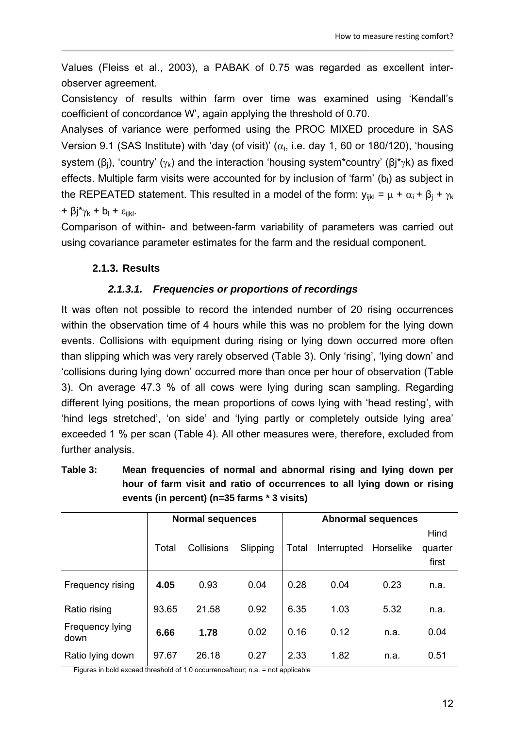Values (Fleiss et al., 2003), a PABAK of 0.75 was regarded as excellent interobserver agreement.

Consistency of results within farm over time was examined using 'Kendall's coefficient of concordance W', again applying the threshold of 0.70.

Analyses of variance were performed using the PROC MIXED procedure in SAS Version 9.1 (SAS Institute) with 'day (of visit)'  $(\alpha_i, i.e.$  day 1, 60 or 180/120), 'housing system ( $\beta_i$ ), 'country' ( $\gamma_k$ ) and the interaction 'housing system\*country' ( $\beta i^* \gamma k$ ) as fixed effects. Multiple farm visits were accounted for by inclusion of 'farm'  $(b<sub>1</sub>)$  as subject in the REPEATED statement. This resulted in a model of the form:  $y_{iik} = \mu + \alpha_i + \beta_i + \gamma_k$ +  $\beta j^* \gamma_k$  +  $b_l$  +  $\varepsilon_{iikl}$ .

Comparison of within- and between-farm variability of parameters was carried out using covariance parameter estimates for the farm and the residual component.

## **2.1.3. Results**

## *2.1.3.1. Frequencies or proportions of recordings*

It was often not possible to record the intended number of 20 rising occurrences within the observation time of 4 hours while this was no problem for the lying down events. Collisions with equipment during rising or lying down occurred more often than slipping which was very rarely observed (Table 3). Only 'rising', 'lying down' and 'collisions during lying down' occurred more than once per hour of observation (Table 3). On average 47.3 % of all cows were lying during scan sampling. Regarding different lying positions, the mean proportions of cows lying with 'head resting', with 'hind legs stretched', 'on side' and 'lying partly or completely outside lying area' exceeded 1 % per scan (Table 4). All other measures were, therefore, excluded from further analysis.

| Table 3: | Mean frequencies of normal and abnormal rising and lying down per       |
|----------|-------------------------------------------------------------------------|
|          | hour of farm visit and ratio of occurrences to all lying down or rising |
|          | events (in percent) (n=35 farms * 3 visits)                             |

|                         | <b>Normal sequences</b> |            |          | <b>Abnormal sequences</b> |             |           |                          |  |
|-------------------------|-------------------------|------------|----------|---------------------------|-------------|-----------|--------------------------|--|
|                         | Total                   | Collisions | Slipping | Total                     | Interrupted | Horselike | Hind<br>quarter<br>first |  |
| Frequency rising        | 4.05                    | 0.93       | 0.04     | 0.28                      | 0.04        | 0.23      | n.a.                     |  |
| Ratio rising            | 93.65                   | 21.58      | 0.92     | 6.35                      | 1.03        | 5.32      | n.a.                     |  |
| Frequency lying<br>down | 6.66                    | 1.78       | 0.02     | 0.16                      | 0.12        | n.a.      | 0.04                     |  |
| Ratio lying down        | 97.67                   | 26.18      | 0.27     | 2.33                      | 1.82        | n.a.      | 0.51                     |  |

Figures in bold exceed threshold of 1.0 occurrence/hour; n.a. = not applicable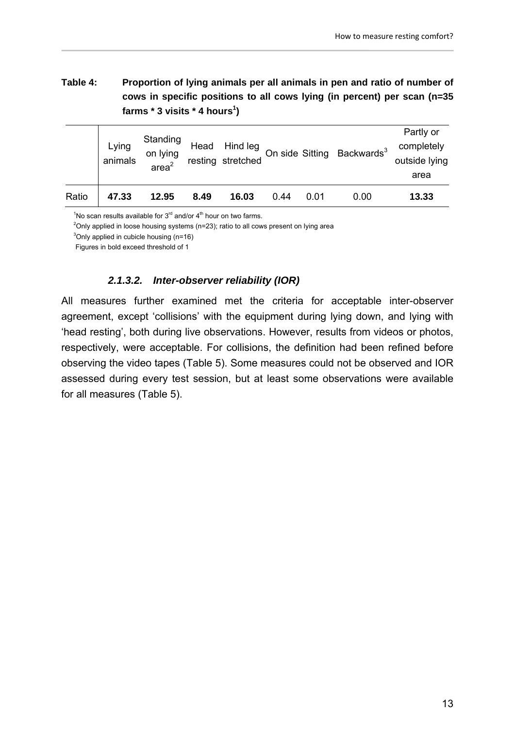# **Table 4: Proportion of lying animals per all animals in pen and ratio of number of cows in specific positions to all cows lying (in percent) per scan (n=35 farms \* 3 visits \* 4 hours<sup>1</sup> )**

|       | Lying<br>animals | Standing<br>on lying<br>area <sup>2</sup> | Head | Hind leg<br>resting stretched |      |      | On side Sitting Backwards <sup>3</sup> | Partly or<br>completely<br>outside lying<br>area |
|-------|------------------|-------------------------------------------|------|-------------------------------|------|------|----------------------------------------|--------------------------------------------------|
| Ratio | 47.33            | 12.95                                     | 8.49 | 16.03                         | 0.44 | 0.01 | 0.00                                   | 13.33                                            |

 $1$ No scan results available for  $3<sup>rd</sup>$  and/or  $4<sup>th</sup>$  hour on two farms.

 $2$ Only applied in loose housing systems (n=23); ratio to all cows present on lying area

 $3$ Only applied in cubicle housing (n=16)

Figures in bold exceed threshold of 1

#### *2.1.3.2. Inter-observer reliability (IOR)*

All measures further examined met the criteria for acceptable inter-observer agreement, except 'collisions' with the equipment during lying down, and lying with 'head resting', both during live observations. However, results from videos or photos, respectively, were acceptable. For collisions, the definition had been refined before observing the video tapes (Table 5). Some measures could not be observed and IOR assessed during every test session, but at least some observations were available for all measures (Table 5).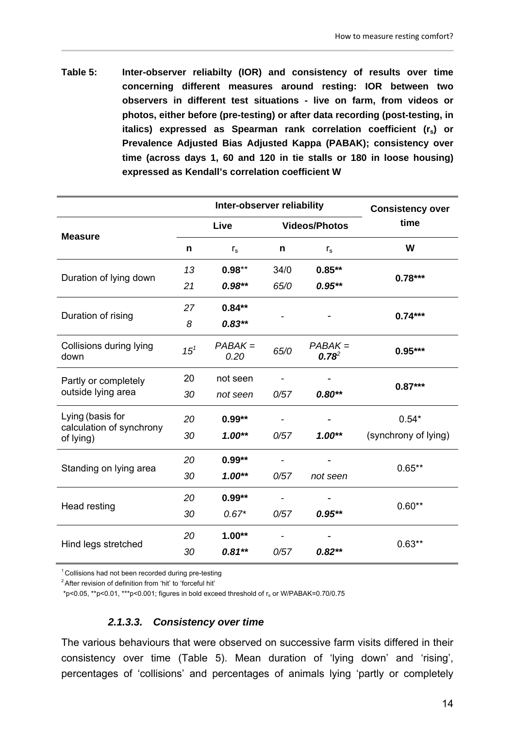**Table 5: Inter-observer reliabilty (IOR) and consistency of results over time concerning different measures around resting: IOR between two observers in different test situations - live on farm, from videos or photos, either before (pre-testing) or after data recording (post-testing, in**  italics) expressed as Spearman rank correlation coefficient (r<sub>s</sub>) or **Prevalence Adjusted Bias Adjusted Kappa (PABAK); consistency over time (across days 1, 60 and 120 in tie stalls or 180 in loose housing) expressed as Kendall's correlation coefficient W** 

|                                       |        | Inter-observer reliability | <b>Consistency over</b> |                         |                      |  |
|---------------------------------------|--------|----------------------------|-------------------------|-------------------------|----------------------|--|
| <b>Measure</b>                        | Live   |                            |                         | <b>Videos/Photos</b>    | time                 |  |
|                                       | n      | $r_{s}$                    | n                       | $r_{s}$                 | W                    |  |
|                                       | 13     | $0.98**$                   | 34/0                    | $0.85***$               | $0.78***$            |  |
| Duration of lying down                | 21     | $0.98**$                   | 65/0                    | $0.95**$                |                      |  |
|                                       | 27     | $0.84**$                   |                         |                         |                      |  |
| Duration of rising                    | 8      | $0.83**$                   |                         |                         | $0.74***$            |  |
| Collisions during lying<br>down       | $15^1$ | $PABAK =$<br>0.20          | 65/0                    | $PABAK =$<br>$0.78^{2}$ | $0.95***$            |  |
| Partly or completely                  | 20     | not seen                   |                         |                         |                      |  |
| outside lying area                    | 30     | not seen                   | 0/57                    | $0.80**$                | $0.87***$            |  |
| Lying (basis for                      | 20     | $0.99**$                   |                         |                         | $0.54*$              |  |
| calculation of synchrony<br>of lying) | 30     | $1.00**$                   | 0/57                    | $1.00**$                | (synchrony of lying) |  |
|                                       | 20     | $0.99**$                   |                         |                         |                      |  |
| Standing on lying area                | 30     | $1.00**$                   | 0/57                    | not seen                | $0.65***$            |  |
|                                       | 20     | $0.99**$                   |                         |                         | $0.60**$             |  |
| Head resting                          | 30     | $0.67*$                    | 0/57                    | $0.95**$                |                      |  |
|                                       | 20     | $1.00**$                   |                         |                         |                      |  |
| Hind legs stretched                   | 30     | $0.81**$                   | 0/57                    | $0.82**$                | $0.63**$             |  |

<sup>1</sup> Collisions had not been recorded during pre-testing

2 After revision of definition from 'hit' to 'forceful hit'

\*p<0.05, \*\*p<0.01, \*\*\*p<0.001; figures in bold exceed threshold of  $r_s$  or W/PABAK=0.70/0.75

#### *2.1.3.3. Consistency over time*

The various behaviours that were observed on successive farm visits differed in their consistency over time (Table 5). Mean duration of 'lying down' and 'rising', percentages of 'collisions' and percentages of animals lying 'partly or completely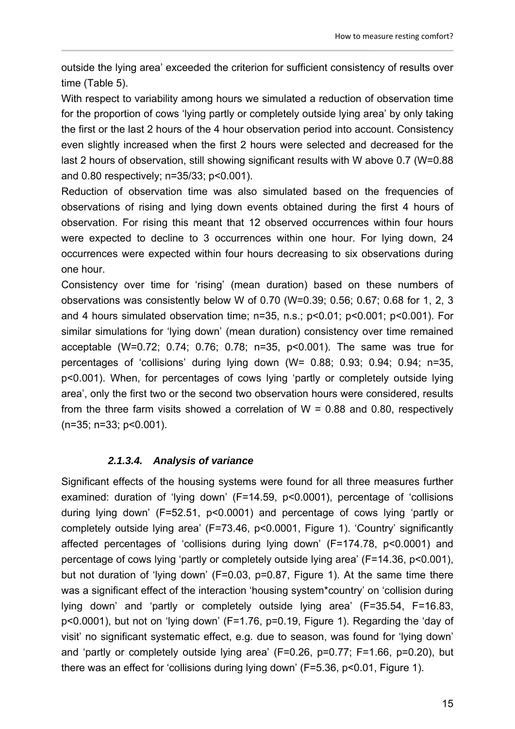outside the lying area' exceeded the criterion for sufficient consistency of results over time (Table 5).

With respect to variability among hours we simulated a reduction of observation time for the proportion of cows 'lying partly or completely outside lying area' by only taking the first or the last 2 hours of the 4 hour observation period into account. Consistency even slightly increased when the first 2 hours were selected and decreased for the last 2 hours of observation, still showing significant results with W above 0.7 (W=0.88 and 0.80 respectively; n=35/33; p<0.001).

Reduction of observation time was also simulated based on the frequencies of observations of rising and lying down events obtained during the first 4 hours of observation. For rising this meant that 12 observed occurrences within four hours were expected to decline to 3 occurrences within one hour. For lying down, 24 occurrences were expected within four hours decreasing to six observations during one hour.

Consistency over time for 'rising' (mean duration) based on these numbers of observations was consistently below W of 0.70 (W=0.39; 0.56; 0.67; 0.68 for 1, 2, 3 and 4 hours simulated observation time; n=35, n.s.; p<0.01; p<0.001; p<0.001). For similar simulations for 'lying down' (mean duration) consistency over time remained acceptable (W=0.72; 0.74; 0.76; 0.78; n=35, p<0.001). The same was true for percentages of 'collisions' during lying down (W= 0.88; 0.93; 0.94; 0.94; n=35, p<0.001). When, for percentages of cows lying 'partly or completely outside lying area', only the first two or the second two observation hours were considered, results from the three farm visits showed a correlation of  $W = 0.88$  and 0.80, respectively  $(n=35; n=33; p<0.001)$ .

## *2.1.3.4. Analysis of variance*

Significant effects of the housing systems were found for all three measures further examined: duration of 'lying down' (F=14.59, p<0.0001), percentage of 'collisions during lying down' (F=52.51, p<0.0001) and percentage of cows lying 'partly or completely outside lying area' (F=73.46, p<0.0001, Figure 1). 'Country' significantly affected percentages of 'collisions during lying down' (F=174.78, p<0.0001) and percentage of cows lying 'partly or completely outside lying area' (F=14.36, p<0.001), but not duration of 'lying down' (F=0.03, p=0.87, Figure 1). At the same time there was a significant effect of the interaction 'housing system\*country' on 'collision during lying down' and 'partly or completely outside lying area' (F=35.54, F=16.83, p<0.0001), but not on 'lying down' (F=1.76, p=0.19, Figure 1). Regarding the 'day of visit' no significant systematic effect, e.g. due to season, was found for 'lying down' and 'partly or completely outside lying area' (F=0.26, p=0.77; F=1.66, p=0.20), but there was an effect for 'collisions during lying down' (F=5.36, p<0.01, Figure 1).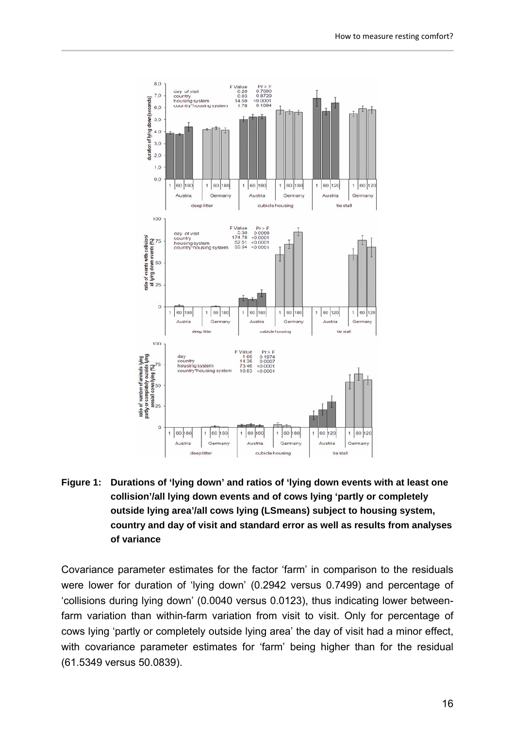

**Figure 1: Durations of 'lying down' and ratios of 'lying down events with at least one collision'/all lying down events and of cows lying 'partly or completely outside lying area'/all cows lying (LSmeans) subject to housing system, country and day of visit and standard error as well as results from analyses of variance**

Covariance parameter estimates for the factor 'farm' in comparison to the residuals were lower for duration of 'lying down' (0.2942 versus 0.7499) and percentage of 'collisions during lying down' (0.0040 versus 0.0123), thus indicating lower betweenfarm variation than within-farm variation from visit to visit. Only for percentage of cows lying 'partly or completely outside lying area' the day of visit had a minor effect, with covariance parameter estimates for 'farm' being higher than for the residual (61.5349 versus 50.0839).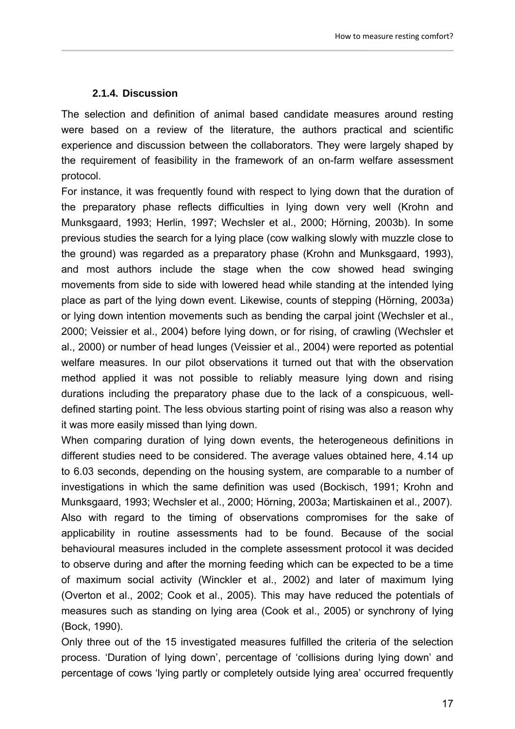## **2.1.4. Discussion**

The selection and definition of animal based candidate measures around resting were based on a review of the literature, the authors practical and scientific experience and discussion between the collaborators. They were largely shaped by the requirement of feasibility in the framework of an on-farm welfare assessment protocol.

For instance, it was frequently found with respect to lying down that the duration of the preparatory phase reflects difficulties in lying down very well (Krohn and Munksgaard, 1993; Herlin, 1997; Wechsler et al., 2000; Hörning, 2003b). In some previous studies the search for a lying place (cow walking slowly with muzzle close to the ground) was regarded as a preparatory phase (Krohn and Munksgaard, 1993), and most authors include the stage when the cow showed head swinging movements from side to side with lowered head while standing at the intended lying place as part of the lying down event. Likewise, counts of stepping (Hörning, 2003a) or lying down intention movements such as bending the carpal joint (Wechsler et al., 2000; Veissier et al., 2004) before lying down, or for rising, of crawling (Wechsler et al., 2000) or number of head lunges (Veissier et al., 2004) were reported as potential welfare measures. In our pilot observations it turned out that with the observation method applied it was not possible to reliably measure lying down and rising durations including the preparatory phase due to the lack of a conspicuous, welldefined starting point. The less obvious starting point of rising was also a reason why it was more easily missed than lying down.

When comparing duration of lying down events, the heterogeneous definitions in different studies need to be considered. The average values obtained here, 4.14 up to 6.03 seconds, depending on the housing system, are comparable to a number of investigations in which the same definition was used (Bockisch, 1991; Krohn and Munksgaard, 1993; Wechsler et al., 2000; Hörning, 2003a; Martiskainen et al., 2007). Also with regard to the timing of observations compromises for the sake of applicability in routine assessments had to be found. Because of the social behavioural measures included in the complete assessment protocol it was decided to observe during and after the morning feeding which can be expected to be a time of maximum social activity (Winckler et al., 2002) and later of maximum lying (Overton et al., 2002; Cook et al., 2005). This may have reduced the potentials of measures such as standing on lying area (Cook et al., 2005) or synchrony of lying (Bock, 1990).

Only three out of the 15 investigated measures fulfilled the criteria of the selection process. 'Duration of lying down', percentage of 'collisions during lying down' and percentage of cows 'lying partly or completely outside lying area' occurred frequently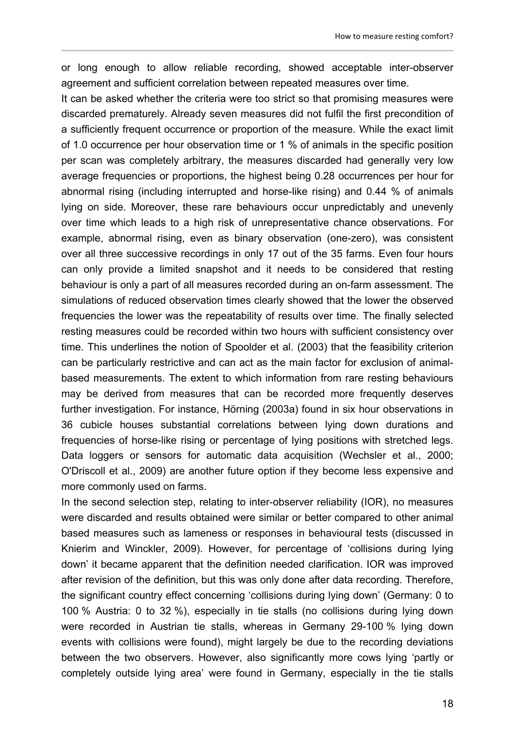or long enough to allow reliable recording, showed acceptable inter-observer agreement and sufficient correlation between repeated measures over time.

It can be asked whether the criteria were too strict so that promising measures were discarded prematurely. Already seven measures did not fulfil the first precondition of a sufficiently frequent occurrence or proportion of the measure. While the exact limit of 1.0 occurrence per hour observation time or 1 % of animals in the specific position per scan was completely arbitrary, the measures discarded had generally very low average frequencies or proportions, the highest being 0.28 occurrences per hour for abnormal rising (including interrupted and horse-like rising) and 0.44 % of animals lying on side. Moreover, these rare behaviours occur unpredictably and unevenly over time which leads to a high risk of unrepresentative chance observations. For example, abnormal rising, even as binary observation (one-zero), was consistent over all three successive recordings in only 17 out of the 35 farms. Even four hours can only provide a limited snapshot and it needs to be considered that resting behaviour is only a part of all measures recorded during an on-farm assessment. The simulations of reduced observation times clearly showed that the lower the observed frequencies the lower was the repeatability of results over time. The finally selected resting measures could be recorded within two hours with sufficient consistency over time. This underlines the notion of Spoolder et al. (2003) that the feasibility criterion can be particularly restrictive and can act as the main factor for exclusion of animalbased measurements. The extent to which information from rare resting behaviours may be derived from measures that can be recorded more frequently deserves further investigation. For instance, Hörning (2003a) found in six hour observations in 36 cubicle houses substantial correlations between lying down durations and frequencies of horse-like rising or percentage of lying positions with stretched legs. Data loggers or sensors for automatic data acquisition (Wechsler et al., 2000; O'Driscoll et al., 2009) are another future option if they become less expensive and more commonly used on farms.

In the second selection step, relating to inter-observer reliability (IOR), no measures were discarded and results obtained were similar or better compared to other animal based measures such as lameness or responses in behavioural tests (discussed in Knierim and Winckler, 2009). However, for percentage of 'collisions during lying down' it became apparent that the definition needed clarification. IOR was improved after revision of the definition, but this was only done after data recording. Therefore, the significant country effect concerning 'collisions during lying down' (Germany: 0 to 100 % Austria: 0 to 32 %), especially in tie stalls (no collisions during lying down were recorded in Austrian tie stalls, whereas in Germany 29-100 % lying down events with collisions were found), might largely be due to the recording deviations between the two observers. However, also significantly more cows lying 'partly or completely outside lying area' were found in Germany, especially in the tie stalls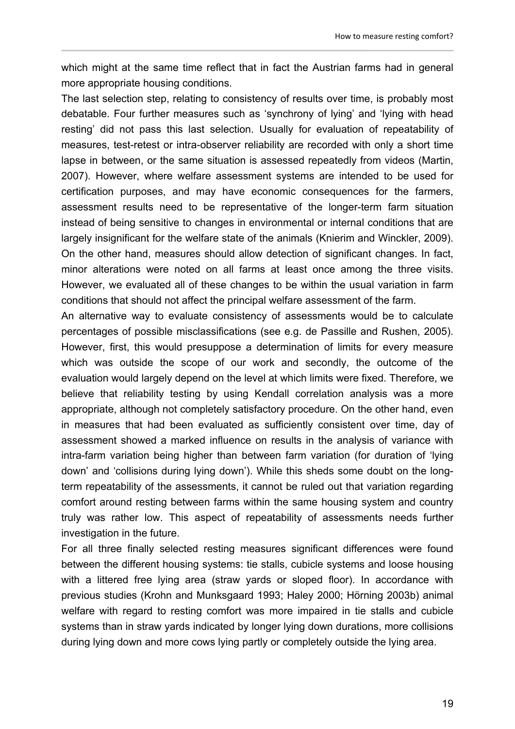which might at the same time reflect that in fact the Austrian farms had in general more appropriate housing conditions.

The last selection step, relating to consistency of results over time, is probably most debatable. Four further measures such as 'synchrony of lying' and 'lying with head resting' did not pass this last selection. Usually for evaluation of repeatability of measures, test-retest or intra-observer reliability are recorded with only a short time lapse in between, or the same situation is assessed repeatedly from videos (Martin, 2007). However, where welfare assessment systems are intended to be used for certification purposes, and may have economic consequences for the farmers, assessment results need to be representative of the longer-term farm situation instead of being sensitive to changes in environmental or internal conditions that are largely insignificant for the welfare state of the animals (Knierim and Winckler, 2009). On the other hand, measures should allow detection of significant changes. In fact, minor alterations were noted on all farms at least once among the three visits. However, we evaluated all of these changes to be within the usual variation in farm conditions that should not affect the principal welfare assessment of the farm.

An alternative way to evaluate consistency of assessments would be to calculate percentages of possible misclassifications (see e.g. de Passille and Rushen, 2005). However, first, this would presuppose a determination of limits for every measure which was outside the scope of our work and secondly, the outcome of the evaluation would largely depend on the level at which limits were fixed. Therefore, we believe that reliability testing by using Kendall correlation analysis was a more appropriate, although not completely satisfactory procedure. On the other hand, even in measures that had been evaluated as sufficiently consistent over time, day of assessment showed a marked influence on results in the analysis of variance with intra-farm variation being higher than between farm variation (for duration of 'lying down' and 'collisions during lying down'). While this sheds some doubt on the longterm repeatability of the assessments, it cannot be ruled out that variation regarding comfort around resting between farms within the same housing system and country truly was rather low. This aspect of repeatability of assessments needs further investigation in the future.

For all three finally selected resting measures significant differences were found between the different housing systems: tie stalls, cubicle systems and loose housing with a littered free lying area (straw yards or sloped floor). In accordance with previous studies (Krohn and Munksgaard 1993; Haley 2000; Hörning 2003b) animal welfare with regard to resting comfort was more impaired in tie stalls and cubicle systems than in straw yards indicated by longer lying down durations, more collisions during lying down and more cows lying partly or completely outside the lying area.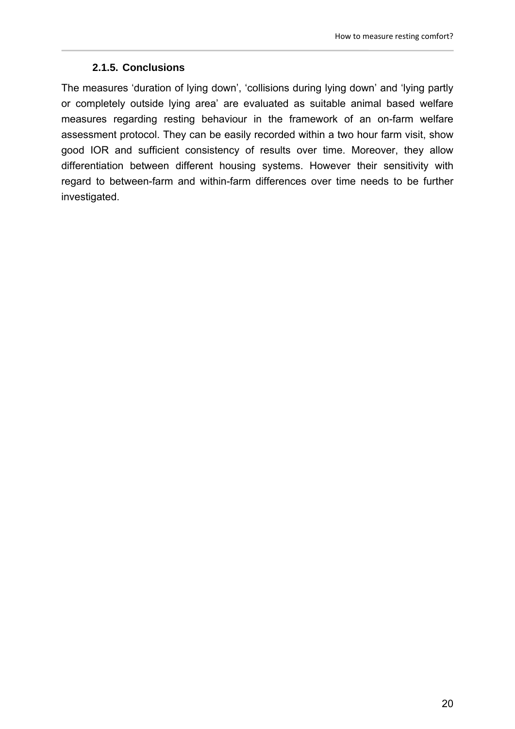# **2.1.5. Conclusions**

The measures 'duration of lying down', 'collisions during lying down' and 'lying partly or completely outside lying area' are evaluated as suitable animal based welfare measures regarding resting behaviour in the framework of an on-farm welfare assessment protocol. They can be easily recorded within a two hour farm visit, show good IOR and sufficient consistency of results over time. Moreover, they allow differentiation between different housing systems. However their sensitivity with regard to between-farm and within-farm differences over time needs to be further investigated.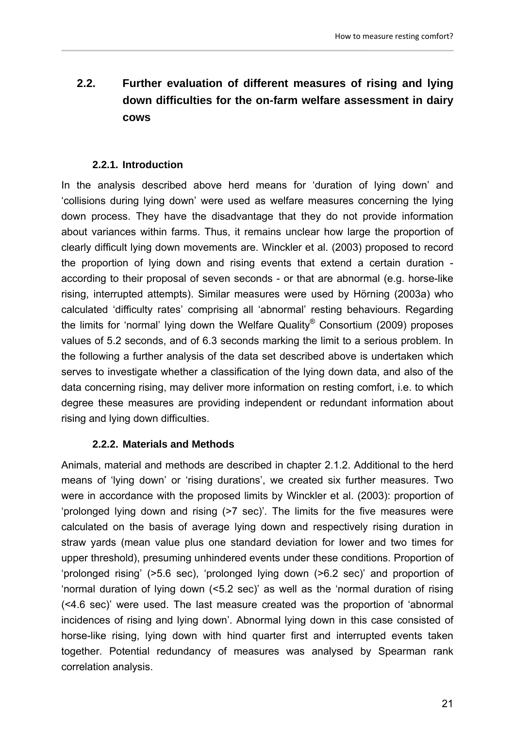# **2.2. Further evaluation of different measures of rising and lying down difficulties for the on-farm welfare assessment in dairy cows**

## **2.2.1. Introduction**

In the analysis described above herd means for 'duration of lying down' and 'collisions during lying down' were used as welfare measures concerning the lying down process. They have the disadvantage that they do not provide information about variances within farms. Thus, it remains unclear how large the proportion of clearly difficult lying down movements are. Winckler et al. (2003) proposed to record the proportion of lying down and rising events that extend a certain duration according to their proposal of seven seconds - or that are abnormal (e.g. horse-like rising, interrupted attempts). Similar measures were used by Hörning (2003a) who calculated 'difficulty rates' comprising all 'abnormal' resting behaviours. Regarding the limits for 'normal' lying down the Welfare Quality® Consortium (2009) proposes values of 5.2 seconds, and of 6.3 seconds marking the limit to a serious problem. In the following a further analysis of the data set described above is undertaken which serves to investigate whether a classification of the lying down data, and also of the data concerning rising, may deliver more information on resting comfort, i.e. to which degree these measures are providing independent or redundant information about rising and lying down difficulties.

## **2.2.2. Materials and Methods**

Animals, material and methods are described in chapter 2.1.2. Additional to the herd means of 'lying down' or 'rising durations', we created six further measures. Two were in accordance with the proposed limits by Winckler et al. (2003): proportion of 'prolonged lying down and rising (>7 sec)'. The limits for the five measures were calculated on the basis of average lying down and respectively rising duration in straw yards (mean value plus one standard deviation for lower and two times for upper threshold), presuming unhindered events under these conditions. Proportion of 'prolonged rising' (>5.6 sec), 'prolonged lying down (>6.2 sec)' and proportion of 'normal duration of lying down (<5.2 sec)' as well as the 'normal duration of rising (<4.6 sec)' were used. The last measure created was the proportion of 'abnormal incidences of rising and lying down'. Abnormal lying down in this case consisted of horse-like rising, lying down with hind quarter first and interrupted events taken together. Potential redundancy of measures was analysed by Spearman rank correlation analysis.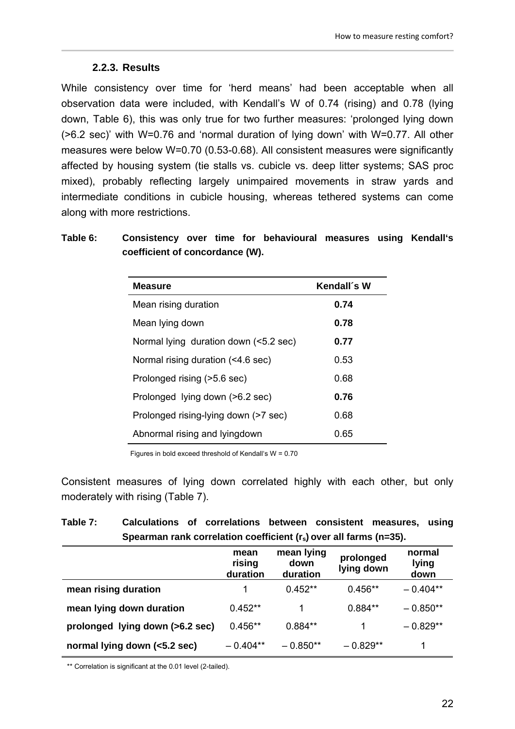#### **2.2.3. Results**

While consistency over time for 'herd means' had been acceptable when all observation data were included, with Kendall's W of 0.74 (rising) and 0.78 (lying down, Table 6), this was only true for two further measures: 'prolonged lying down (>6.2 sec)' with W=0.76 and 'normal duration of lying down' with W=0.77. All other measures were below W=0.70 (0.53-0.68). All consistent measures were significantly affected by housing system (tie stalls vs. cubicle vs. deep litter systems; SAS proc mixed), probably reflecting largely unimpaired movements in straw yards and intermediate conditions in cubicle housing, whereas tethered systems can come along with more restrictions.

## **Table 6: Consistency over time for behavioural measures using Kendall's coefficient of concordance (W).**

| <b>Measure</b>                        | Kendall's W |
|---------------------------------------|-------------|
| Mean rising duration                  | 0.74        |
| Mean lying down                       | 0.78        |
| Normal lying duration down (<5.2 sec) | 0.77        |
| Normal rising duration $($ < 4.6 sec) | 0.53        |
| Prolonged rising (>5.6 sec)           | 0.68        |
| Prolonged lying down (>6.2 sec)       | 0.76        |
| Prolonged rising-lying down (>7 sec)  | 0.68        |
| Abnormal rising and lyingdown         | 0.65        |

Figures in bold exceed threshold of Kendall's W = 0.70

Consistent measures of lying down correlated highly with each other, but only moderately with rising (Table 7).

## **Table 7: Calculations of correlations between consistent measures, using Spearman rank correlation coefficient (rs) over all farms (n=35).**

|                                 | mean<br>rising<br>duration | mean lying<br>down<br>duration | prolonged<br>lying down | normal<br>lying<br>down |
|---------------------------------|----------------------------|--------------------------------|-------------------------|-------------------------|
| mean rising duration            |                            | $0.452**$                      | $0.456**$               | $-0.404**$              |
| mean lying down duration        | $0.452**$                  |                                | $0.884**$               | $-0.850**$              |
| prolonged lying down (>6.2 sec) | $0.456**$                  | $0.884**$                      |                         | $-0.829**$              |
| normal lying down (<5.2 sec)    | $-0.404**$                 | $-0.850**$                     | $-0.829**$              | $\mathbf 1$             |

\*\* Correlation is significant at the 0.01 level (2-tailed).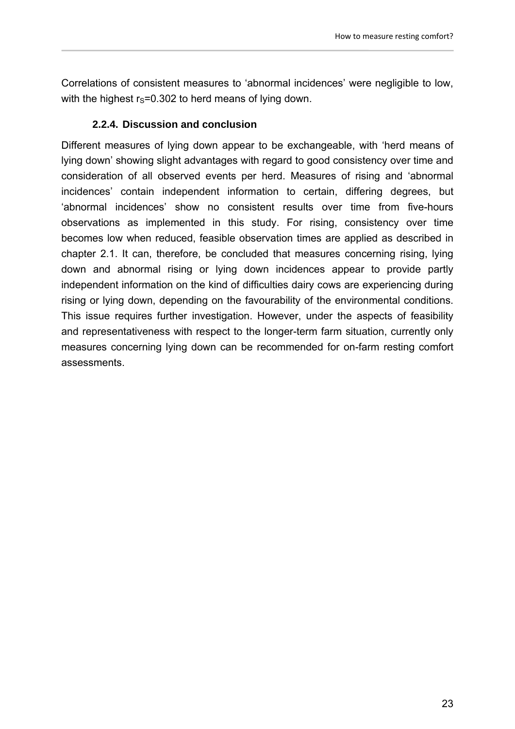Correlations of consistent measures to 'abnormal incidences' were negligible to low, with the highest  $r_s$ =0.302 to herd means of lying down.

## **2.2.4. Discussion and conclusion**

Different measures of lying down appear to be exchangeable, with 'herd means of lying down' showing slight advantages with regard to good consistency over time and consideration of all observed events per herd. Measures of rising and 'abnormal incidences' contain independent information to certain, differing degrees, but 'abnormal incidences' show no consistent results over time from five-hours observations as implemented in this study. For rising, consistency over time becomes low when reduced, feasible observation times are applied as described in chapter 2.1. It can, therefore, be concluded that measures concerning rising, lying down and abnormal rising or lying down incidences appear to provide partly independent information on the kind of difficulties dairy cows are experiencing during rising or lying down, depending on the favourability of the environmental conditions. This issue requires further investigation. However, under the aspects of feasibility and representativeness with respect to the longer-term farm situation, currently only measures concerning lying down can be recommended for on-farm resting comfort assessments.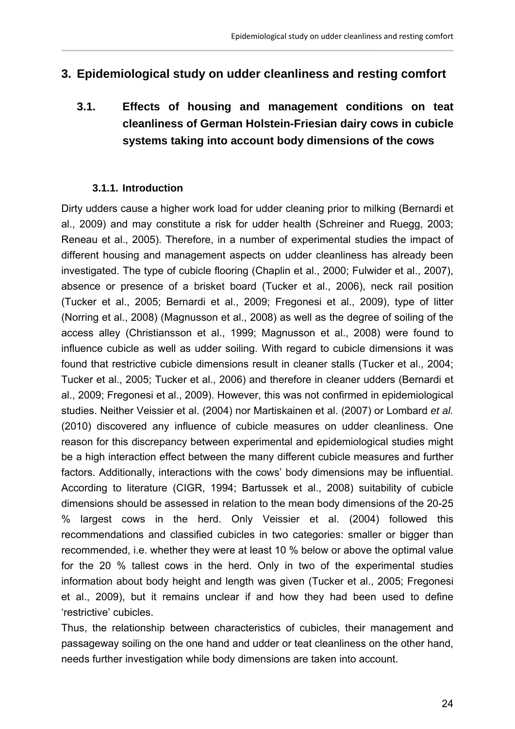# **3. Epidemiological study on udder cleanliness and resting comfort**

# **3.1. Effects of housing and management conditions on teat cleanliness of German Holstein-Friesian dairy cows in cubicle systems taking into account body dimensions of the cows**

## **3.1.1. Introduction**

Dirty udders cause a higher work load for udder cleaning prior to milking (Bernardi et al., 2009) and may constitute a risk for udder health (Schreiner and Ruegg, 2003; Reneau et al., 2005). Therefore, in a number of experimental studies the impact of different housing and management aspects on udder cleanliness has already been investigated. The type of cubicle flooring (Chaplin et al., 2000; Fulwider et al., 2007), absence or presence of a brisket board (Tucker et al., 2006), neck rail position (Tucker et al., 2005; Bernardi et al., 2009; Fregonesi et al., 2009), type of litter (Norring et al., 2008) (Magnusson et al., 2008) as well as the degree of soiling of the access alley (Christiansson et al., 1999; Magnusson et al., 2008) were found to influence cubicle as well as udder soiling. With regard to cubicle dimensions it was found that restrictive cubicle dimensions result in cleaner stalls (Tucker et al., 2004; Tucker et al., 2005; Tucker et al., 2006) and therefore in cleaner udders (Bernardi et al., 2009; Fregonesi et al., 2009). However, this was not confirmed in epidemiological studies. Neither Veissier et al. (2004) nor Martiskainen et al. (2007) or Lombard *et al.* (2010) discovered any influence of cubicle measures on udder cleanliness. One reason for this discrepancy between experimental and epidemiological studies might be a high interaction effect between the many different cubicle measures and further factors. Additionally, interactions with the cows' body dimensions may be influential. According to literature (CIGR, 1994; Bartussek et al., 2008) suitability of cubicle dimensions should be assessed in relation to the mean body dimensions of the 20-25 % largest cows in the herd. Only Veissier et al. (2004) followed this recommendations and classified cubicles in two categories: smaller or bigger than recommended, i.e. whether they were at least 10 % below or above the optimal value for the 20 % tallest cows in the herd. Only in two of the experimental studies information about body height and length was given (Tucker et al., 2005; Fregonesi et al., 2009), but it remains unclear if and how they had been used to define 'restrictive' cubicles.

Thus, the relationship between characteristics of cubicles, their management and passageway soiling on the one hand and udder or teat cleanliness on the other hand, needs further investigation while body dimensions are taken into account.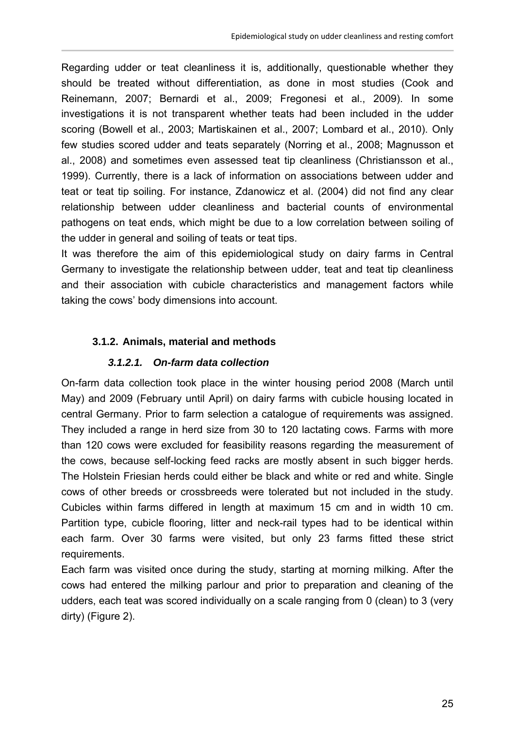Regarding udder or teat cleanliness it is, additionally, questionable whether they should be treated without differentiation, as done in most studies (Cook and Reinemann, 2007; Bernardi et al., 2009; Fregonesi et al., 2009). In some investigations it is not transparent whether teats had been included in the udder scoring (Bowell et al., 2003; Martiskainen et al., 2007; Lombard et al., 2010). Only few studies scored udder and teats separately (Norring et al., 2008; Magnusson et al., 2008) and sometimes even assessed teat tip cleanliness (Christiansson et al., 1999). Currently, there is a lack of information on associations between udder and teat or teat tip soiling. For instance, Zdanowicz et al. (2004) did not find any clear relationship between udder cleanliness and bacterial counts of environmental pathogens on teat ends, which might be due to a low correlation between soiling of the udder in general and soiling of teats or teat tips.

It was therefore the aim of this epidemiological study on dairy farms in Central Germany to investigate the relationship between udder, teat and teat tip cleanliness and their association with cubicle characteristics and management factors while taking the cows' body dimensions into account.

## **3.1.2. Animals, material and methods**

## *3.1.2.1. On-farm data collection*

On-farm data collection took place in the winter housing period 2008 (March until May) and 2009 (February until April) on dairy farms with cubicle housing located in central Germany. Prior to farm selection a catalogue of requirements was assigned. They included a range in herd size from 30 to 120 lactating cows. Farms with more than 120 cows were excluded for feasibility reasons regarding the measurement of the cows, because self-locking feed racks are mostly absent in such bigger herds. The Holstein Friesian herds could either be black and white or red and white. Single cows of other breeds or crossbreeds were tolerated but not included in the study. Cubicles within farms differed in length at maximum 15 cm and in width 10 cm. Partition type, cubicle flooring, litter and neck-rail types had to be identical within each farm. Over 30 farms were visited, but only 23 farms fitted these strict requirements.

Each farm was visited once during the study, starting at morning milking. After the cows had entered the milking parlour and prior to preparation and cleaning of the udders, each teat was scored individually on a scale ranging from 0 (clean) to 3 (very dirty) (Figure 2).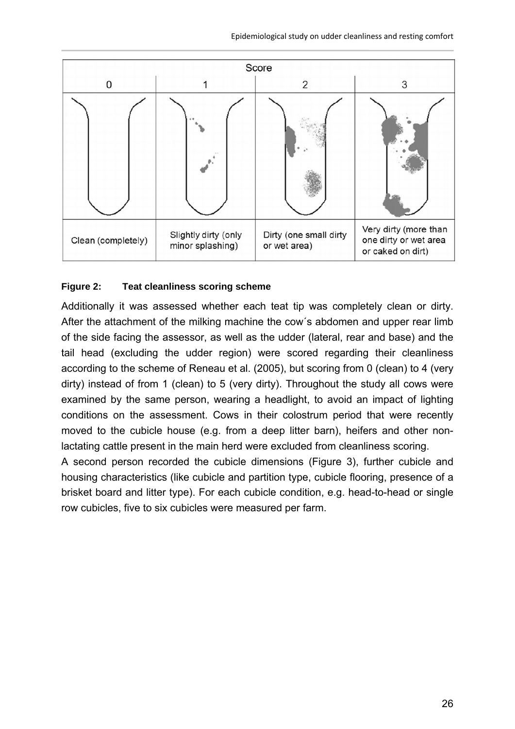

## **Figure 2: Teat cleanliness scoring scheme**

Additionally it was assessed whether each teat tip was completely clean or dirty. After the attachment of the milking machine the cow´s abdomen and upper rear limb of the side facing the assessor, as well as the udder (lateral, rear and base) and the tail head (excluding the udder region) were scored regarding their cleanliness according to the scheme of Reneau et al. (2005), but scoring from 0 (clean) to 4 (very dirty) instead of from 1 (clean) to 5 (very dirty). Throughout the study all cows were examined by the same person, wearing a headlight, to avoid an impact of lighting conditions on the assessment. Cows in their colostrum period that were recently moved to the cubicle house (e.g. from a deep litter barn), heifers and other nonlactating cattle present in the main herd were excluded from cleanliness scoring.

A second person recorded the cubicle dimensions (Figure 3), further cubicle and housing characteristics (like cubicle and partition type, cubicle flooring, presence of a brisket board and litter type). For each cubicle condition, e.g. head-to-head or single row cubicles, five to six cubicles were measured per farm.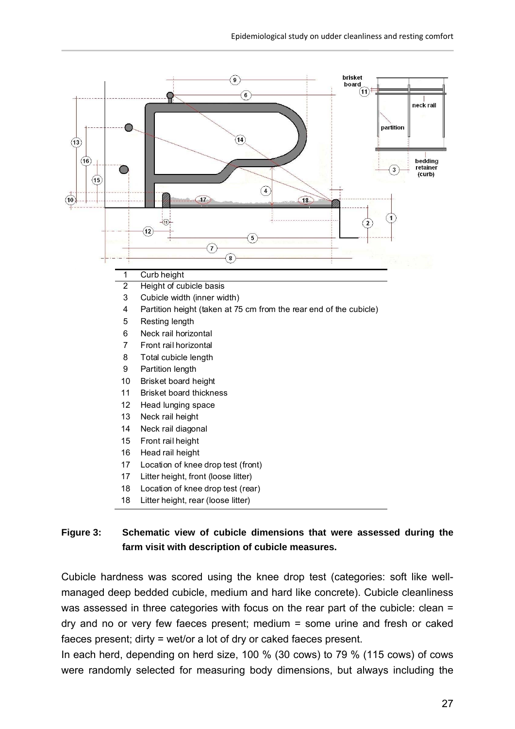

## **Figure 3: Schematic view of cubicle dimensions that were assessed during the farm visit with description of cubicle measures.**

Cubicle hardness was scored using the knee drop test (categories: soft like wellmanaged deep bedded cubicle, medium and hard like concrete). Cubicle cleanliness was assessed in three categories with focus on the rear part of the cubicle: clean = dry and no or very few faeces present; medium = some urine and fresh or caked faeces present; dirty = wet/or a lot of dry or caked faeces present.

In each herd, depending on herd size, 100 % (30 cows) to 79 % (115 cows) of cows were randomly selected for measuring body dimensions, but always including the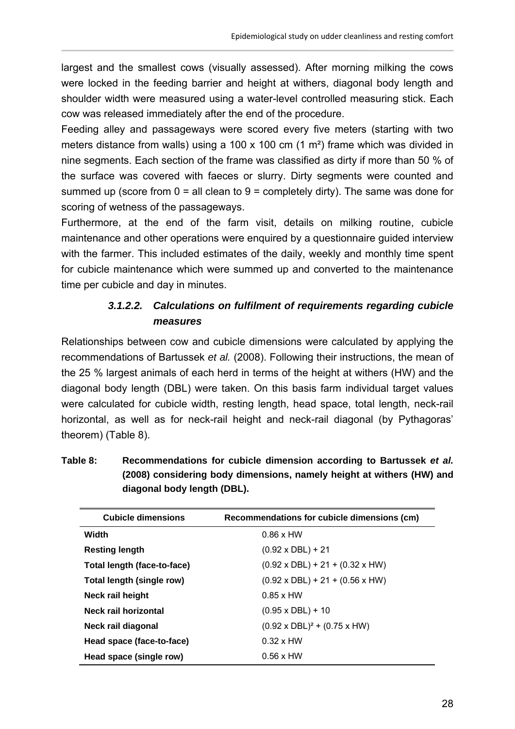largest and the smallest cows (visually assessed). After morning milking the cows were locked in the feeding barrier and height at withers, diagonal body length and shoulder width were measured using a water-level controlled measuring stick. Each cow was released immediately after the end of the procedure.

Feeding alley and passageways were scored every five meters (starting with two meters distance from walls) using a 100 x 100 cm  $(1 \text{ m}^2)$  frame which was divided in nine segments. Each section of the frame was classified as dirty if more than 50 % of the surface was covered with faeces or slurry. Dirty segments were counted and summed up (score from  $0 =$  all clean to  $9 =$  completely dirty). The same was done for scoring of wetness of the passageways.

Furthermore, at the end of the farm visit, details on milking routine, cubicle maintenance and other operations were enquired by a questionnaire guided interview with the farmer. This included estimates of the daily, weekly and monthly time spent for cubicle maintenance which were summed up and converted to the maintenance time per cubicle and day in minutes.

# *3.1.2.2. Calculations on fulfilment of requirements regarding cubicle measures*

Relationships between cow and cubicle dimensions were calculated by applying the recommendations of Bartussek *et al.* (2008). Following their instructions, the mean of the 25 % largest animals of each herd in terms of the height at withers (HW) and the diagonal body length (DBL) were taken. On this basis farm individual target values were calculated for cubicle width, resting length, head space, total length, neck-rail horizontal, as well as for neck-rail height and neck-rail diagonal (by Pythagoras' theorem) (Table 8).

**Table 8: Recommendations for cubicle dimension according to Bartussek** *et al.* **(2008) considering body dimensions, namely height at withers (HW) and diagonal body length (DBL).** 

| <b>Cubicle dimensions</b>   | Recommendations for cubicle dimensions (cm) |
|-----------------------------|---------------------------------------------|
| Width                       | $0.86 \times HW$                            |
| <b>Resting length</b>       | $(0.92 \times DBL) + 21$                    |
| Total length (face-to-face) | $(0.92 \times DBL) + 21 + (0.32 \times HW)$ |
| Total length (single row)   | $(0.92 \times DBL) + 21 + (0.56 \times HW)$ |
| Neck rail height            | $0.85 \times HW$                            |
| Neck rail horizontal        | $(0.95 \times DBL) + 10$                    |
| Neck rail diagonal          | $(0.92 \times DBL)^2$ + $(0.75 \times HW)$  |
| Head space (face-to-face)   | $0.32 \times HW$                            |
| Head space (single row)     | $0.56 \times HW$                            |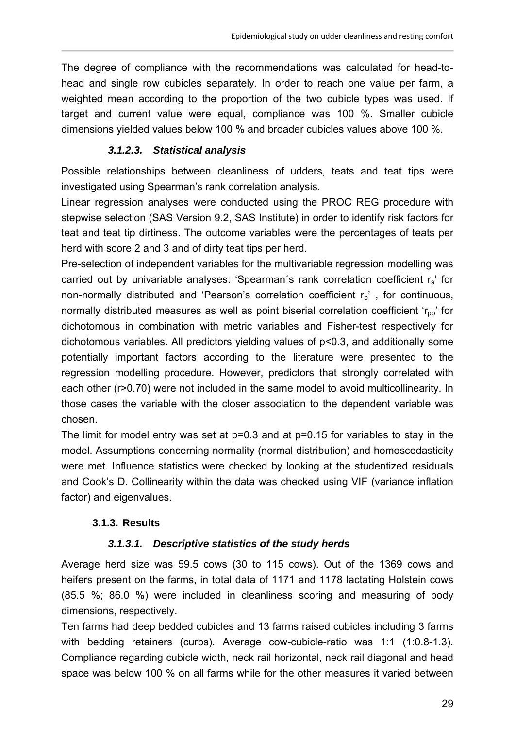The degree of compliance with the recommendations was calculated for head-tohead and single row cubicles separately. In order to reach one value per farm, a weighted mean according to the proportion of the two cubicle types was used. If target and current value were equal, compliance was 100 %. Smaller cubicle dimensions yielded values below 100 % and broader cubicles values above 100 %.

## *3.1.2.3. Statistical analysis*

Possible relationships between cleanliness of udders, teats and teat tips were investigated using Spearman's rank correlation analysis.

Linear regression analyses were conducted using the PROC REG procedure with stepwise selection (SAS Version 9.2, SAS Institute) in order to identify risk factors for teat and teat tip dirtiness. The outcome variables were the percentages of teats per herd with score 2 and 3 and of dirty teat tips per herd.

Pre-selection of independent variables for the multivariable regression modelling was carried out by univariable analyses: 'Spearman's rank correlation coefficient rs' for non-normally distributed and 'Pearson's correlation coefficient  $r_0$ ', for continuous, normally distributed measures as well as point biserial correlation coefficient 'r<sub>pb</sub>' for dichotomous in combination with metric variables and Fisher-test respectively for dichotomous variables. All predictors yielding values of p<0.3, and additionally some potentially important factors according to the literature were presented to the regression modelling procedure. However, predictors that strongly correlated with each other (r>0.70) were not included in the same model to avoid multicollinearity. In those cases the variable with the closer association to the dependent variable was chosen.

The limit for model entry was set at p=0.3 and at p=0.15 for variables to stay in the model. Assumptions concerning normality (normal distribution) and homoscedasticity were met. Influence statistics were checked by looking at the studentized residuals and Cook's D. Collinearity within the data was checked using VIF (variance inflation factor) and eigenvalues.

# **3.1.3. Results**

# *3.1.3.1. Descriptive statistics of the study herds*

Average herd size was 59.5 cows (30 to 115 cows). Out of the 1369 cows and heifers present on the farms, in total data of 1171 and 1178 lactating Holstein cows (85.5 %; 86.0 %) were included in cleanliness scoring and measuring of body dimensions, respectively.

Ten farms had deep bedded cubicles and 13 farms raised cubicles including 3 farms with bedding retainers (curbs). Average cow-cubicle-ratio was 1:1 (1:0.8-1.3). Compliance regarding cubicle width, neck rail horizontal, neck rail diagonal and head space was below 100 % on all farms while for the other measures it varied between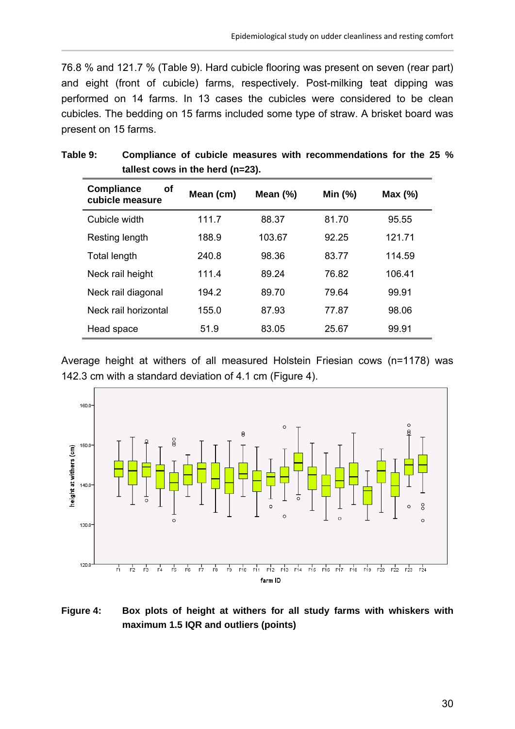76.8 % and 121.7 % (Table 9). Hard cubicle flooring was present on seven (rear part) and eight (front of cubicle) farms, respectively. Post-milking teat dipping was performed on 14 farms. In 13 cases the cubicles were considered to be clean cubicles. The bedding on 15 farms included some type of straw. A brisket board was present on 15 farms.

| <b>Compliance</b><br><b>of</b><br>cubicle measure | Mean (cm) | Mean $(\%)$ | Min $(%)$ | Max (%) |  |  |
|---------------------------------------------------|-----------|-------------|-----------|---------|--|--|
| Cubicle width                                     | 111.7     | 88.37       | 81.70     | 95.55   |  |  |
| Resting length                                    | 188.9     | 103.67      | 92.25     | 121.71  |  |  |
| <b>Total length</b>                               | 240.8     | 98.36       | 83.77     | 114.59  |  |  |
| Neck rail height                                  | 111.4     | 89.24       | 76.82     | 106.41  |  |  |
| Neck rail diagonal                                | 194.2     | 89.70       | 79.64     | 99.91   |  |  |
| Neck rail horizontal                              | 155.0     | 87.93       | 77.87     | 98.06   |  |  |
| Head space                                        | 51.9      | 83.05       | 25.67     | 99.91   |  |  |

| Table 9: | Compliance of cubicle measures with recommendations for the 25 % |
|----------|------------------------------------------------------------------|
|          | tallest cows in the herd ( $n=23$ ).                             |

Average height at withers of all measured Holstein Friesian cows (n=1178) was 142.3 cm with a standard deviation of 4.1 cm (Figure 4).



**Figure 4: Box plots of height at withers for all study farms with whiskers with maximum 1.5 IQR and outliers (points)**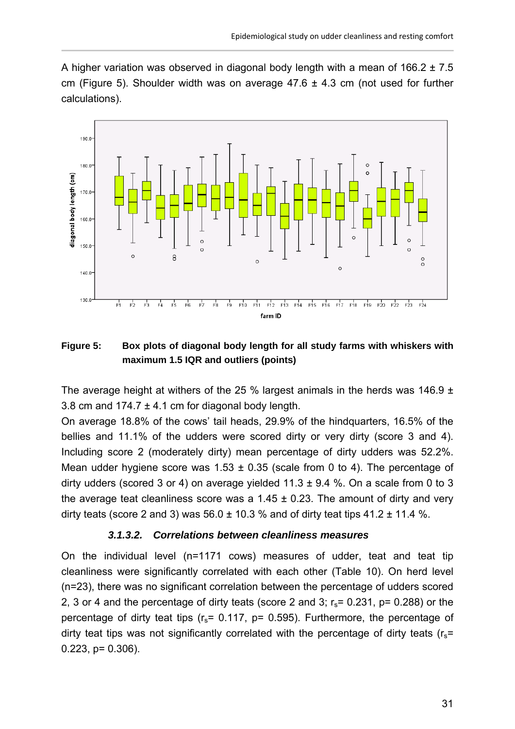A higher variation was observed in diagonal body length with a mean of  $166.2 \pm 7.5$ cm (Figure 5). Shoulder width was on average  $47.6 \pm 4.3$  cm (not used for further calculations).



## **Figure 5: Box plots of diagonal body length for all study farms with whiskers with maximum 1.5 IQR and outliers (points)**

The average height at withers of the 25 % largest animals in the herds was 146.9  $\pm$ 3.8 cm and  $174.7 \pm 4.1$  cm for diagonal body length.

On average 18.8% of the cows' tail heads, 29.9% of the hindquarters, 16.5% of the bellies and 11.1% of the udders were scored dirty or very dirty (score 3 and 4). Including score 2 (moderately dirty) mean percentage of dirty udders was 52.2%. Mean udder hygiene score was  $1.53 \pm 0.35$  (scale from 0 to 4). The percentage of dirty udders (scored 3 or 4) on average yielded  $11.3 \pm 9.4$  %. On a scale from 0 to 3 the average teat cleanliness score was a  $1.45 \pm 0.23$ . The amount of dirty and very dirty teats (score 2 and 3) was  $56.0 \pm 10.3$  % and of dirty teat tips  $41.2 \pm 11.4$  %.

## *3.1.3.2. Correlations between cleanliness measures*

On the individual level (n=1171 cows) measures of udder, teat and teat tip cleanliness were significantly correlated with each other (Table 10). On herd level (n=23), there was no significant correlation between the percentage of udders scored 2, 3 or 4 and the percentage of dirty teats (score 2 and 3;  $r_s$  = 0.231, p= 0.288) or the percentage of dirty teat tips ( $r_s$ = 0.117, p= 0.595). Furthermore, the percentage of dirty teat tips was not significantly correlated with the percentage of dirty teats ( $r_s$ =  $0.223$ ,  $p= 0.306$ ).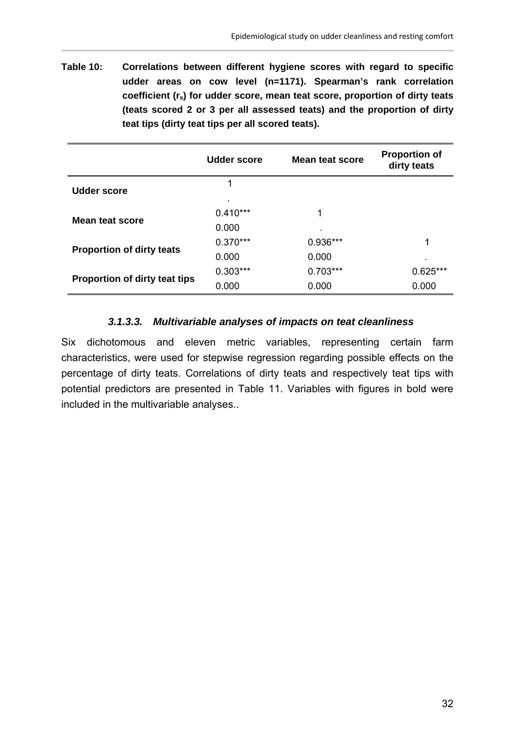**Table 10: Correlations between different hygiene scores with regard to specific udder areas on cow level (n=1171). Spearman's rank correlation coefficient (rs) for udder score, mean teat score, proportion of dirty teats (teats scored 2 or 3 per all assessed teats) and the proportion of dirty teat tips (dirty teat tips per all scored teats).** 

|                                  | <b>Udder score</b> | Mean teat score | <b>Proportion of</b><br>dirty teats |
|----------------------------------|--------------------|-----------------|-------------------------------------|
| <b>Udder score</b>               | $\blacksquare$     |                 |                                     |
|                                  | $0.410***$         | 1               |                                     |
| Mean teat score                  | 0.000              | ٠               |                                     |
| <b>Proportion of dirty teats</b> | $0.370***$         | $0.936***$      | 1                                   |
|                                  | 0.000              | 0.000           | ٠                                   |
|                                  | $0.303***$         | $0.703***$      | $0.625***$                          |
| Proportion of dirty teat tips    | 0.000              | 0.000           | 0.000                               |

#### *3.1.3.3. Multivariable analyses of impacts on teat cleanliness*

Six dichotomous and eleven metric variables, representing certain farm characteristics, were used for stepwise regression regarding possible effects on the percentage of dirty teats. Correlations of dirty teats and respectively teat tips with potential predictors are presented in Table 11. Variables with figures in bold were included in the multivariable analyses..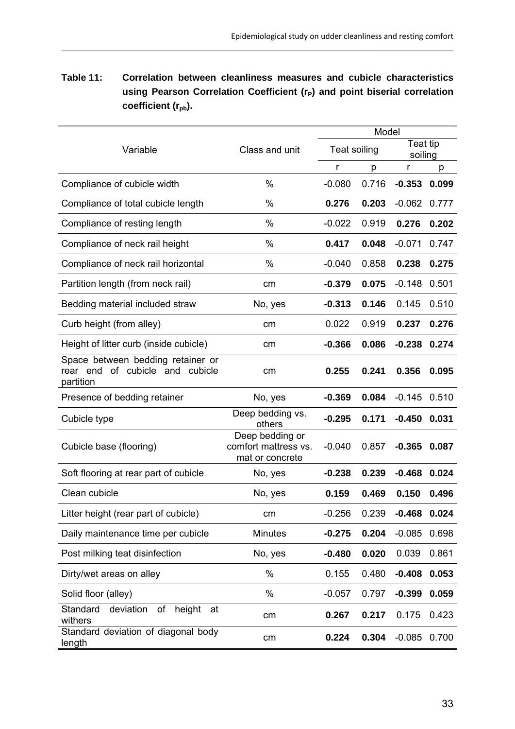| Table 11: | Correlation between cleanliness measures and cubicle characteristics         |
|-----------|------------------------------------------------------------------------------|
|           | using Pearson Correlation Coefficient $(r_P)$ and point biserial correlation |
|           | coefficient $(r_{\rm ob})$ .                                                 |

|                                                                                   |                                                            |              | Model |                     |       |
|-----------------------------------------------------------------------------------|------------------------------------------------------------|--------------|-------|---------------------|-------|
| Variable                                                                          | Class and unit                                             | Teat soiling |       | Teat tip<br>soiling |       |
|                                                                                   |                                                            | r            | р     | r                   | р     |
| Compliance of cubicle width                                                       | %                                                          | $-0.080$     | 0.716 | $-0.353$            | 0.099 |
| Compliance of total cubicle length                                                | %                                                          | 0.276        | 0.203 | $-0.062$            | 0.777 |
| Compliance of resting length                                                      | %                                                          | $-0.022$     | 0.919 | 0.276               | 0.202 |
| Compliance of neck rail height                                                    | %                                                          | 0.417        | 0.048 | $-0.071$            | 0.747 |
| Compliance of neck rail horizontal                                                | %                                                          | $-0.040$     | 0.858 | 0.238               | 0.275 |
| Partition length (from neck rail)                                                 | cm                                                         | $-0.379$     | 0.075 | $-0.148$            | 0.501 |
| Bedding material included straw                                                   | No, yes                                                    | $-0.313$     | 0.146 | 0.145               | 0.510 |
| Curb height (from alley)                                                          | cm                                                         | 0.022        | 0.919 | 0.237               | 0.276 |
| Height of litter curb (inside cubicle)                                            | cm                                                         | $-0.366$     | 0.086 | $-0.238$            | 0.274 |
| Space between bedding retainer or<br>rear end of cubicle and cubicle<br>partition | cm                                                         | 0.255        | 0.241 | 0.356               | 0.095 |
| Presence of bedding retainer                                                      | No, yes                                                    | $-0.369$     | 0.084 | $-0.145$            | 0.510 |
| Cubicle type                                                                      | Deep bedding vs.<br>others                                 | $-0.295$     | 0.171 | $-0.450$            | 0.031 |
| Cubicle base (flooring)                                                           | Deep bedding or<br>comfort mattress vs.<br>mat or concrete | $-0.040$     | 0.857 | $-0.365$            | 0.087 |
| Soft flooring at rear part of cubicle                                             | No, yes                                                    | $-0.238$     | 0.239 | $-0.468$            | 0.024 |
| Clean cubicle                                                                     | No, yes                                                    | 0.159        | 0.469 | 0.150               | 0.496 |
| Litter height (rear part of cubicle)                                              | cm                                                         | $-0.256$     | 0.239 | $-0.468$ 0.024      |       |
| Daily maintenance time per cubicle                                                | Minutes                                                    | $-0.275$     | 0.204 | $-0.085$            | 0.698 |
| Post milking teat disinfection                                                    | No, yes                                                    | $-0.480$     | 0.020 | 0.039               | 0.861 |
| Dirty/wet areas on alley                                                          | $\%$                                                       | 0.155        | 0.480 | $-0.408$            | 0.053 |
| Solid floor (alley)                                                               | $\%$                                                       | $-0.057$     | 0.797 | $-0.399$            | 0.059 |
| Standard<br>deviation<br>height<br>of<br>at<br>withers                            | cm                                                         | 0.267        | 0.217 | 0.175               | 0.423 |
| Standard deviation of diagonal body<br>length                                     | cm                                                         | 0.224        | 0.304 | $-0.085$            | 0.700 |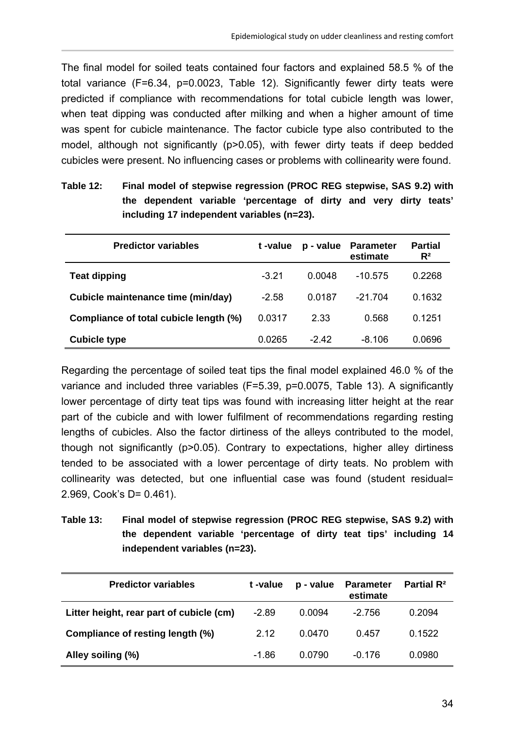The final model for soiled teats contained four factors and explained 58.5 % of the total variance (F=6.34, p=0.0023, Table 12). Significantly fewer dirty teats were predicted if compliance with recommendations for total cubicle length was lower, when teat dipping was conducted after milking and when a higher amount of time was spent for cubicle maintenance. The factor cubicle type also contributed to the model, although not significantly (p>0.05), with fewer dirty teats if deep bedded cubicles were present. No influencing cases or problems with collinearity were found.

| <b>Predictor variables</b>             | t-value | p - value | <b>Parameter</b><br>estimate | <b>Partial</b><br>$R^2$ |
|----------------------------------------|---------|-----------|------------------------------|-------------------------|
| <b>Teat dipping</b>                    | $-3.21$ | 0.0048    | $-10.575$                    | 0.2268                  |
| Cubicle maintenance time (min/day)     | $-2.58$ | 0.0187    | $-21.704$                    | 0.1632                  |
| Compliance of total cubicle length (%) | 0.0317  | 2.33      | 0.568                        | 0.1251                  |
| <b>Cubicle type</b>                    | 0.0265  | $-2.42$   | $-8.106$                     | 0.0696                  |

**Table 12: Final model of stepwise regression (PROC REG stepwise, SAS 9.2) with the dependent variable 'percentage of dirty and very dirty teats' including 17 independent variables (n=23).** 

Regarding the percentage of soiled teat tips the final model explained 46.0 % of the variance and included three variables (F=5.39, p=0.0075, Table 13). A significantly lower percentage of dirty teat tips was found with increasing litter height at the rear part of the cubicle and with lower fulfilment of recommendations regarding resting lengths of cubicles. Also the factor dirtiness of the alleys contributed to the model, though not significantly (p>0.05). Contrary to expectations, higher alley dirtiness tended to be associated with a lower percentage of dirty teats. No problem with collinearity was detected, but one influential case was found (student residual= 2.969, Cook's D= 0.461).

**Table 13: Final model of stepwise regression (PROC REG stepwise, SAS 9.2) with the dependent variable 'percentage of dirty teat tips' including 14 independent variables (n=23).** 

| <b>Predictor variables</b>               | t-value | p - value | <b>Parameter</b><br>estimate | <b>Partial R<sup>2</sup></b> |
|------------------------------------------|---------|-----------|------------------------------|------------------------------|
| Litter height, rear part of cubicle (cm) | $-2.89$ | 0.0094    | $-2.756$                     | 0.2094                       |
| Compliance of resting length (%)         | 2 1 2   | 0.0470    | 0.457                        | 0.1522                       |
| Alley soiling (%)                        | $-1.86$ | 0.0790    | $-0.176$                     | 0.0980                       |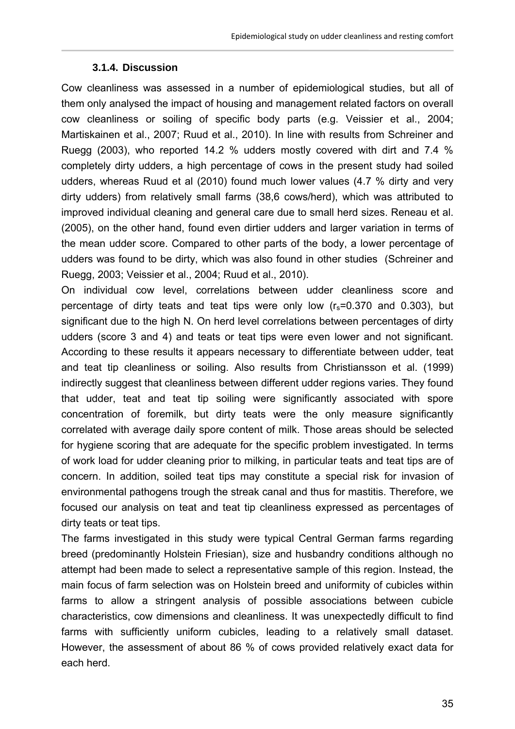#### **3.1.4. Discussion**

Cow cleanliness was assessed in a number of epidemiological studies, but all of them only analysed the impact of housing and management related factors on overall cow cleanliness or soiling of specific body parts (e.g. Veissier et al., 2004; Martiskainen et al., 2007; Ruud et al., 2010). In line with results from Schreiner and Ruegg (2003), who reported 14.2 % udders mostly covered with dirt and 7.4 % completely dirty udders, a high percentage of cows in the present study had soiled udders, whereas Ruud et al (2010) found much lower values (4.7 % dirty and very dirty udders) from relatively small farms (38,6 cows/herd), which was attributed to improved individual cleaning and general care due to small herd sizes. Reneau et al. (2005), on the other hand, found even dirtier udders and larger variation in terms of the mean udder score. Compared to other parts of the body, a lower percentage of udders was found to be dirty, which was also found in other studies (Schreiner and Ruegg, 2003; Veissier et al., 2004; Ruud et al., 2010).

On individual cow level, correlations between udder cleanliness score and percentage of dirty teats and teat tips were only low  $(r_s=0.370$  and 0.303), but significant due to the high N. On herd level correlations between percentages of dirty udders (score 3 and 4) and teats or teat tips were even lower and not significant. According to these results it appears necessary to differentiate between udder, teat and teat tip cleanliness or soiling. Also results from Christiansson et al. (1999) indirectly suggest that cleanliness between different udder regions varies. They found that udder, teat and teat tip soiling were significantly associated with spore concentration of foremilk, but dirty teats were the only measure significantly correlated with average daily spore content of milk. Those areas should be selected for hygiene scoring that are adequate for the specific problem investigated. In terms of work load for udder cleaning prior to milking, in particular teats and teat tips are of concern. In addition, soiled teat tips may constitute a special risk for invasion of environmental pathogens trough the streak canal and thus for mastitis. Therefore, we focused our analysis on teat and teat tip cleanliness expressed as percentages of dirty teats or teat tips.

The farms investigated in this study were typical Central German farms regarding breed (predominantly Holstein Friesian), size and husbandry conditions although no attempt had been made to select a representative sample of this region. Instead, the main focus of farm selection was on Holstein breed and uniformity of cubicles within farms to allow a stringent analysis of possible associations between cubicle characteristics, cow dimensions and cleanliness. It was unexpectedly difficult to find farms with sufficiently uniform cubicles, leading to a relatively small dataset. However, the assessment of about 86 % of cows provided relatively exact data for each herd.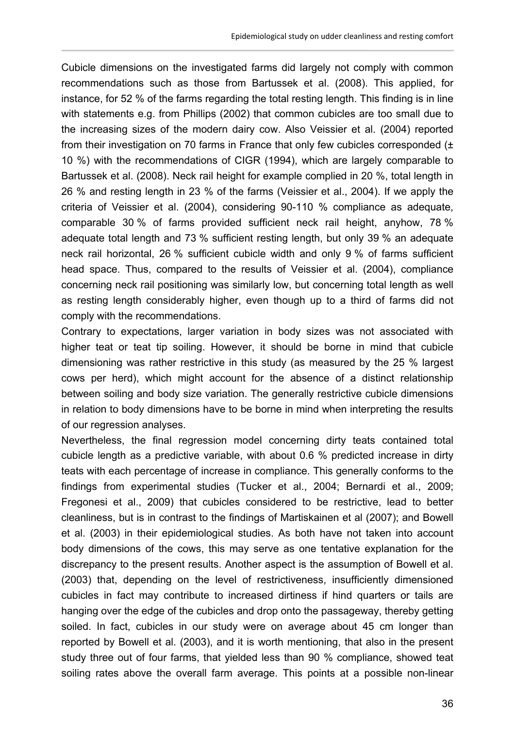Cubicle dimensions on the investigated farms did largely not comply with common recommendations such as those from Bartussek et al. (2008). This applied, for instance, for 52 % of the farms regarding the total resting length. This finding is in line with statements e.g. from Phillips (2002) that common cubicles are too small due to the increasing sizes of the modern dairy cow. Also Veissier et al. (2004) reported from their investigation on 70 farms in France that only few cubicles corresponded (± 10 %) with the recommendations of CIGR (1994), which are largely comparable to Bartussek et al. (2008). Neck rail height for example complied in 20 %, total length in 26 % and resting length in 23 % of the farms (Veissier et al., 2004). If we apply the criteria of Veissier et al. (2004), considering 90-110 % compliance as adequate, comparable 30 % of farms provided sufficient neck rail height, anyhow, 78 % adequate total length and 73 % sufficient resting length, but only 39 % an adequate neck rail horizontal, 26 % sufficient cubicle width and only 9 % of farms sufficient head space. Thus, compared to the results of Veissier et al. (2004), compliance concerning neck rail positioning was similarly low, but concerning total length as well as resting length considerably higher, even though up to a third of farms did not comply with the recommendations.

Contrary to expectations, larger variation in body sizes was not associated with higher teat or teat tip soiling. However, it should be borne in mind that cubicle dimensioning was rather restrictive in this study (as measured by the 25 % largest cows per herd), which might account for the absence of a distinct relationship between soiling and body size variation. The generally restrictive cubicle dimensions in relation to body dimensions have to be borne in mind when interpreting the results of our regression analyses.

Nevertheless, the final regression model concerning dirty teats contained total cubicle length as a predictive variable, with about 0.6 % predicted increase in dirty teats with each percentage of increase in compliance. This generally conforms to the findings from experimental studies (Tucker et al., 2004; Bernardi et al., 2009; Fregonesi et al., 2009) that cubicles considered to be restrictive, lead to better cleanliness, but is in contrast to the findings of Martiskainen et al (2007); and Bowell et al. (2003) in their epidemiological studies. As both have not taken into account body dimensions of the cows, this may serve as one tentative explanation for the discrepancy to the present results. Another aspect is the assumption of Bowell et al. (2003) that, depending on the level of restrictiveness, insufficiently dimensioned cubicles in fact may contribute to increased dirtiness if hind quarters or tails are hanging over the edge of the cubicles and drop onto the passageway, thereby getting soiled. In fact, cubicles in our study were on average about 45 cm longer than reported by Bowell et al. (2003), and it is worth mentioning, that also in the present study three out of four farms, that yielded less than 90 % compliance, showed teat soiling rates above the overall farm average. This points at a possible non-linear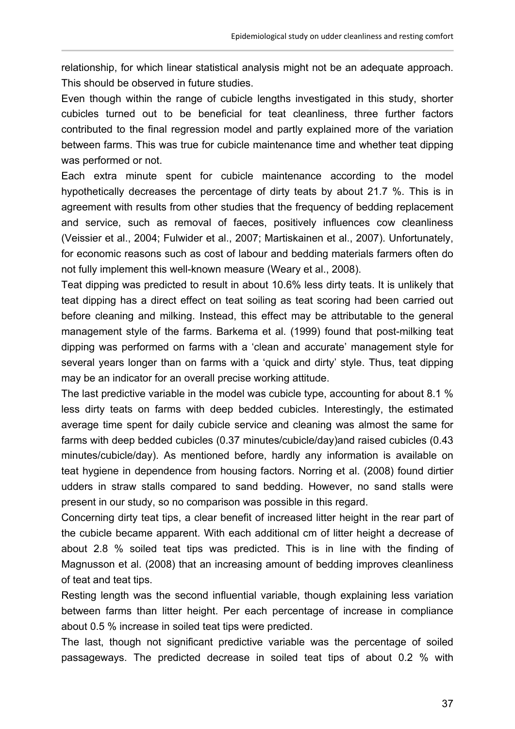relationship, for which linear statistical analysis might not be an adequate approach. This should be observed in future studies.

Even though within the range of cubicle lengths investigated in this study, shorter cubicles turned out to be beneficial for teat cleanliness, three further factors contributed to the final regression model and partly explained more of the variation between farms. This was true for cubicle maintenance time and whether teat dipping was performed or not.

Each extra minute spent for cubicle maintenance according to the model hypothetically decreases the percentage of dirty teats by about 21.7 %. This is in agreement with results from other studies that the frequency of bedding replacement and service, such as removal of faeces, positively influences cow cleanliness (Veissier et al., 2004; Fulwider et al., 2007; Martiskainen et al., 2007). Unfortunately, for economic reasons such as cost of labour and bedding materials farmers often do not fully implement this well-known measure (Weary et al., 2008).

Teat dipping was predicted to result in about 10.6% less dirty teats. It is unlikely that teat dipping has a direct effect on teat soiling as teat scoring had been carried out before cleaning and milking. Instead, this effect may be attributable to the general management style of the farms. Barkema et al. (1999) found that post-milking teat dipping was performed on farms with a 'clean and accurate' management style for several years longer than on farms with a 'quick and dirty' style. Thus, teat dipping may be an indicator for an overall precise working attitude.

The last predictive variable in the model was cubicle type, accounting for about 8.1 % less dirty teats on farms with deep bedded cubicles. Interestingly, the estimated average time spent for daily cubicle service and cleaning was almost the same for farms with deep bedded cubicles (0.37 minutes/cubicle/day)and raised cubicles (0.43 minutes/cubicle/day). As mentioned before, hardly any information is available on teat hygiene in dependence from housing factors. Norring et al. (2008) found dirtier udders in straw stalls compared to sand bedding. However, no sand stalls were present in our study, so no comparison was possible in this regard.

Concerning dirty teat tips, a clear benefit of increased litter height in the rear part of the cubicle became apparent. With each additional cm of litter height a decrease of about 2.8 % soiled teat tips was predicted. This is in line with the finding of Magnusson et al. (2008) that an increasing amount of bedding improves cleanliness of teat and teat tips.

Resting length was the second influential variable, though explaining less variation between farms than litter height. Per each percentage of increase in compliance about 0.5 % increase in soiled teat tips were predicted.

The last, though not significant predictive variable was the percentage of soiled passageways. The predicted decrease in soiled teat tips of about 0.2 % with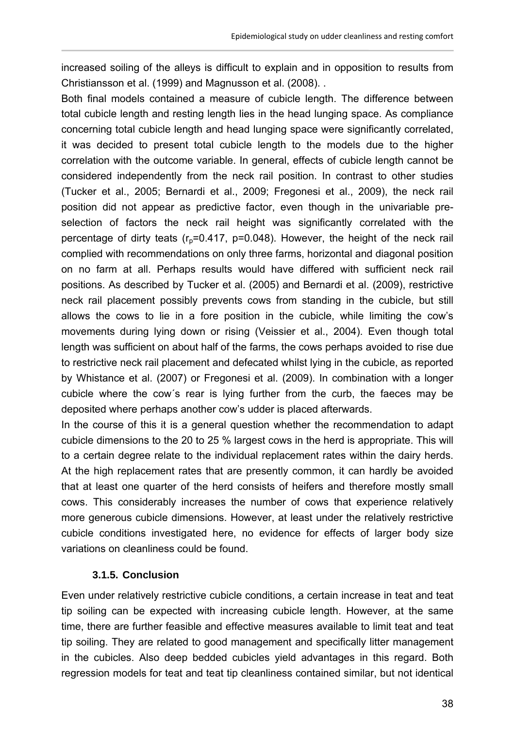increased soiling of the alleys is difficult to explain and in opposition to results from Christiansson et al. (1999) and Magnusson et al. (2008). .

Both final models contained a measure of cubicle length. The difference between total cubicle length and resting length lies in the head lunging space. As compliance concerning total cubicle length and head lunging space were significantly correlated, it was decided to present total cubicle length to the models due to the higher correlation with the outcome variable. In general, effects of cubicle length cannot be considered independently from the neck rail position. In contrast to other studies (Tucker et al., 2005; Bernardi et al., 2009; Fregonesi et al., 2009), the neck rail position did not appear as predictive factor, even though in the univariable preselection of factors the neck rail height was significantly correlated with the percentage of dirty teats ( $r<sub>p</sub>=0.417$ , p=0.048). However, the height of the neck rail complied with recommendations on only three farms, horizontal and diagonal position on no farm at all. Perhaps results would have differed with sufficient neck rail positions. As described by Tucker et al. (2005) and Bernardi et al. (2009), restrictive neck rail placement possibly prevents cows from standing in the cubicle, but still allows the cows to lie in a fore position in the cubicle, while limiting the cow's movements during lying down or rising (Veissier et al., 2004). Even though total length was sufficient on about half of the farms, the cows perhaps avoided to rise due to restrictive neck rail placement and defecated whilst lying in the cubicle, as reported by Whistance et al. (2007) or Fregonesi et al. (2009). In combination with a longer cubicle where the cow´s rear is lying further from the curb, the faeces may be deposited where perhaps another cow's udder is placed afterwards.

In the course of this it is a general question whether the recommendation to adapt cubicle dimensions to the 20 to 25 % largest cows in the herd is appropriate. This will to a certain degree relate to the individual replacement rates within the dairy herds. At the high replacement rates that are presently common, it can hardly be avoided that at least one quarter of the herd consists of heifers and therefore mostly small cows. This considerably increases the number of cows that experience relatively more generous cubicle dimensions. However, at least under the relatively restrictive cubicle conditions investigated here, no evidence for effects of larger body size variations on cleanliness could be found.

## **3.1.5. Conclusion**

Even under relatively restrictive cubicle conditions, a certain increase in teat and teat tip soiling can be expected with increasing cubicle length. However, at the same time, there are further feasible and effective measures available to limit teat and teat tip soiling. They are related to good management and specifically litter management in the cubicles. Also deep bedded cubicles yield advantages in this regard. Both regression models for teat and teat tip cleanliness contained similar, but not identical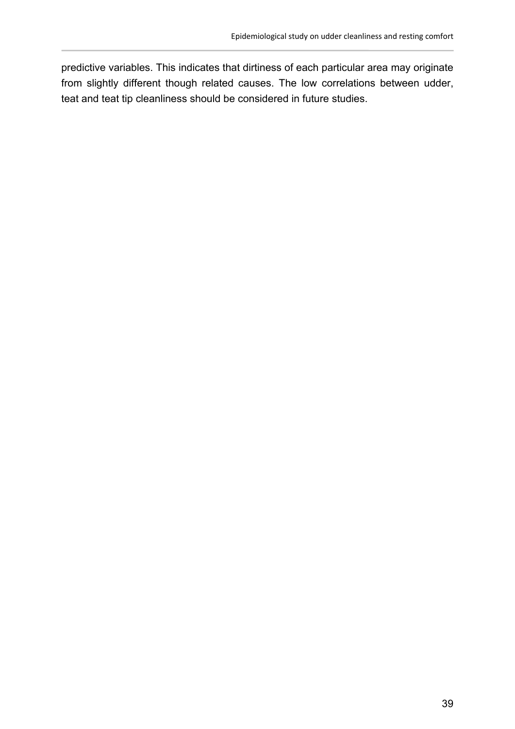predictive variables. This indicates that dirtiness of each particular area may originate from slightly different though related causes. The low correlations between udder, teat and teat tip cleanliness should be considered in future studies.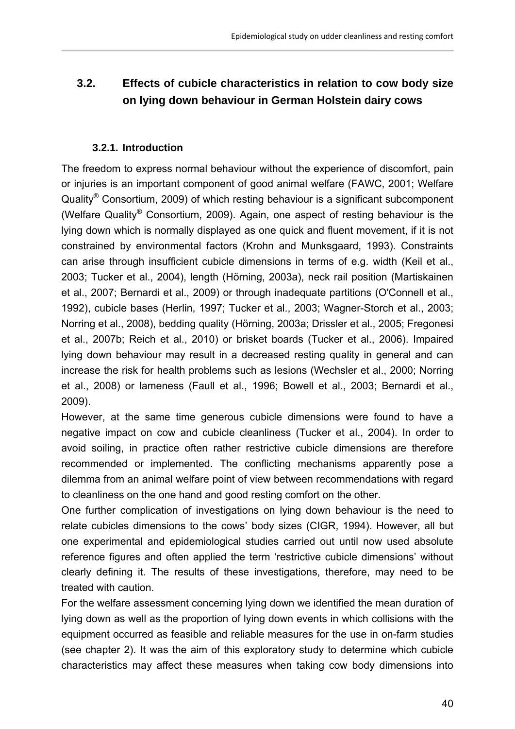# **3.2. Effects of cubicle characteristics in relation to cow body size on lying down behaviour in German Holstein dairy cows**

## **3.2.1. Introduction**

The freedom to express normal behaviour without the experience of discomfort, pain or injuries is an important component of good animal welfare (FAWC, 2001; Welfare Quality® Consortium, 2009) of which resting behaviour is a significant subcomponent (Welfare Quality® Consortium, 2009). Again, one aspect of resting behaviour is the lying down which is normally displayed as one quick and fluent movement, if it is not constrained by environmental factors (Krohn and Munksgaard, 1993). Constraints can arise through insufficient cubicle dimensions in terms of e.g. width (Keil et al., 2003; Tucker et al., 2004), length (Hörning, 2003a), neck rail position (Martiskainen et al., 2007; Bernardi et al., 2009) or through inadequate partitions (O'Connell et al., 1992), cubicle bases (Herlin, 1997; Tucker et al., 2003; Wagner-Storch et al., 2003; Norring et al., 2008), bedding quality (Hörning, 2003a; Drissler et al., 2005; Fregonesi et al., 2007b; Reich et al., 2010) or brisket boards (Tucker et al., 2006). Impaired lying down behaviour may result in a decreased resting quality in general and can increase the risk for health problems such as lesions (Wechsler et al., 2000; Norring et al., 2008) or lameness (Faull et al., 1996; Bowell et al., 2003; Bernardi et al., 2009).

However, at the same time generous cubicle dimensions were found to have a negative impact on cow and cubicle cleanliness (Tucker et al., 2004). In order to avoid soiling, in practice often rather restrictive cubicle dimensions are therefore recommended or implemented. The conflicting mechanisms apparently pose a dilemma from an animal welfare point of view between recommendations with regard to cleanliness on the one hand and good resting comfort on the other.

One further complication of investigations on lying down behaviour is the need to relate cubicles dimensions to the cows' body sizes (CIGR, 1994). However, all but one experimental and epidemiological studies carried out until now used absolute reference figures and often applied the term 'restrictive cubicle dimensions' without clearly defining it. The results of these investigations, therefore, may need to be treated with caution.

For the welfare assessment concerning lying down we identified the mean duration of lying down as well as the proportion of lying down events in which collisions with the equipment occurred as feasible and reliable measures for the use in on-farm studies (see chapter 2). It was the aim of this exploratory study to determine which cubicle characteristics may affect these measures when taking cow body dimensions into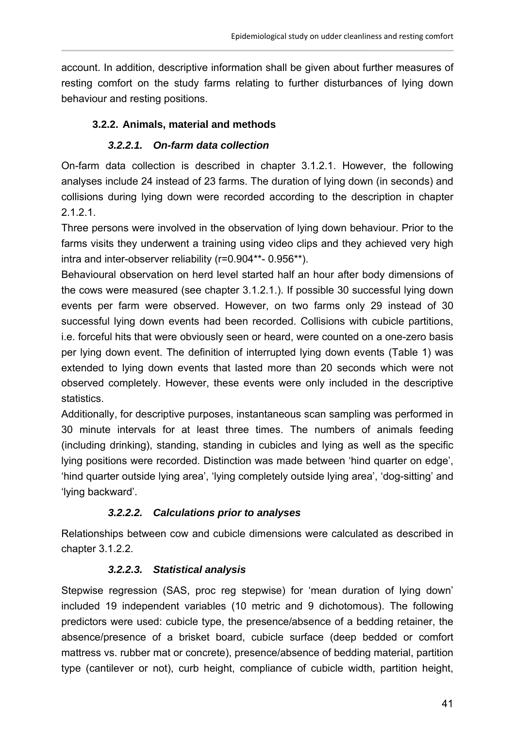account. In addition, descriptive information shall be given about further measures of resting comfort on the study farms relating to further disturbances of lying down behaviour and resting positions.

# **3.2.2. Animals, material and methods**

## *3.2.2.1. On-farm data collection*

On-farm data collection is described in chapter 3.1.2.1. However, the following analyses include 24 instead of 23 farms. The duration of lying down (in seconds) and collisions during lying down were recorded according to the description in chapter 2.1.2.1.

Three persons were involved in the observation of lying down behaviour. Prior to the farms visits they underwent a training using video clips and they achieved very high intra and inter-observer reliability (r=0.904\*\*- 0.956\*\*).

Behavioural observation on herd level started half an hour after body dimensions of the cows were measured (see chapter 3.1.2.1.). If possible 30 successful lying down events per farm were observed. However, on two farms only 29 instead of 30 successful lying down events had been recorded. Collisions with cubicle partitions, i.e. forceful hits that were obviously seen or heard, were counted on a one-zero basis per lying down event. The definition of interrupted lying down events (Table 1) was extended to lying down events that lasted more than 20 seconds which were not observed completely. However, these events were only included in the descriptive statistics.

Additionally, for descriptive purposes, instantaneous scan sampling was performed in 30 minute intervals for at least three times. The numbers of animals feeding (including drinking), standing, standing in cubicles and lying as well as the specific lying positions were recorded. Distinction was made between 'hind quarter on edge', 'hind quarter outside lying area', 'lying completely outside lying area', 'dog-sitting' and 'lying backward'.

# *3.2.2.2. Calculations prior to analyses*

Relationships between cow and cubicle dimensions were calculated as described in chapter 3.1.2.2.

# *3.2.2.3. Statistical analysis*

Stepwise regression (SAS, proc reg stepwise) for 'mean duration of lying down' included 19 independent variables (10 metric and 9 dichotomous). The following predictors were used: cubicle type, the presence/absence of a bedding retainer, the absence/presence of a brisket board, cubicle surface (deep bedded or comfort mattress vs. rubber mat or concrete), presence/absence of bedding material, partition type (cantilever or not), curb height, compliance of cubicle width, partition height,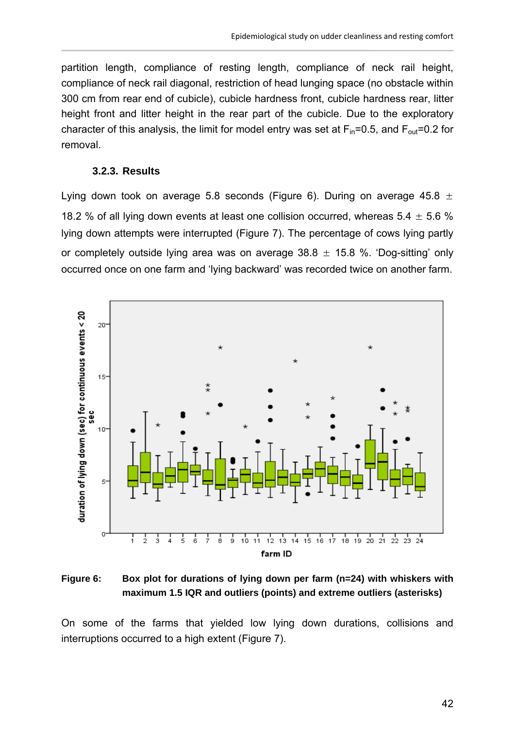partition length, compliance of resting length, compliance of neck rail height, compliance of neck rail diagonal, restriction of head lunging space (no obstacle within 300 cm from rear end of cubicle), cubicle hardness front, cubicle hardness rear, litter height front and litter height in the rear part of the cubicle. Due to the exploratory character of this analysis, the limit for model entry was set at  $F_{in}=0.5$ , and  $F_{out}=0.2$  for removal.

#### **3.2.3. Results**

Lying down took on average 5.8 seconds (Figure 6). During on average 45.8  $\pm$ 18.2 % of all lying down events at least one collision occurred, whereas  $5.4 \pm 5.6$  % lying down attempts were interrupted (Figure 7). The percentage of cows lying partly or completely outside lying area was on average  $38.8 \pm 15.8$  %. 'Dog-sitting' only occurred once on one farm and 'lying backward' was recorded twice on another farm.



**Figure 6: Box plot for durations of lying down per farm (n=24) with whiskers with maximum 1.5 IQR and outliers (points) and extreme outliers (asterisks)** 

On some of the farms that yielded low lying down durations, collisions and interruptions occurred to a high extent (Figure 7).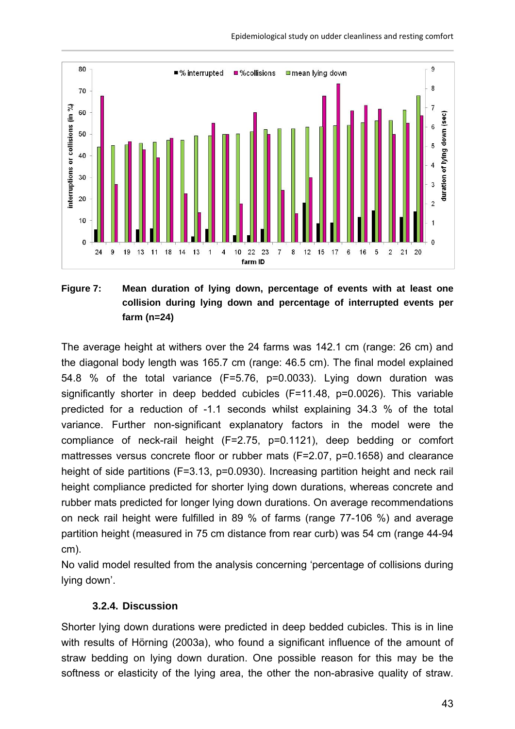

## **Figure 7: Mean duration of lying down, percentage of events with at least one collision during lying down and percentage of interrupted events per farm (n=24)**

The average height at withers over the 24 farms was 142.1 cm (range: 26 cm) and the diagonal body length was 165.7 cm (range: 46.5 cm). The final model explained 54.8 % of the total variance (F=5.76, p=0.0033). Lying down duration was significantly shorter in deep bedded cubicles (F=11.48, p=0.0026). This variable predicted for a reduction of -1.1 seconds whilst explaining 34.3 % of the total variance. Further non-significant explanatory factors in the model were the compliance of neck-rail height (F=2.75, p=0.1121), deep bedding or comfort mattresses versus concrete floor or rubber mats (F=2.07, p=0.1658) and clearance height of side partitions (F=3.13, p=0.0930). Increasing partition height and neck rail height compliance predicted for shorter lying down durations, whereas concrete and rubber mats predicted for longer lying down durations. On average recommendations on neck rail height were fulfilled in 89 % of farms (range 77-106 %) and average partition height (measured in 75 cm distance from rear curb) was 54 cm (range 44-94 cm).

No valid model resulted from the analysis concerning 'percentage of collisions during lying down'.

## **3.2.4. Discussion**

Shorter lying down durations were predicted in deep bedded cubicles. This is in line with results of Hörning (2003a), who found a significant influence of the amount of straw bedding on lying down duration. One possible reason for this may be the softness or elasticity of the lying area, the other the non-abrasive quality of straw.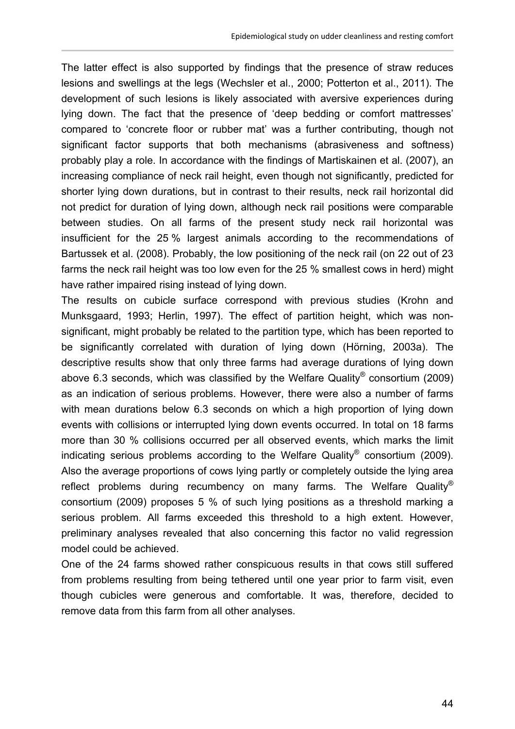The latter effect is also supported by findings that the presence of straw reduces lesions and swellings at the legs (Wechsler et al., 2000; Potterton et al., 2011). The development of such lesions is likely associated with aversive experiences during lying down. The fact that the presence of 'deep bedding or comfort mattresses' compared to 'concrete floor or rubber mat' was a further contributing, though not significant factor supports that both mechanisms (abrasiveness and softness) probably play a role. In accordance with the findings of Martiskainen et al. (2007), an increasing compliance of neck rail height, even though not significantly, predicted for shorter lying down durations, but in contrast to their results, neck rail horizontal did not predict for duration of lying down, although neck rail positions were comparable between studies. On all farms of the present study neck rail horizontal was insufficient for the 25 % largest animals according to the recommendations of Bartussek et al. (2008). Probably, the low positioning of the neck rail (on 22 out of 23 farms the neck rail height was too low even for the 25 % smallest cows in herd) might have rather impaired rising instead of lying down.

The results on cubicle surface correspond with previous studies (Krohn and Munksgaard, 1993; Herlin, 1997). The effect of partition height, which was nonsignificant, might probably be related to the partition type, which has been reported to be significantly correlated with duration of lying down (Hörning, 2003a). The descriptive results show that only three farms had average durations of lying down above 6.3 seconds, which was classified by the Welfare Quality<sup>®</sup> consortium (2009) as an indication of serious problems. However, there were also a number of farms with mean durations below 6.3 seconds on which a high proportion of lying down events with collisions or interrupted lying down events occurred. In total on 18 farms more than 30 % collisions occurred per all observed events, which marks the limit indicating serious problems according to the Welfare Quality® consortium (2009). Also the average proportions of cows lying partly or completely outside the lying area reflect problems during recumbency on many farms. The Welfare Quality® consortium (2009) proposes 5 % of such lying positions as a threshold marking a serious problem. All farms exceeded this threshold to a high extent. However, preliminary analyses revealed that also concerning this factor no valid regression model could be achieved.

One of the 24 farms showed rather conspicuous results in that cows still suffered from problems resulting from being tethered until one year prior to farm visit, even though cubicles were generous and comfortable. It was, therefore, decided to remove data from this farm from all other analyses.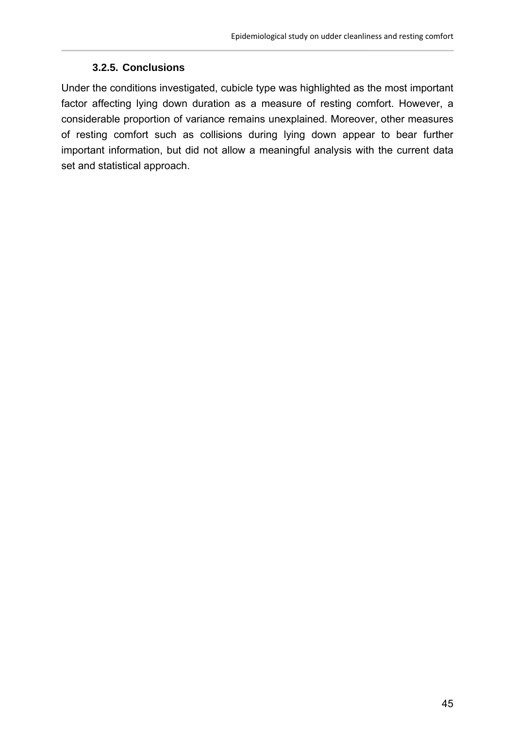## **3.2.5. Conclusions**

Under the conditions investigated, cubicle type was highlighted as the most important factor affecting lying down duration as a measure of resting comfort. However, a considerable proportion of variance remains unexplained. Moreover, other measures of resting comfort such as collisions during lying down appear to bear further important information, but did not allow a meaningful analysis with the current data set and statistical approach.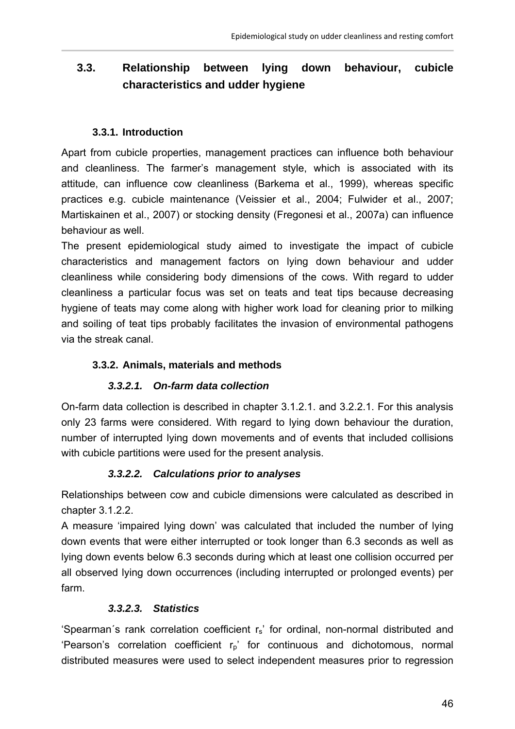# **3.3. Relationship between lying down behaviour, cubicle characteristics and udder hygiene**

## **3.3.1. Introduction**

Apart from cubicle properties, management practices can influence both behaviour and cleanliness. The farmer's management style, which is associated with its attitude, can influence cow cleanliness (Barkema et al., 1999), whereas specific practices e.g. cubicle maintenance (Veissier et al., 2004; Fulwider et al., 2007; Martiskainen et al., 2007) or stocking density (Fregonesi et al., 2007a) can influence behaviour as well.

The present epidemiological study aimed to investigate the impact of cubicle characteristics and management factors on lying down behaviour and udder cleanliness while considering body dimensions of the cows. With regard to udder cleanliness a particular focus was set on teats and teat tips because decreasing hygiene of teats may come along with higher work load for cleaning prior to milking and soiling of teat tips probably facilitates the invasion of environmental pathogens via the streak canal.

## **3.3.2. Animals, materials and methods**

## *3.3.2.1. On-farm data collection*

On-farm data collection is described in chapter 3.1.2.1. and 3.2.2.1. For this analysis only 23 farms were considered. With regard to lying down behaviour the duration, number of interrupted lying down movements and of events that included collisions with cubicle partitions were used for the present analysis.

## *3.3.2.2. Calculations prior to analyses*

Relationships between cow and cubicle dimensions were calculated as described in chapter 3.1.2.2.

A measure 'impaired lying down' was calculated that included the number of lying down events that were either interrupted or took longer than 6.3 seconds as well as lying down events below 6.3 seconds during which at least one collision occurred per all observed lying down occurrences (including interrupted or prolonged events) per farm.

## *3.3.2.3. Statistics*

'Spearman's rank correlation coefficient r<sub>s</sub>' for ordinal, non-normal distributed and 'Pearson's correlation coefficient  $r_p$ ' for continuous and dichotomous, normal distributed measures were used to select independent measures prior to regression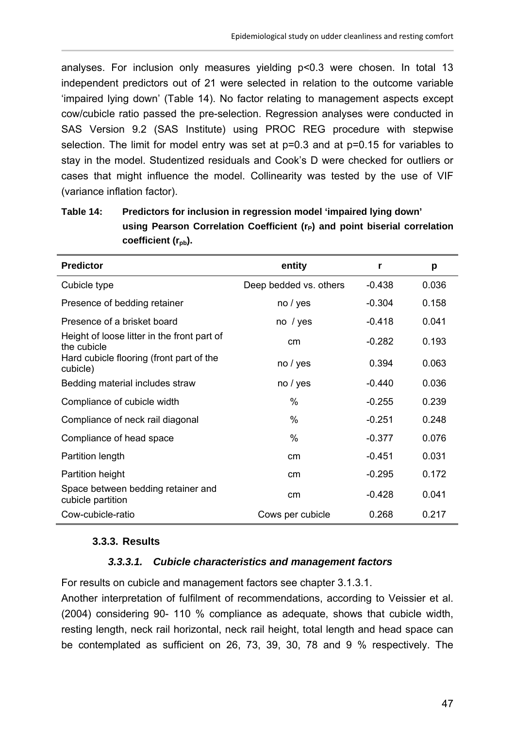analyses. For inclusion only measures yielding p<0.3 were chosen. In total 13 independent predictors out of 21 were selected in relation to the outcome variable 'impaired lying down' (Table 14). No factor relating to management aspects except cow/cubicle ratio passed the pre-selection. Regression analyses were conducted in SAS Version 9.2 (SAS Institute) using PROC REG procedure with stepwise selection. The limit for model entry was set at p=0.3 and at p=0.15 for variables to stay in the model. Studentized residuals and Cook's D were checked for outliers or cases that might influence the model. Collinearity was tested by the use of VIF (variance inflation factor).

| Table 14: | Predictors for inclusion in regression model 'impaired lying down'           |
|-----------|------------------------------------------------------------------------------|
|           | using Pearson Correlation Coefficient $(r_P)$ and point biserial correlation |
|           | coefficient $(r_{\rm ob})$ .                                                 |

| <b>Predictor</b>                                           | entity                 | r        | p     |
|------------------------------------------------------------|------------------------|----------|-------|
| Cubicle type                                               | Deep bedded vs. others | $-0.438$ | 0.036 |
| Presence of bedding retainer                               | no / yes               | $-0.304$ | 0.158 |
| Presence of a brisket board                                | no / yes               | $-0.418$ | 0.041 |
| Height of loose litter in the front part of<br>the cubicle | <sub>cm</sub>          | $-0.282$ | 0.193 |
| Hard cubicle flooring (front part of the<br>cubicle)       | no / yes               | 0.394    | 0.063 |
| Bedding material includes straw                            | no / yes               | $-0.440$ | 0.036 |
| Compliance of cubicle width                                | $\%$                   | $-0.255$ | 0.239 |
| Compliance of neck rail diagonal                           | $\%$                   | $-0.251$ | 0.248 |
| Compliance of head space                                   | $\%$                   | $-0.377$ | 0.076 |
| Partition length                                           | cm                     | $-0.451$ | 0.031 |
| Partition height                                           | cm                     | $-0.295$ | 0.172 |
| Space between bedding retainer and<br>cubicle partition    | cm                     | $-0.428$ | 0.041 |
| Cow-cubicle-ratio                                          | Cows per cubicle       | 0.268    | 0.217 |

#### **3.3.3. Results**

j.

#### *3.3.3.1. Cubicle characteristics and management factors*

For results on cubicle and management factors see chapter 3.1.3.1. Another interpretation of fulfilment of recommendations, according to Veissier et al.

(2004) considering 90- 110 % compliance as adequate, shows that cubicle width, resting length, neck rail horizontal, neck rail height, total length and head space can be contemplated as sufficient on 26, 73, 39, 30, 78 and 9 % respectively. The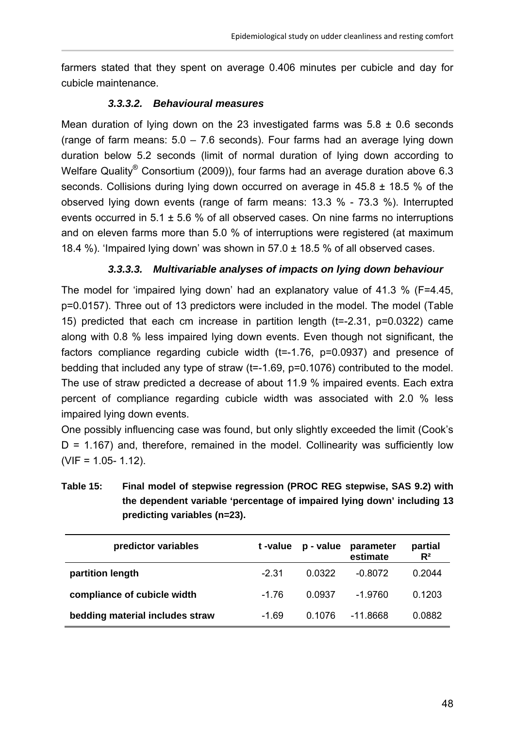farmers stated that they spent on average 0.406 minutes per cubicle and day for cubicle maintenance.

## *3.3.3.2. Behavioural measures*

Mean duration of lying down on the 23 investigated farms was  $5.8 \pm 0.6$  seconds (range of farm means: 5.0 – 7.6 seconds). Four farms had an average lying down duration below 5.2 seconds (limit of normal duration of lying down according to Welfare Quality® Consortium (2009)), four farms had an average duration above 6.3 seconds. Collisions during lying down occurred on average in  $45.8 \pm 18.5$  % of the observed lying down events (range of farm means: 13.3 % - 73.3 %). Interrupted events occurred in  $5.1 \pm 5.6$  % of all observed cases. On nine farms no interruptions and on eleven farms more than 5.0 % of interruptions were registered (at maximum 18.4 %). 'Impaired lying down' was shown in 57.0 ± 18.5 % of all observed cases.

## *3.3.3.3. Multivariable analyses of impacts on lying down behaviour*

The model for 'impaired lying down' had an explanatory value of 41.3 % (F=4.45, p=0.0157). Three out of 13 predictors were included in the model. The model (Table 15) predicted that each cm increase in partition length (t=-2.31, p=0.0322) came along with 0.8 % less impaired lying down events. Even though not significant, the factors compliance regarding cubicle width (t=-1.76, p=0.0937) and presence of bedding that included any type of straw (t=-1.69, p=0.1076) contributed to the model. The use of straw predicted a decrease of about 11.9 % impaired events. Each extra percent of compliance regarding cubicle width was associated with 2.0 % less impaired lying down events.

One possibly influencing case was found, but only slightly exceeded the limit (Cook's  $D = 1.167$ ) and, therefore, remained in the model. Collinearity was sufficiently low (VIF = 1.05- 1.12).

| Table 15: | Final model of stepwise regression (PROC REG stepwise, SAS 9.2) with    |
|-----------|-------------------------------------------------------------------------|
|           | the dependent variable 'percentage of impaired lying down' including 13 |
|           | predicting variables (n=23).                                            |

| predictor variables             | t-value | p - value | parameter<br>estimate | partial<br>R <sup>2</sup> |
|---------------------------------|---------|-----------|-----------------------|---------------------------|
| partition length                | $-2.31$ | 0.0322    | $-0.8072$             | 0.2044                    |
| compliance of cubicle width     | $-1.76$ | 0.0937    | -1.9760               | 0.1203                    |
| bedding material includes straw | $-1.69$ | 0 1076    | -11 8668              | 0.0882                    |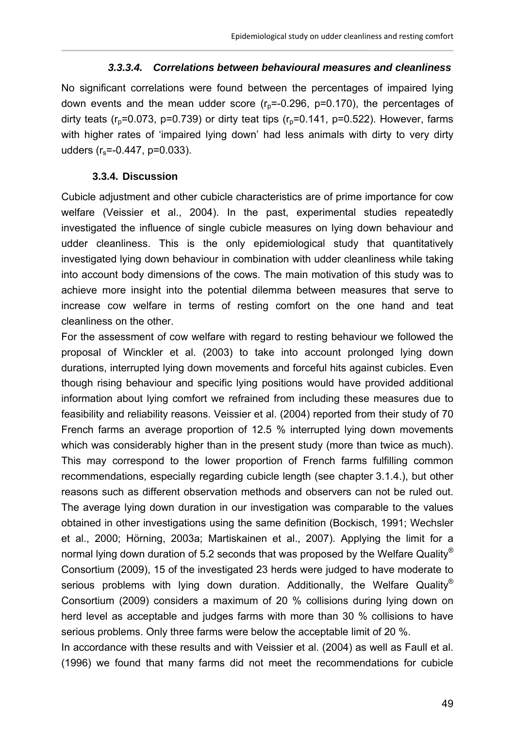#### *3.3.3.4. Correlations between behavioural measures and cleanliness*

No significant correlations were found between the percentages of impaired lying down events and the mean udder score  $(r_0 = -0.296, p = 0.170)$ , the percentages of dirty teats ( $r_p$ =0.073, p=0.739) or dirty teat tips ( $r_p$ =0.141, p=0.522). However, farms with higher rates of 'impaired lying down' had less animals with dirty to very dirty udders  $(r_s=-0.447, p=0.033)$ .

#### **3.3.4. Discussion**

Cubicle adjustment and other cubicle characteristics are of prime importance for cow welfare (Veissier et al., 2004). In the past, experimental studies repeatedly investigated the influence of single cubicle measures on lying down behaviour and udder cleanliness. This is the only epidemiological study that quantitatively investigated lying down behaviour in combination with udder cleanliness while taking into account body dimensions of the cows. The main motivation of this study was to achieve more insight into the potential dilemma between measures that serve to increase cow welfare in terms of resting comfort on the one hand and teat cleanliness on the other.

For the assessment of cow welfare with regard to resting behaviour we followed the proposal of Winckler et al. (2003) to take into account prolonged lying down durations, interrupted lying down movements and forceful hits against cubicles. Even though rising behaviour and specific lying positions would have provided additional information about lying comfort we refrained from including these measures due to feasibility and reliability reasons. Veissier et al. (2004) reported from their study of 70 French farms an average proportion of 12.5 % interrupted lying down movements which was considerably higher than in the present study (more than twice as much). This may correspond to the lower proportion of French farms fulfilling common recommendations, especially regarding cubicle length (see chapter 3.1.4.), but other reasons such as different observation methods and observers can not be ruled out. The average lying down duration in our investigation was comparable to the values obtained in other investigations using the same definition (Bockisch, 1991; Wechsler et al., 2000; Hörning, 2003a; Martiskainen et al., 2007). Applying the limit for a normal lying down duration of 5.2 seconds that was proposed by the Welfare Quality<sup>®</sup> Consortium (2009), 15 of the investigated 23 herds were judged to have moderate to serious problems with lying down duration. Additionally, the Welfare Quality<sup>®</sup> Consortium (2009) considers a maximum of 20 % collisions during lying down on herd level as acceptable and judges farms with more than 30 % collisions to have serious problems. Only three farms were below the acceptable limit of 20 %.

In accordance with these results and with Veissier et al. (2004) as well as Faull et al. (1996) we found that many farms did not meet the recommendations for cubicle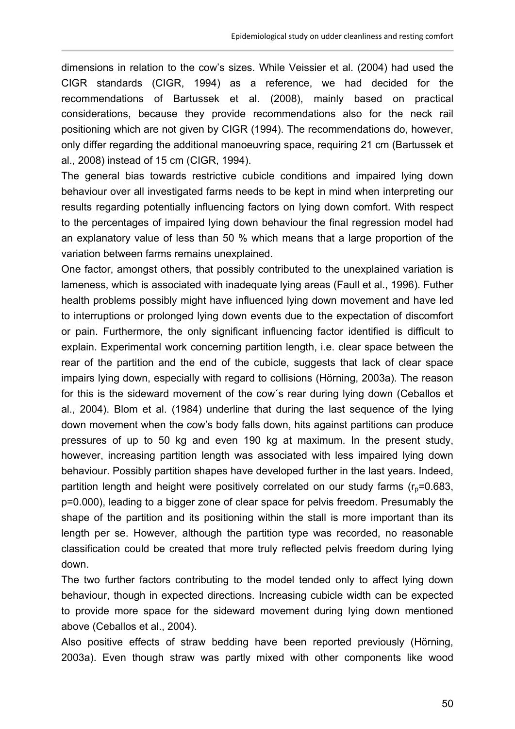dimensions in relation to the cow's sizes. While Veissier et al. (2004) had used the CIGR standards (CIGR, 1994) as a reference, we had decided for the recommendations of Bartussek et al. (2008), mainly based on practical considerations, because they provide recommendations also for the neck rail positioning which are not given by CIGR (1994). The recommendations do, however, only differ regarding the additional manoeuvring space, requiring 21 cm (Bartussek et al., 2008) instead of 15 cm (CIGR, 1994).

The general bias towards restrictive cubicle conditions and impaired lying down behaviour over all investigated farms needs to be kept in mind when interpreting our results regarding potentially influencing factors on lying down comfort. With respect to the percentages of impaired lying down behaviour the final regression model had an explanatory value of less than 50 % which means that a large proportion of the variation between farms remains unexplained.

One factor, amongst others, that possibly contributed to the unexplained variation is lameness, which is associated with inadequate lying areas (Faull et al., 1996). Futher health problems possibly might have influenced lying down movement and have led to interruptions or prolonged lying down events due to the expectation of discomfort or pain. Furthermore, the only significant influencing factor identified is difficult to explain. Experimental work concerning partition length, i.e. clear space between the rear of the partition and the end of the cubicle, suggests that lack of clear space impairs lying down, especially with regard to collisions (Hörning, 2003a). The reason for this is the sideward movement of the cow´s rear during lying down (Ceballos et al., 2004). Blom et al. (1984) underline that during the last sequence of the lying down movement when the cow's body falls down, hits against partitions can produce pressures of up to 50 kg and even 190 kg at maximum. In the present study, however, increasing partition length was associated with less impaired lying down behaviour. Possibly partition shapes have developed further in the last years. Indeed, partition length and height were positively correlated on our study farms  $(r_0=0.683)$ , p=0.000), leading to a bigger zone of clear space for pelvis freedom. Presumably the shape of the partition and its positioning within the stall is more important than its length per se. However, although the partition type was recorded, no reasonable classification could be created that more truly reflected pelvis freedom during lying down.

The two further factors contributing to the model tended only to affect lying down behaviour, though in expected directions. Increasing cubicle width can be expected to provide more space for the sideward movement during lying down mentioned above (Ceballos et al., 2004).

Also positive effects of straw bedding have been reported previously (Hörning, 2003a). Even though straw was partly mixed with other components like wood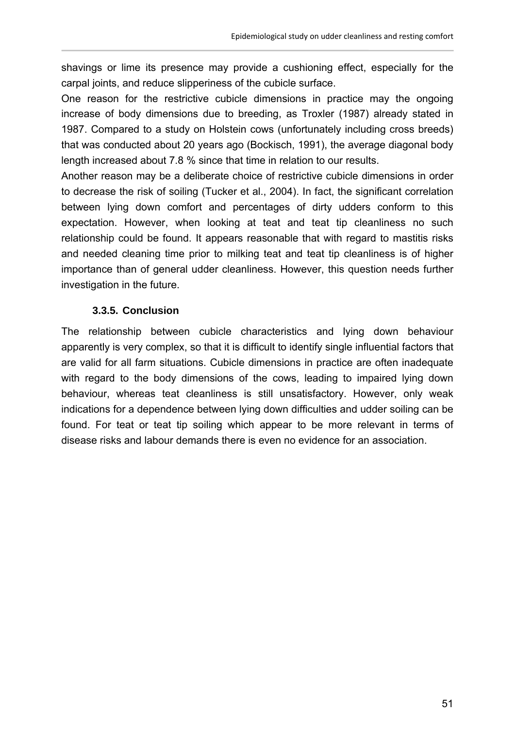shavings or lime its presence may provide a cushioning effect, especially for the carpal joints, and reduce slipperiness of the cubicle surface.

One reason for the restrictive cubicle dimensions in practice may the ongoing increase of body dimensions due to breeding, as Troxler (1987) already stated in 1987. Compared to a study on Holstein cows (unfortunately including cross breeds) that was conducted about 20 years ago (Bockisch, 1991), the average diagonal body length increased about 7.8 % since that time in relation to our results.

Another reason may be a deliberate choice of restrictive cubicle dimensions in order to decrease the risk of soiling (Tucker et al., 2004). In fact, the significant correlation between lying down comfort and percentages of dirty udders conform to this expectation. However, when looking at teat and teat tip cleanliness no such relationship could be found. It appears reasonable that with regard to mastitis risks and needed cleaning time prior to milking teat and teat tip cleanliness is of higher importance than of general udder cleanliness. However, this question needs further investigation in the future.

#### **3.3.5. Conclusion**

The relationship between cubicle characteristics and lying down behaviour apparently is very complex, so that it is difficult to identify single influential factors that are valid for all farm situations. Cubicle dimensions in practice are often inadequate with regard to the body dimensions of the cows, leading to impaired lying down behaviour, whereas teat cleanliness is still unsatisfactory. However, only weak indications for a dependence between lying down difficulties and udder soiling can be found. For teat or teat tip soiling which appear to be more relevant in terms of disease risks and labour demands there is even no evidence for an association.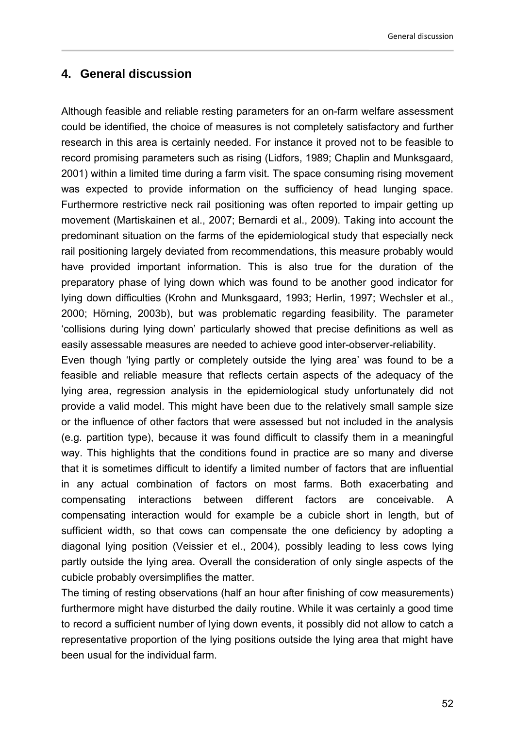### **4. General discussion**

Although feasible and reliable resting parameters for an on-farm welfare assessment could be identified, the choice of measures is not completely satisfactory and further research in this area is certainly needed. For instance it proved not to be feasible to record promising parameters such as rising (Lidfors, 1989; Chaplin and Munksgaard, 2001) within a limited time during a farm visit. The space consuming rising movement was expected to provide information on the sufficiency of head lunging space. Furthermore restrictive neck rail positioning was often reported to impair getting up movement (Martiskainen et al., 2007; Bernardi et al., 2009). Taking into account the predominant situation on the farms of the epidemiological study that especially neck rail positioning largely deviated from recommendations, this measure probably would have provided important information. This is also true for the duration of the preparatory phase of lying down which was found to be another good indicator for lying down difficulties (Krohn and Munksgaard, 1993; Herlin, 1997; Wechsler et al., 2000; Hörning, 2003b), but was problematic regarding feasibility. The parameter 'collisions during lying down' particularly showed that precise definitions as well as easily assessable measures are needed to achieve good inter-observer-reliability.

Even though 'lying partly or completely outside the lying area' was found to be a feasible and reliable measure that reflects certain aspects of the adequacy of the lying area, regression analysis in the epidemiological study unfortunately did not provide a valid model. This might have been due to the relatively small sample size or the influence of other factors that were assessed but not included in the analysis (e.g. partition type), because it was found difficult to classify them in a meaningful way. This highlights that the conditions found in practice are so many and diverse that it is sometimes difficult to identify a limited number of factors that are influential in any actual combination of factors on most farms. Both exacerbating and compensating interactions between different factors are conceivable. A compensating interaction would for example be a cubicle short in length, but of sufficient width, so that cows can compensate the one deficiency by adopting a diagonal lying position (Veissier et el., 2004), possibly leading to less cows lying partly outside the lying area. Overall the consideration of only single aspects of the cubicle probably oversimplifies the matter.

The timing of resting observations (half an hour after finishing of cow measurements) furthermore might have disturbed the daily routine. While it was certainly a good time to record a sufficient number of lying down events, it possibly did not allow to catch a representative proportion of the lying positions outside the lying area that might have been usual for the individual farm.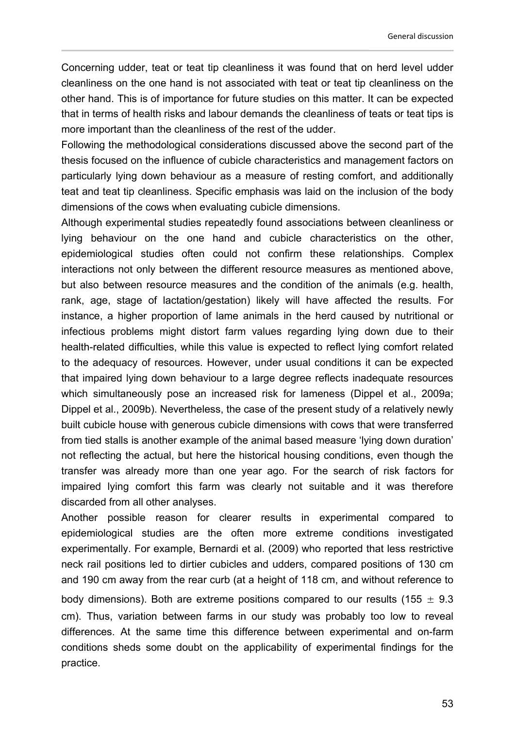Concerning udder, teat or teat tip cleanliness it was found that on herd level udder cleanliness on the one hand is not associated with teat or teat tip cleanliness on the other hand. This is of importance for future studies on this matter. It can be expected that in terms of health risks and labour demands the cleanliness of teats or teat tips is more important than the cleanliness of the rest of the udder.

Following the methodological considerations discussed above the second part of the thesis focused on the influence of cubicle characteristics and management factors on particularly lying down behaviour as a measure of resting comfort, and additionally teat and teat tip cleanliness. Specific emphasis was laid on the inclusion of the body dimensions of the cows when evaluating cubicle dimensions.

Although experimental studies repeatedly found associations between cleanliness or lying behaviour on the one hand and cubicle characteristics on the other, epidemiological studies often could not confirm these relationships. Complex interactions not only between the different resource measures as mentioned above, but also between resource measures and the condition of the animals (e.g. health, rank, age, stage of lactation/gestation) likely will have affected the results. For instance, a higher proportion of lame animals in the herd caused by nutritional or infectious problems might distort farm values regarding lying down due to their health-related difficulties, while this value is expected to reflect lying comfort related to the adequacy of resources. However, under usual conditions it can be expected that impaired lying down behaviour to a large degree reflects inadequate resources which simultaneously pose an increased risk for lameness (Dippel et al., 2009a; Dippel et al., 2009b). Nevertheless, the case of the present study of a relatively newly built cubicle house with generous cubicle dimensions with cows that were transferred from tied stalls is another example of the animal based measure 'lying down duration' not reflecting the actual, but here the historical housing conditions, even though the transfer was already more than one year ago. For the search of risk factors for impaired lying comfort this farm was clearly not suitable and it was therefore discarded from all other analyses.

Another possible reason for clearer results in experimental compared to epidemiological studies are the often more extreme conditions investigated experimentally. For example, Bernardi et al. (2009) who reported that less restrictive neck rail positions led to dirtier cubicles and udders, compared positions of 130 cm and 190 cm away from the rear curb (at a height of 118 cm, and without reference to body dimensions). Both are extreme positions compared to our results (155  $\pm$  9.3 cm). Thus, variation between farms in our study was probably too low to reveal differences. At the same time this difference between experimental and on-farm conditions sheds some doubt on the applicability of experimental findings for the practice.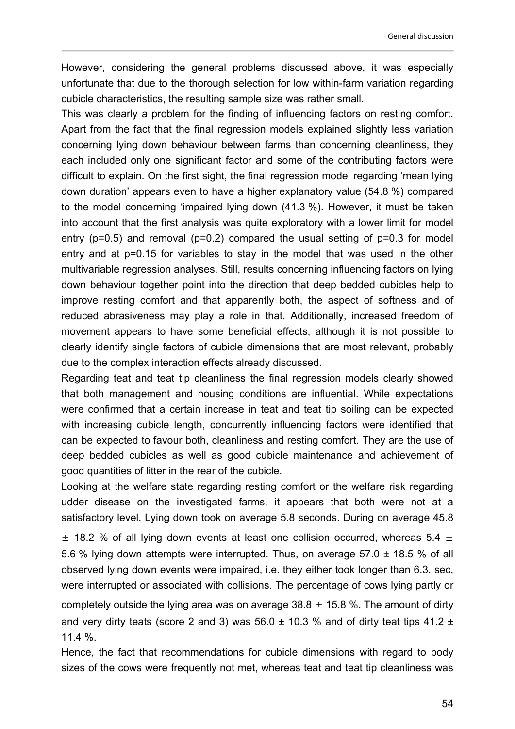However, considering the general problems discussed above, it was especially unfortunate that due to the thorough selection for low within-farm variation regarding cubicle characteristics, the resulting sample size was rather small.

This was clearly a problem for the finding of influencing factors on resting comfort. Apart from the fact that the final regression models explained slightly less variation concerning lying down behaviour between farms than concerning cleanliness, they each included only one significant factor and some of the contributing factors were difficult to explain. On the first sight, the final regression model regarding 'mean lying down duration' appears even to have a higher explanatory value (54.8 %) compared to the model concerning 'impaired lying down (41.3 %). However, it must be taken into account that the first analysis was quite exploratory with a lower limit for model entry ( $p=0.5$ ) and removal ( $p=0.2$ ) compared the usual setting of  $p=0.3$  for model entry and at p=0.15 for variables to stay in the model that was used in the other multivariable regression analyses. Still, results concerning influencing factors on lying down behaviour together point into the direction that deep bedded cubicles help to improve resting comfort and that apparently both, the aspect of softness and of reduced abrasiveness may play a role in that. Additionally, increased freedom of movement appears to have some beneficial effects, although it is not possible to clearly identify single factors of cubicle dimensions that are most relevant, probably due to the complex interaction effects already discussed.

Regarding teat and teat tip cleanliness the final regression models clearly showed that both management and housing conditions are influential. While expectations were confirmed that a certain increase in teat and teat tip soiling can be expected with increasing cubicle length, concurrently influencing factors were identified that can be expected to favour both, cleanliness and resting comfort. They are the use of deep bedded cubicles as well as good cubicle maintenance and achievement of good quantities of litter in the rear of the cubicle.

Looking at the welfare state regarding resting comfort or the welfare risk regarding udder disease on the investigated farms, it appears that both were not at a satisfactory level. Lying down took on average 5.8 seconds. During on average 45.8

 $\pm$  18.2 % of all lying down events at least one collision occurred, whereas 5.4  $\pm$ 5.6 % lying down attempts were interrupted. Thus, on average 57.0 ± 18.5 % of all observed lying down events were impaired, i.e. they either took longer than 6.3. sec, were interrupted or associated with collisions. The percentage of cows lying partly or

completely outside the lying area was on average  $38.8 \pm 15.8$  %. The amount of dirty and very dirty teats (score 2 and 3) was  $56.0 \pm 10.3$  % and of dirty teat tips 41.2  $\pm$ 11.4 %.

Hence, the fact that recommendations for cubicle dimensions with regard to body sizes of the cows were frequently not met, whereas teat and teat tip cleanliness was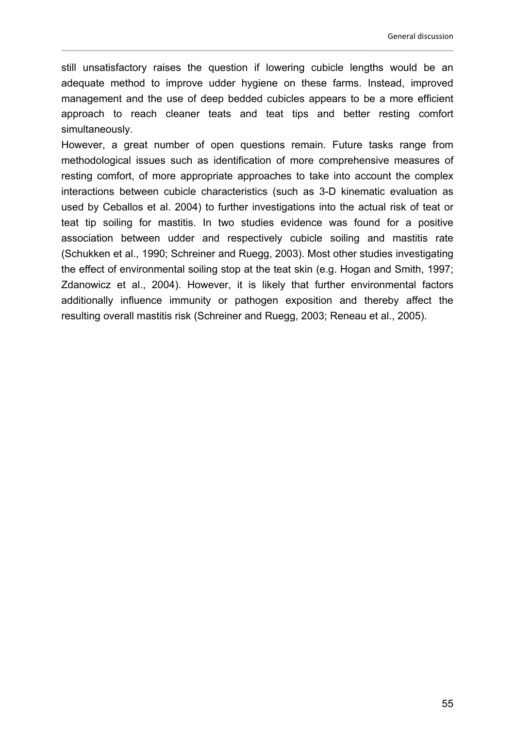still unsatisfactory raises the question if lowering cubicle lengths would be an adequate method to improve udder hygiene on these farms. Instead, improved management and the use of deep bedded cubicles appears to be a more efficient approach to reach cleaner teats and teat tips and better resting comfort simultaneously.

However, a great number of open questions remain. Future tasks range from methodological issues such as identification of more comprehensive measures of resting comfort, of more appropriate approaches to take into account the complex interactions between cubicle characteristics (such as 3-D kinematic evaluation as used by Ceballos et al. 2004) to further investigations into the actual risk of teat or teat tip soiling for mastitis. In two studies evidence was found for a positive association between udder and respectively cubicle soiling and mastitis rate (Schukken et al., 1990; Schreiner and Ruegg, 2003). Most other studies investigating the effect of environmental soiling stop at the teat skin (e.g. Hogan and Smith, 1997; Zdanowicz et al., 2004). However, it is likely that further environmental factors additionally influence immunity or pathogen exposition and thereby affect the resulting overall mastitis risk (Schreiner and Ruegg, 2003; Reneau et al., 2005).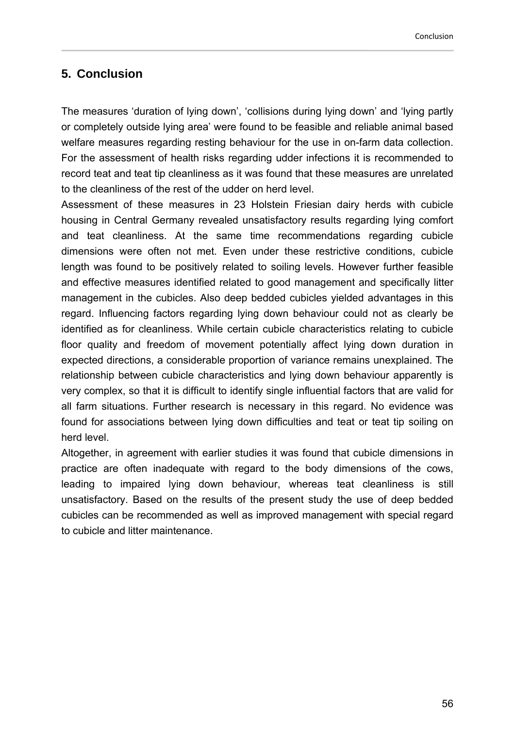# **5. Conclusion**

The measures 'duration of lying down', 'collisions during lying down' and 'lying partly or completely outside lying area' were found to be feasible and reliable animal based welfare measures regarding resting behaviour for the use in on-farm data collection. For the assessment of health risks regarding udder infections it is recommended to record teat and teat tip cleanliness as it was found that these measures are unrelated to the cleanliness of the rest of the udder on herd level.

Assessment of these measures in 23 Holstein Friesian dairy herds with cubicle housing in Central Germany revealed unsatisfactory results regarding lying comfort and teat cleanliness. At the same time recommendations regarding cubicle dimensions were often not met. Even under these restrictive conditions, cubicle length was found to be positively related to soiling levels. However further feasible and effective measures identified related to good management and specifically litter management in the cubicles. Also deep bedded cubicles yielded advantages in this regard. Influencing factors regarding lying down behaviour could not as clearly be identified as for cleanliness. While certain cubicle characteristics relating to cubicle floor quality and freedom of movement potentially affect lying down duration in expected directions, a considerable proportion of variance remains unexplained. The relationship between cubicle characteristics and lying down behaviour apparently is very complex, so that it is difficult to identify single influential factors that are valid for all farm situations. Further research is necessary in this regard. No evidence was found for associations between lying down difficulties and teat or teat tip soiling on herd level.

Altogether, in agreement with earlier studies it was found that cubicle dimensions in practice are often inadequate with regard to the body dimensions of the cows, leading to impaired lying down behaviour, whereas teat cleanliness is still unsatisfactory. Based on the results of the present study the use of deep bedded cubicles can be recommended as well as improved management with special regard to cubicle and litter maintenance.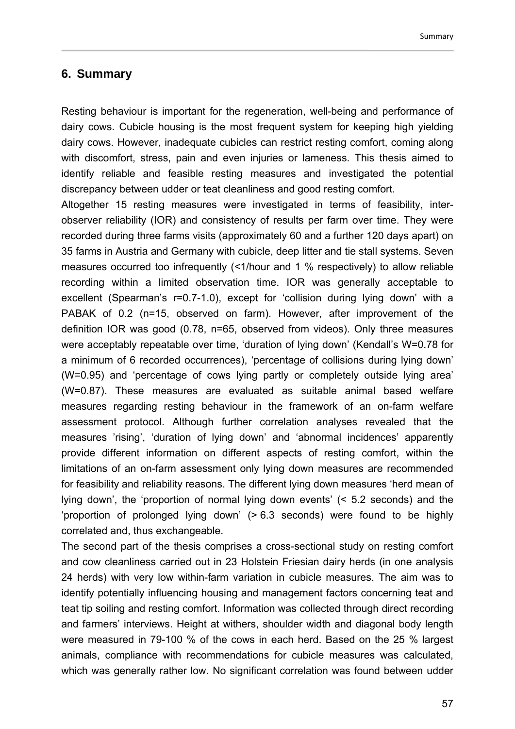## **6. Summary**

Resting behaviour is important for the regeneration, well-being and performance of dairy cows. Cubicle housing is the most frequent system for keeping high yielding dairy cows. However, inadequate cubicles can restrict resting comfort, coming along with discomfort, stress, pain and even injuries or lameness. This thesis aimed to identify reliable and feasible resting measures and investigated the potential discrepancy between udder or teat cleanliness and good resting comfort.

Altogether 15 resting measures were investigated in terms of feasibility, interobserver reliability (IOR) and consistency of results per farm over time. They were recorded during three farms visits (approximately 60 and a further 120 days apart) on 35 farms in Austria and Germany with cubicle, deep litter and tie stall systems. Seven measures occurred too infrequently (<1/hour and 1 % respectively) to allow reliable recording within a limited observation time. IOR was generally acceptable to excellent (Spearman's r=0.7-1.0), except for 'collision during lying down' with a PABAK of 0.2 (n=15, observed on farm). However, after improvement of the definition IOR was good (0.78, n=65, observed from videos). Only three measures were acceptably repeatable over time, 'duration of lying down' (Kendall's W=0.78 for a minimum of 6 recorded occurrences), 'percentage of collisions during lying down' (W=0.95) and 'percentage of cows lying partly or completely outside lying area' (W=0.87). These measures are evaluated as suitable animal based welfare measures regarding resting behaviour in the framework of an on-farm welfare assessment protocol. Although further correlation analyses revealed that the measures 'rising', 'duration of lying down' and 'abnormal incidences' apparently provide different information on different aspects of resting comfort, within the limitations of an on-farm assessment only lying down measures are recommended for feasibility and reliability reasons. The different lying down measures 'herd mean of lying down', the 'proportion of normal lying down events' (< 5.2 seconds) and the 'proportion of prolonged lying down' (> 6.3 seconds) were found to be highly correlated and, thus exchangeable.

The second part of the thesis comprises a cross-sectional study on resting comfort and cow cleanliness carried out in 23 Holstein Friesian dairy herds (in one analysis 24 herds) with very low within-farm variation in cubicle measures. The aim was to identify potentially influencing housing and management factors concerning teat and teat tip soiling and resting comfort. Information was collected through direct recording and farmers' interviews. Height at withers, shoulder width and diagonal body length were measured in 79-100 % of the cows in each herd. Based on the 25 % largest animals, compliance with recommendations for cubicle measures was calculated, which was generally rather low. No significant correlation was found between udder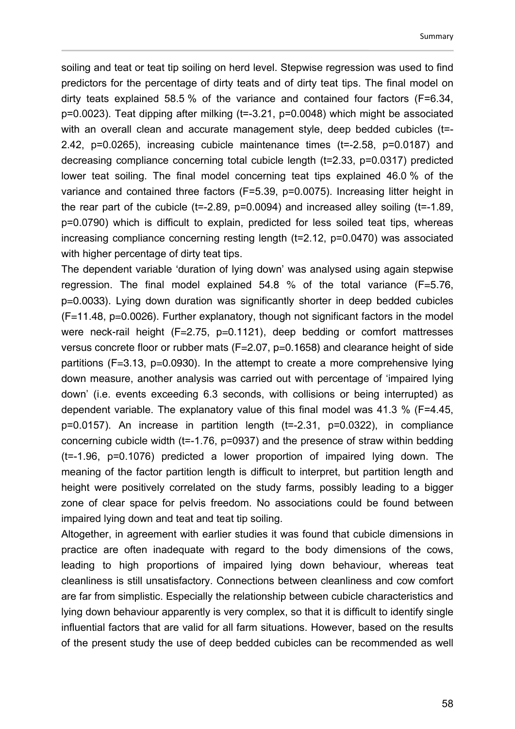soiling and teat or teat tip soiling on herd level. Stepwise regression was used to find predictors for the percentage of dirty teats and of dirty teat tips. The final model on dirty teats explained 58.5 % of the variance and contained four factors (F=6.34, p=0.0023). Teat dipping after milking (t=-3.21, p=0.0048) which might be associated with an overall clean and accurate management style, deep bedded cubicles (t=-2.42, p=0.0265), increasing cubicle maintenance times (t=-2.58, p=0.0187) and decreasing compliance concerning total cubicle length (t=2.33, p=0.0317) predicted lower teat soiling. The final model concerning teat tips explained 46.0 % of the variance and contained three factors (F=5.39, p=0.0075). Increasing litter height in the rear part of the cubicle  $(t=-2.89, p=0.0094)$  and increased alley soiling  $(t=-1.89, p=0.0094)$ p=0.0790) which is difficult to explain, predicted for less soiled teat tips, whereas increasing compliance concerning resting length (t=2.12, p=0.0470) was associated with higher percentage of dirty teat tips.

The dependent variable 'duration of lying down' was analysed using again stepwise regression. The final model explained 54.8 % of the total variance (F=5.76, p=0.0033). Lying down duration was significantly shorter in deep bedded cubicles (F=11.48, p=0.0026). Further explanatory, though not significant factors in the model were neck-rail height (F=2.75, p=0.1121), deep bedding or comfort mattresses versus concrete floor or rubber mats (F=2.07, p=0.1658) and clearance height of side partitions (F=3.13, p=0.0930). In the attempt to create a more comprehensive lying down measure, another analysis was carried out with percentage of 'impaired lying down' (i.e. events exceeding 6.3 seconds, with collisions or being interrupted) as dependent variable. The explanatory value of this final model was 41.3 % (F=4.45, p=0.0157). An increase in partition length (t=-2.31, p=0.0322), in compliance concerning cubicle width (t=-1.76, p=0937) and the presence of straw within bedding (t=-1.96, p=0.1076) predicted a lower proportion of impaired lying down. The meaning of the factor partition length is difficult to interpret, but partition length and height were positively correlated on the study farms, possibly leading to a bigger zone of clear space for pelvis freedom. No associations could be found between impaired lying down and teat and teat tip soiling.

Altogether, in agreement with earlier studies it was found that cubicle dimensions in practice are often inadequate with regard to the body dimensions of the cows, leading to high proportions of impaired lying down behaviour, whereas teat cleanliness is still unsatisfactory. Connections between cleanliness and cow comfort are far from simplistic. Especially the relationship between cubicle characteristics and lying down behaviour apparently is very complex, so that it is difficult to identify single influential factors that are valid for all farm situations. However, based on the results of the present study the use of deep bedded cubicles can be recommended as well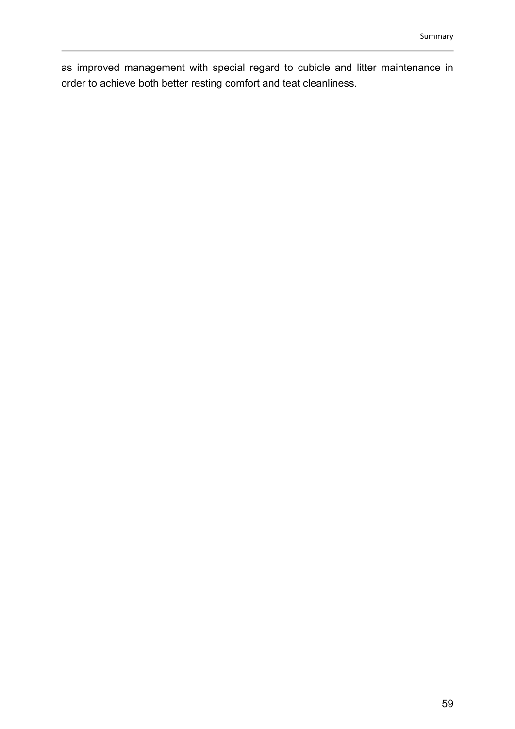as improved management with special regard to cubicle and litter maintenance in order to achieve both better resting comfort and teat cleanliness.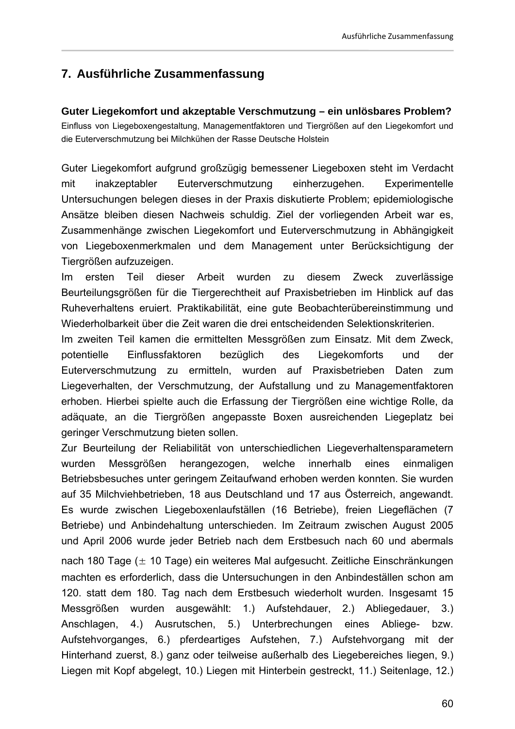# **7. Ausführliche Zusammenfassung**

#### **Guter Liegekomfort und akzeptable Verschmutzung – ein unlösbares Problem?**

Einfluss von Liegeboxengestaltung, Managementfaktoren und Tiergrößen auf den Liegekomfort und die Euterverschmutzung bei Milchkühen der Rasse Deutsche Holstein

Guter Liegekomfort aufgrund großzügig bemessener Liegeboxen steht im Verdacht mit inakzeptabler Euterverschmutzung einherzugehen. Experimentelle Untersuchungen belegen dieses in der Praxis diskutierte Problem; epidemiologische Ansätze bleiben diesen Nachweis schuldig. Ziel der vorliegenden Arbeit war es, Zusammenhänge zwischen Liegekomfort und Euterverschmutzung in Abhängigkeit von Liegeboxenmerkmalen und dem Management unter Berücksichtigung der Tiergrößen aufzuzeigen.

Im ersten Teil dieser Arbeit wurden zu diesem Zweck zuverlässige Beurteilungsgrößen für die Tiergerechtheit auf Praxisbetrieben im Hinblick auf das Ruheverhaltens eruiert. Praktikabilität, eine gute Beobachterübereinstimmung und Wiederholbarkeit über die Zeit waren die drei entscheidenden Selektionskriterien.

Im zweiten Teil kamen die ermittelten Messgrößen zum Einsatz. Mit dem Zweck, potentielle Einflussfaktoren bezüglich des Liegekomforts und der Euterverschmutzung zu ermitteln, wurden auf Praxisbetrieben Daten zum Liegeverhalten, der Verschmutzung, der Aufstallung und zu Managementfaktoren erhoben. Hierbei spielte auch die Erfassung der Tiergrößen eine wichtige Rolle, da adäquate, an die Tiergrößen angepasste Boxen ausreichenden Liegeplatz bei geringer Verschmutzung bieten sollen.

Zur Beurteilung der Reliabilität von unterschiedlichen Liegeverhaltensparametern wurden Messgrößen herangezogen, welche innerhalb eines einmaligen Betriebsbesuches unter geringem Zeitaufwand erhoben werden konnten. Sie wurden auf 35 Milchviehbetrieben, 18 aus Deutschland und 17 aus Österreich, angewandt. Es wurde zwischen Liegeboxenlaufställen (16 Betriebe), freien Liegeflächen (7 Betriebe) und Anbindehaltung unterschieden. Im Zeitraum zwischen August 2005 und April 2006 wurde jeder Betrieb nach dem Erstbesuch nach 60 und abermals nach 180 Tage ( $\pm$  10 Tage) ein weiteres Mal aufgesucht. Zeitliche Einschränkungen machten es erforderlich, dass die Untersuchungen in den Anbindeställen schon am 120. statt dem 180. Tag nach dem Erstbesuch wiederholt wurden. Insgesamt 15 Messgrößen wurden ausgewählt: 1.) Aufstehdauer, 2.) Abliegedauer, 3.) Anschlagen, 4.) Ausrutschen, 5.) Unterbrechungen eines Abliege- bzw. Aufstehvorganges, 6.) pferdeartiges Aufstehen, 7.) Aufstehvorgang mit der Hinterhand zuerst, 8.) ganz oder teilweise außerhalb des Liegebereiches liegen, 9.) Liegen mit Kopf abgelegt, 10.) Liegen mit Hinterbein gestreckt, 11.) Seitenlage, 12.)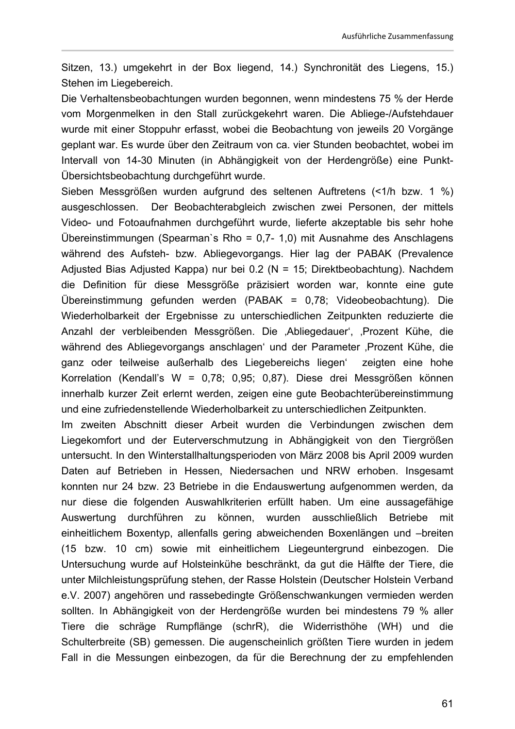Sitzen, 13.) umgekehrt in der Box liegend, 14.) Synchronität des Liegens, 15.) Stehen im Liegebereich.

Die Verhaltensbeobachtungen wurden begonnen, wenn mindestens 75 % der Herde vom Morgenmelken in den Stall zurückgekehrt waren. Die Abliege-/Aufstehdauer wurde mit einer Stoppuhr erfasst, wobei die Beobachtung von jeweils 20 Vorgänge geplant war. Es wurde über den Zeitraum von ca. vier Stunden beobachtet, wobei im Intervall von 14-30 Minuten (in Abhängigkeit von der Herdengröße) eine Punkt-Übersichtsbeobachtung durchgeführt wurde.

Sieben Messgrößen wurden aufgrund des seltenen Auftretens (<1/h bzw. 1 %) ausgeschlossen. Der Beobachterabgleich zwischen zwei Personen, der mittels Video- und Fotoaufnahmen durchgeführt wurde, lieferte akzeptable bis sehr hohe Übereinstimmungen (Spearman`s Rho = 0,7- 1,0) mit Ausnahme des Anschlagens während des Aufsteh- bzw. Abliegevorgangs. Hier lag der PABAK (Prevalence Adjusted Bias Adjusted Kappa) nur bei 0.2 (N = 15; Direktbeobachtung). Nachdem die Definition für diese Messgröße präzisiert worden war, konnte eine gute Übereinstimmung gefunden werden (PABAK = 0,78; Videobeobachtung). Die Wiederholbarkeit der Ergebnisse zu unterschiedlichen Zeitpunkten reduzierte die Anzahl der verbleibenden Messgrößen. Die "Abliegedauer", "Prozent Kühe, die während des Abliegevorgangs anschlagen' und der Parameter "Prozent Kühe, die ganz oder teilweise außerhalb des Liegebereichs liegen' zeigten eine hohe Korrelation (Kendall's W = 0,78; 0,95; 0,87). Diese drei Messgrößen können innerhalb kurzer Zeit erlernt werden, zeigen eine gute Beobachterübereinstimmung und eine zufriedenstellende Wiederholbarkeit zu unterschiedlichen Zeitpunkten.

Im zweiten Abschnitt dieser Arbeit wurden die Verbindungen zwischen dem Liegekomfort und der Euterverschmutzung in Abhängigkeit von den Tiergrößen untersucht. In den Winterstallhaltungsperioden von März 2008 bis April 2009 wurden Daten auf Betrieben in Hessen, Niedersachen und NRW erhoben. Insgesamt konnten nur 24 bzw. 23 Betriebe in die Endauswertung aufgenommen werden, da nur diese die folgenden Auswahlkriterien erfüllt haben. Um eine aussagefähige Auswertung durchführen zu können, wurden ausschließlich Betriebe mit einheitlichem Boxentyp, allenfalls gering abweichenden Boxenlängen und –breiten (15 bzw. 10 cm) sowie mit einheitlichem Liegeuntergrund einbezogen. Die Untersuchung wurde auf Holsteinkühe beschränkt, da gut die Hälfte der Tiere, die unter Milchleistungsprüfung stehen, der Rasse Holstein (Deutscher Holstein Verband e.V. 2007) angehören und rassebedingte Größenschwankungen vermieden werden sollten. In Abhängigkeit von der Herdengröße wurden bei mindestens 79 % aller Tiere die schräge Rumpflänge (schrR), die Widerristhöhe (WH) und die Schulterbreite (SB) gemessen. Die augenscheinlich größten Tiere wurden in jedem Fall in die Messungen einbezogen, da für die Berechnung der zu empfehlenden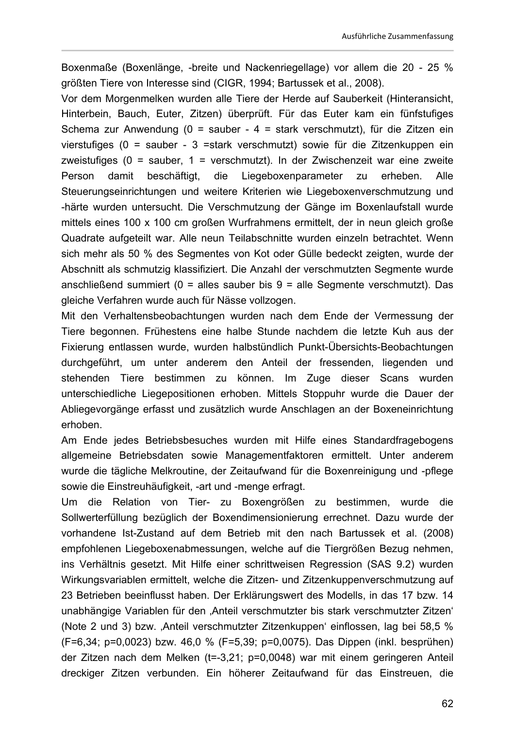Boxenmaße (Boxenlänge, -breite und Nackenriegellage) vor allem die 20 - 25 % größten Tiere von Interesse sind (CIGR, 1994; Bartussek et al., 2008).

Vor dem Morgenmelken wurden alle Tiere der Herde auf Sauberkeit (Hinteransicht, Hinterbein, Bauch, Euter, Zitzen) überprüft. Für das Euter kam ein fünfstufiges Schema zur Anwendung (0 = sauber - 4 = stark verschmutzt), für die Zitzen ein vierstufiges (0 = sauber - 3 =stark verschmutzt) sowie für die Zitzenkuppen ein zweistufiges (0 = sauber, 1 = verschmutzt). In der Zwischenzeit war eine zweite Person damit beschäftigt, die Liegeboxenparameter zu erheben. Alle Steuerungseinrichtungen und weitere Kriterien wie Liegeboxenverschmutzung und -härte wurden untersucht. Die Verschmutzung der Gänge im Boxenlaufstall wurde mittels eines 100 x 100 cm großen Wurfrahmens ermittelt, der in neun gleich große Quadrate aufgeteilt war. Alle neun Teilabschnitte wurden einzeln betrachtet. Wenn sich mehr als 50 % des Segmentes von Kot oder Gülle bedeckt zeigten, wurde der Abschnitt als schmutzig klassifiziert. Die Anzahl der verschmutzten Segmente wurde anschließend summiert (0 = alles sauber bis 9 = alle Segmente verschmutzt). Das gleiche Verfahren wurde auch für Nässe vollzogen.

Mit den Verhaltensbeobachtungen wurden nach dem Ende der Vermessung der Tiere begonnen. Frühestens eine halbe Stunde nachdem die letzte Kuh aus der Fixierung entlassen wurde, wurden halbstündlich Punkt-Übersichts-Beobachtungen durchgeführt, um unter anderem den Anteil der fressenden, liegenden und stehenden Tiere bestimmen zu können. Im Zuge dieser Scans wurden unterschiedliche Liegepositionen erhoben. Mittels Stoppuhr wurde die Dauer der Abliegevorgänge erfasst und zusätzlich wurde Anschlagen an der Boxeneinrichtung erhoben.

Am Ende jedes Betriebsbesuches wurden mit Hilfe eines Standardfragebogens allgemeine Betriebsdaten sowie Managementfaktoren ermittelt. Unter anderem wurde die tägliche Melkroutine, der Zeitaufwand für die Boxenreinigung und -pflege sowie die Einstreuhäufigkeit, -art und -menge erfragt.

Um die Relation von Tier- zu Boxengrößen zu bestimmen, wurde die Sollwerterfüllung bezüglich der Boxendimensionierung errechnet. Dazu wurde der vorhandene Ist-Zustand auf dem Betrieb mit den nach Bartussek et al. (2008) empfohlenen Liegeboxenabmessungen, welche auf die Tiergrößen Bezug nehmen, ins Verhältnis gesetzt. Mit Hilfe einer schrittweisen Regression (SAS 9.2) wurden Wirkungsvariablen ermittelt, welche die Zitzen- und Zitzenkuppenverschmutzung auf 23 Betrieben beeinflusst haben. Der Erklärungswert des Modells, in das 17 bzw. 14 unabhängige Variablen für den 'Anteil verschmutzter bis stark verschmutzter Zitzen' (Note 2 und 3) bzw. 'Anteil verschmutzter Zitzenkuppen' einflossen, lag bei 58,5 % (F=6,34; p=0,0023) bzw. 46,0 % (F=5,39; p=0,0075). Das Dippen (inkl. besprühen) der Zitzen nach dem Melken (t=-3,21; p=0,0048) war mit einem geringeren Anteil dreckiger Zitzen verbunden. Ein höherer Zeitaufwand für das Einstreuen, die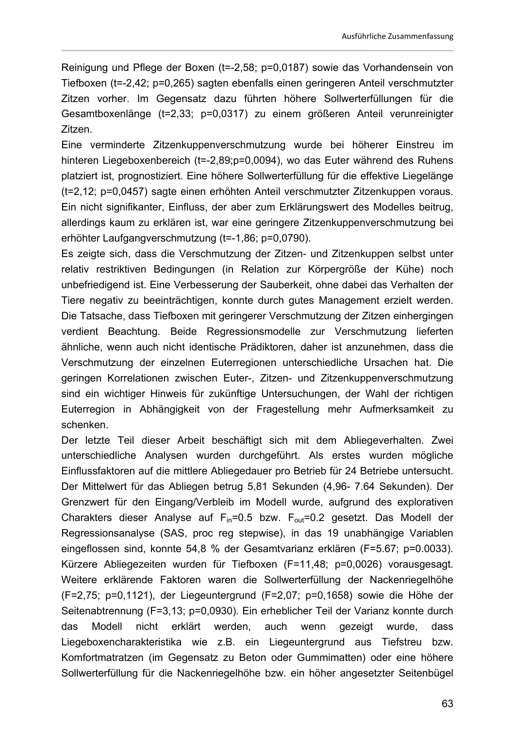Reinigung und Pflege der Boxen (t=-2,58; p=0,0187) sowie das Vorhandensein von Tiefboxen (t=-2,42; p=0,265) sagten ebenfalls einen geringeren Anteil verschmutzter Zitzen vorher. Im Gegensatz dazu führten höhere Sollwerterfüllungen für die Gesamtboxenlänge (t=2,33; p=0,0317) zu einem größeren Anteil verunreinigter Zitzen.

Eine verminderte Zitzenkuppenverschmutzung wurde bei höherer Einstreu im hinteren Liegeboxenbereich (t=-2,89;p=0,0094), wo das Euter während des Ruhens platziert ist, prognostiziert. Eine höhere Sollwerterfüllung für die effektive Liegelänge (t=2,12; p=0,0457) sagte einen erhöhten Anteil verschmutzter Zitzenkuppen voraus. Ein nicht signifikanter, Einfluss, der aber zum Erklärungswert des Modelles beitrug, allerdings kaum zu erklären ist, war eine geringere Zitzenkuppenverschmutzung bei erhöhter Laufgangverschmutzung (t=-1,86; p=0,0790).

Es zeigte sich, dass die Verschmutzung der Zitzen- und Zitzenkuppen selbst unter relativ restriktiven Bedingungen (in Relation zur Körpergröße der Kühe) noch unbefriedigend ist. Eine Verbesserung der Sauberkeit, ohne dabei das Verhalten der Tiere negativ zu beeinträchtigen, konnte durch gutes Management erzielt werden. Die Tatsache, dass Tiefboxen mit geringerer Verschmutzung der Zitzen einhergingen verdient Beachtung. Beide Regressionsmodelle zur Verschmutzung lieferten ähnliche, wenn auch nicht identische Prädiktoren, daher ist anzunehmen, dass die Verschmutzung der einzelnen Euterregionen unterschiedliche Ursachen hat. Die geringen Korrelationen zwischen Euter-, Zitzen- und Zitzenkuppenverschmutzung sind ein wichtiger Hinweis für zukünftige Untersuchungen, der Wahl der richtigen Euterregion in Abhängigkeit von der Fragestellung mehr Aufmerksamkeit zu schenken.

Der letzte Teil dieser Arbeit beschäftigt sich mit dem Abliegeverhalten. Zwei unterschiedliche Analysen wurden durchgeführt. Als erstes wurden mögliche Einflussfaktoren auf die mittlere Abliegedauer pro Betrieb für 24 Betriebe untersucht. Der Mittelwert für das Abliegen betrug 5,81 Sekunden (4,96- 7.64 Sekunden). Der Grenzwert für den Eingang/Verbleib im Modell wurde, aufgrund des explorativen Charakters dieser Analyse auf  $F_{in}=0.5$  bzw.  $F_{out}=0.2$  gesetzt. Das Modell der Regressionsanalyse (SAS, proc reg stepwise), in das 19 unabhängige Variablen eingeflossen sind, konnte 54,8 % der Gesamtvarianz erklären (F=5.67; p=0.0033). Kürzere Abliegezeiten wurden für Tiefboxen (F=11,48; p=0,0026) vorausgesagt. Weitere erklärende Faktoren waren die Sollwerterfüllung der Nackenriegelhöhe (F=2,75; p=0,1121), der Liegeuntergrund (F=2,07; p=0,1658) sowie die Höhe der Seitenabtrennung (F=3,13; p=0,0930). Ein erheblicher Teil der Varianz konnte durch das Modell nicht erklärt werden, auch wenn gezeigt wurde, dass Liegeboxencharakteristika wie z.B. ein Liegeuntergrund aus Tiefstreu bzw. Komfortmatratzen (im Gegensatz zu Beton oder Gummimatten) oder eine höhere Sollwerterfüllung für die Nackenriegelhöhe bzw. ein höher angesetzter Seitenbügel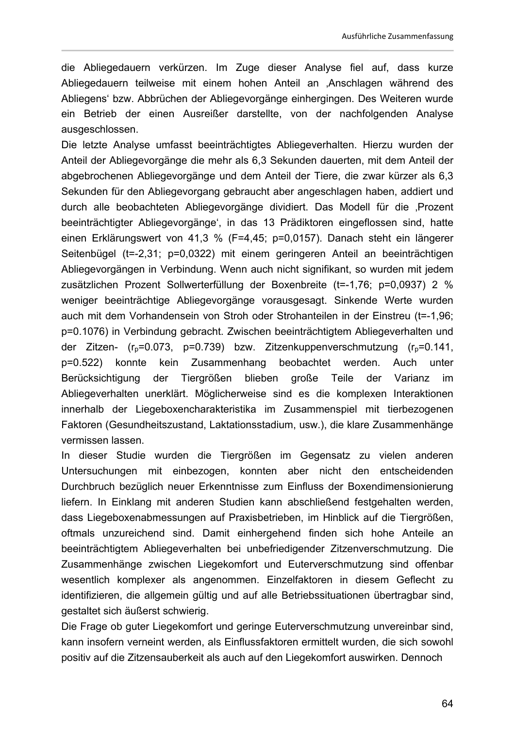die Abliegedauern verkürzen. Im Zuge dieser Analyse fiel auf, dass kurze Abliegedauern teilweise mit einem hohen Anteil an 'Anschlagen während des Abliegens' bzw. Abbrüchen der Abliegevorgänge einhergingen. Des Weiteren wurde ein Betrieb der einen Ausreißer darstellte, von der nachfolgenden Analyse ausgeschlossen.

Die letzte Analyse umfasst beeinträchtigtes Abliegeverhalten. Hierzu wurden der Anteil der Abliegevorgänge die mehr als 6,3 Sekunden dauerten, mit dem Anteil der abgebrochenen Abliegevorgänge und dem Anteil der Tiere, die zwar kürzer als 6,3 Sekunden für den Abliegevorgang gebraucht aber angeschlagen haben, addiert und durch alle beobachteten Abliegevorgänge dividiert. Das Modell für die 'Prozent beeinträchtigter Abliegevorgänge', in das 13 Prädiktoren eingeflossen sind, hatte einen Erklärungswert von 41,3 % (F=4,45; p=0,0157). Danach steht ein längerer Seitenbügel (t=-2,31; p=0,0322) mit einem geringeren Anteil an beeinträchtigen Abliegevorgängen in Verbindung. Wenn auch nicht signifikant, so wurden mit jedem zusätzlichen Prozent Sollwerterfüllung der Boxenbreite (t=-1,76; p=0,0937) 2 % weniger beeinträchtige Abliegevorgänge vorausgesagt. Sinkende Werte wurden auch mit dem Vorhandensein von Stroh oder Strohanteilen in der Einstreu (t=-1,96; p=0.1076) in Verbindung gebracht. Zwischen beeinträchtigtem Abliegeverhalten und der Zitzen-  $(r_p=0.073, p=0.739)$  bzw. Zitzenkuppenverschmutzung  $(r_p=0.141, p=0.141)$ p=0.522) konnte kein Zusammenhang beobachtet werden. Auch unter Berücksichtigung der Tiergrößen blieben große Teile der Varianz im Abliegeverhalten unerklärt. Möglicherweise sind es die komplexen Interaktionen innerhalb der Liegeboxencharakteristika im Zusammenspiel mit tierbezogenen Faktoren (Gesundheitszustand, Laktationsstadium, usw.), die klare Zusammenhänge vermissen lassen.

In dieser Studie wurden die Tiergrößen im Gegensatz zu vielen anderen Untersuchungen mit einbezogen, konnten aber nicht den entscheidenden Durchbruch bezüglich neuer Erkenntnisse zum Einfluss der Boxendimensionierung liefern. In Einklang mit anderen Studien kann abschließend festgehalten werden, dass Liegeboxenabmessungen auf Praxisbetrieben, im Hinblick auf die Tiergrößen, oftmals unzureichend sind. Damit einhergehend finden sich hohe Anteile an beeinträchtigtem Abliegeverhalten bei unbefriedigender Zitzenverschmutzung. Die Zusammenhänge zwischen Liegekomfort und Euterverschmutzung sind offenbar wesentlich komplexer als angenommen. Einzelfaktoren in diesem Geflecht zu identifizieren, die allgemein gültig und auf alle Betriebssituationen übertragbar sind, gestaltet sich äußerst schwierig.

Die Frage ob guter Liegekomfort und geringe Euterverschmutzung unvereinbar sind, kann insofern verneint werden, als Einflussfaktoren ermittelt wurden, die sich sowohl positiv auf die Zitzensauberkeit als auch auf den Liegekomfort auswirken. Dennoch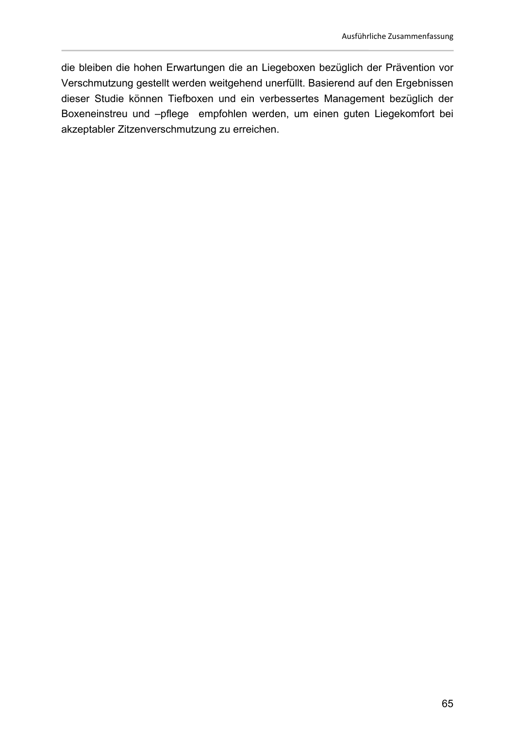die bleiben die hohen Erwartungen die an Liegeboxen bezüglich der Prävention vor Verschmutzung gestellt werden weitgehend unerfüllt. Basierend auf den Ergebnissen dieser Studie können Tiefboxen und ein verbessertes Management bezüglich der Boxeneinstreu und –pflege empfohlen werden, um einen guten Liegekomfort bei akzeptabler Zitzenverschmutzung zu erreichen.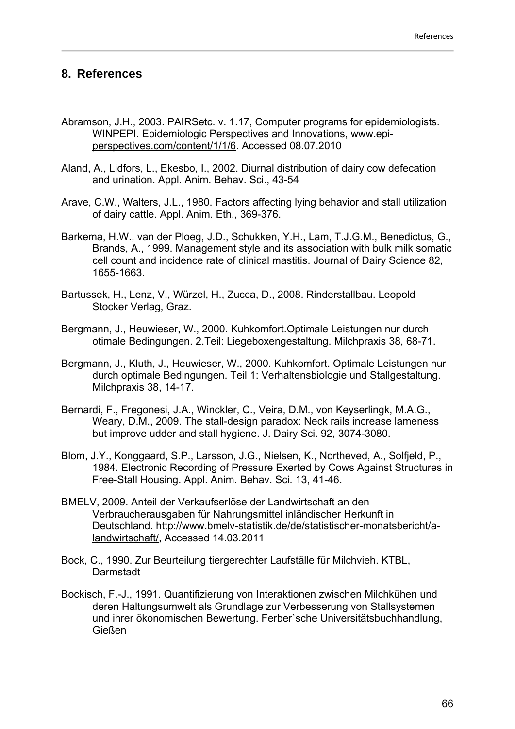## **8. References**

- Abramson, J.H., 2003. PAIRSetc. v. 1.17, Computer programs for epidemiologists. WINPEPI. Epidemiologic Perspectives and Innovations, www.epiperspectives.com/content/1/1/6. Accessed 08.07.2010
- Aland, A., Lidfors, L., Ekesbo, I., 2002. Diurnal distribution of dairy cow defecation and urination. Appl. Anim. Behav. Sci., 43-54
- Arave, C.W., Walters, J.L., 1980. Factors affecting lying behavior and stall utilization of dairy cattle. Appl. Anim. Eth., 369-376.
- Barkema, H.W., van der Ploeg, J.D., Schukken, Y.H., Lam, T.J.G.M., Benedictus, G., Brands, A., 1999. Management style and its association with bulk milk somatic cell count and incidence rate of clinical mastitis. Journal of Dairy Science 82, 1655-1663.
- Bartussek, H., Lenz, V., Würzel, H., Zucca, D., 2008. Rinderstallbau. Leopold Stocker Verlag, Graz.
- Bergmann, J., Heuwieser, W., 2000. Kuhkomfort.Optimale Leistungen nur durch otimale Bedingungen. 2.Teil: Liegeboxengestaltung. Milchpraxis 38, 68-71.
- Bergmann, J., Kluth, J., Heuwieser, W., 2000. Kuhkomfort. Optimale Leistungen nur durch optimale Bedingungen. Teil 1: Verhaltensbiologie und Stallgestaltung. Milchpraxis 38, 14-17.
- Bernardi, F., Fregonesi, J.A., Winckler, C., Veira, D.M., von Keyserlingk, M.A.G., Weary, D.M., 2009. The stall-design paradox: Neck rails increase lameness but improve udder and stall hygiene. J. Dairy Sci. 92, 3074-3080.
- Blom, J.Y., Konggaard, S.P., Larsson, J.G., Nielsen, K., Northeved, A., Solfjeld, P., 1984. Electronic Recording of Pressure Exerted by Cows Against Structures in Free-Stall Housing. Appl. Anim. Behav. Sci. 13, 41-46.
- BMELV, 2009. Anteil der Verkaufserlöse der Landwirtschaft an den Verbraucherausgaben für Nahrungsmittel inländischer Herkunft in Deutschland. http://www.bmelv-statistik.de/de/statistischer-monatsbericht/alandwirtschaft/, Accessed 14.03.2011
- Bock, C., 1990. Zur Beurteilung tiergerechter Laufställe für Milchvieh. KTBL, Darmstadt
- Bockisch, F.-J., 1991. Quantifizierung von Interaktionen zwischen Milchkühen und deren Haltungsumwelt als Grundlage zur Verbesserung von Stallsystemen und ihrer ökonomischen Bewertung. Ferber`sche Universitätsbuchhandlung, Gießen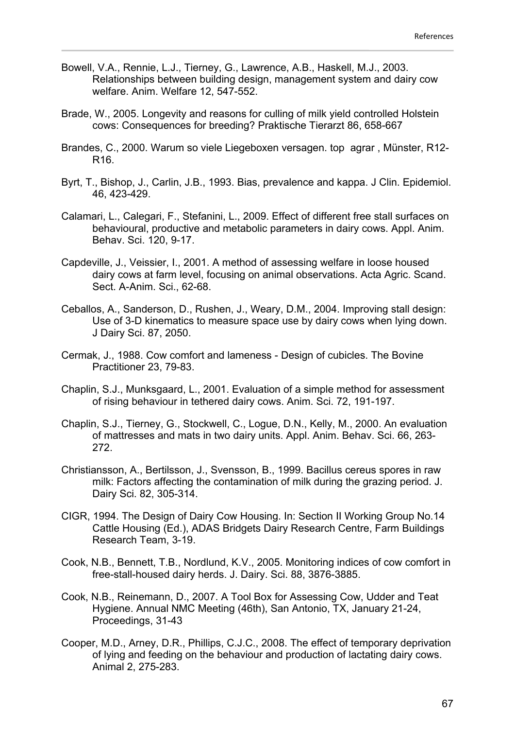- Bowell, V.A., Rennie, L.J., Tierney, G., Lawrence, A.B., Haskell, M.J., 2003. Relationships between building design, management system and dairy cow welfare. Anim. Welfare 12, 547-552.
- Brade, W., 2005. Longevity and reasons for culling of milk yield controlled Holstein cows: Consequences for breeding? Praktische Tierarzt 86, 658-667
- Brandes, C., 2000. Warum so viele Liegeboxen versagen. top agrar , Münster, R12- R16.
- Byrt, T., Bishop, J., Carlin, J.B., 1993. Bias, prevalence and kappa. J Clin. Epidemiol. 46, 423-429.
- Calamari, L., Calegari, F., Stefanini, L., 2009. Effect of different free stall surfaces on behavioural, productive and metabolic parameters in dairy cows. Appl. Anim. Behav. Sci. 120, 9-17.
- Capdeville, J., Veissier, I., 2001. A method of assessing welfare in loose housed dairy cows at farm level, focusing on animal observations. Acta Agric. Scand. Sect. A-Anim. Sci., 62-68.
- Ceballos, A., Sanderson, D., Rushen, J., Weary, D.M., 2004. Improving stall design: Use of 3-D kinematics to measure space use by dairy cows when lying down. J Dairy Sci. 87, 2050.
- Cermak, J., 1988. Cow comfort and lameness Design of cubicles. The Bovine Practitioner 23, 79-83.
- Chaplin, S.J., Munksgaard, L., 2001. Evaluation of a simple method for assessment of rising behaviour in tethered dairy cows. Anim. Sci. 72, 191-197.
- Chaplin, S.J., Tierney, G., Stockwell, C., Logue, D.N., Kelly, M., 2000. An evaluation of mattresses and mats in two dairy units. Appl. Anim. Behav. Sci. 66, 263- 272.
- Christiansson, A., Bertilsson, J., Svensson, B., 1999. Bacillus cereus spores in raw milk: Factors affecting the contamination of milk during the grazing period. J. Dairy Sci. 82, 305-314.
- CIGR, 1994. The Design of Dairy Cow Housing. In: Section II Working Group No.14 Cattle Housing (Ed.), ADAS Bridgets Dairy Research Centre, Farm Buildings Research Team, 3-19.
- Cook, N.B., Bennett, T.B., Nordlund, K.V., 2005. Monitoring indices of cow comfort in free-stall-housed dairy herds. J. Dairy. Sci. 88, 3876-3885.
- Cook, N.B., Reinemann, D., 2007. A Tool Box for Assessing Cow, Udder and Teat Hygiene. Annual NMC Meeting (46th), San Antonio, TX, January 21-24, Proceedings, 31-43
- Cooper, M.D., Arney, D.R., Phillips, C.J.C., 2008. The effect of temporary deprivation of lying and feeding on the behaviour and production of lactating dairy cows. Animal 2, 275-283.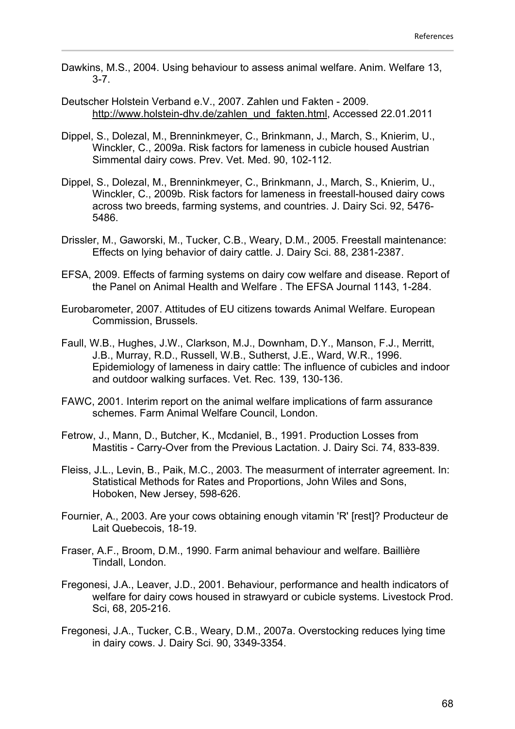- Dawkins, M.S., 2004. Using behaviour to assess animal welfare. Anim. Welfare 13, 3-7.
- Deutscher Holstein Verband e.V., 2007. Zahlen und Fakten 2009. http://www.holstein-dhv.de/zahlen\_und\_fakten.html, Accessed 22.01.2011
- Dippel, S., Dolezal, M., Brenninkmeyer, C., Brinkmann, J., March, S., Knierim, U., Winckler, C., 2009a. Risk factors for lameness in cubicle housed Austrian Simmental dairy cows. Prev. Vet. Med. 90, 102-112.
- Dippel, S., Dolezal, M., Brenninkmeyer, C., Brinkmann, J., March, S., Knierim, U., Winckler, C., 2009b. Risk factors for lameness in freestall-housed dairy cows across two breeds, farming systems, and countries. J. Dairy Sci. 92, 5476- 5486.
- Drissler, M., Gaworski, M., Tucker, C.B., Weary, D.M., 2005. Freestall maintenance: Effects on lying behavior of dairy cattle. J. Dairy Sci. 88, 2381-2387.
- EFSA, 2009. Effects of farming systems on dairy cow welfare and disease. Report of the Panel on Animal Health and Welfare . The EFSA Journal 1143, 1-284.
- Eurobarometer, 2007. Attitudes of EU citizens towards Animal Welfare. European Commission, Brussels.
- Faull, W.B., Hughes, J.W., Clarkson, M.J., Downham, D.Y., Manson, F.J., Merritt, J.B., Murray, R.D., Russell, W.B., Sutherst, J.E., Ward, W.R., 1996. Epidemiology of lameness in dairy cattle: The influence of cubicles and indoor and outdoor walking surfaces. Vet. Rec. 139, 130-136.
- FAWC, 2001. Interim report on the animal welfare implications of farm assurance schemes. Farm Animal Welfare Council, London.
- Fetrow, J., Mann, D., Butcher, K., Mcdaniel, B., 1991. Production Losses from Mastitis - Carry-Over from the Previous Lactation. J. Dairy Sci. 74, 833-839.
- Fleiss, J.L., Levin, B., Paik, M.C., 2003. The measurment of interrater agreement. In: Statistical Methods for Rates and Proportions, John Wiles and Sons, Hoboken, New Jersey, 598-626.
- Fournier, A., 2003. Are your cows obtaining enough vitamin 'R' [rest]? Producteur de Lait Quebecois, 18-19.
- Fraser, A.F., Broom, D.M., 1990. Farm animal behaviour and welfare. Baillière Tindall, London.
- Fregonesi, J.A., Leaver, J.D., 2001. Behaviour, performance and health indicators of welfare for dairy cows housed in strawyard or cubicle systems. Livestock Prod. Sci, 68, 205-216.
- Fregonesi, J.A., Tucker, C.B., Weary, D.M., 2007a. Overstocking reduces lying time in dairy cows. J. Dairy Sci. 90, 3349-3354.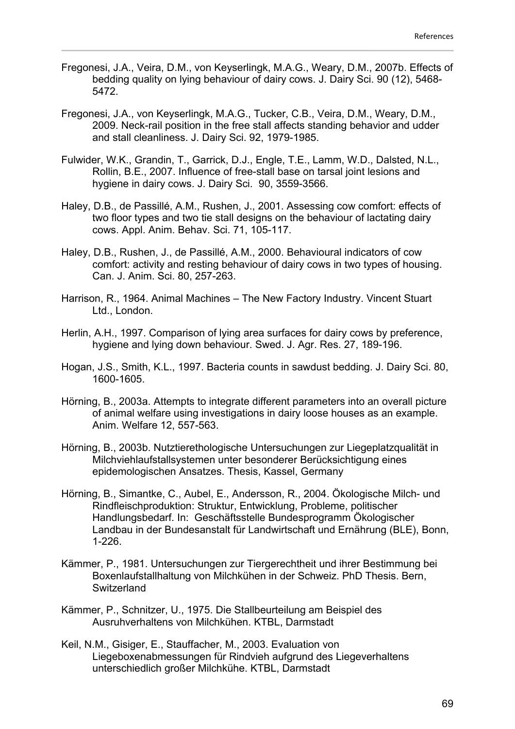- Fregonesi, J.A., Veira, D.M., von Keyserlingk, M.A.G., Weary, D.M., 2007b. Effects of bedding quality on lying behaviour of dairy cows. J. Dairy Sci. 90 (12), 5468- 5472.
- Fregonesi, J.A., von Keyserlingk, M.A.G., Tucker, C.B., Veira, D.M., Weary, D.M., 2009. Neck-rail position in the free stall affects standing behavior and udder and stall cleanliness. J. Dairy Sci. 92, 1979-1985.
- Fulwider, W.K., Grandin, T., Garrick, D.J., Engle, T.E., Lamm, W.D., Dalsted, N.L., Rollin, B.E., 2007. Influence of free-stall base on tarsal joint lesions and hygiene in dairy cows. J. Dairy Sci. 90, 3559-3566.
- Haley, D.B., de Passillé, A.M., Rushen, J., 2001. Assessing cow comfort: effects of two floor types and two tie stall designs on the behaviour of lactating dairy cows. Appl. Anim. Behav. Sci. 71, 105-117.
- Haley, D.B., Rushen, J., de Passillé, A.M., 2000. Behavioural indicators of cow comfort: activity and resting behaviour of dairy cows in two types of housing. Can. J. Anim. Sci. 80, 257-263.
- Harrison, R., 1964. Animal Machines The New Factory Industry. Vincent Stuart Ltd., London.
- Herlin, A.H., 1997. Comparison of lying area surfaces for dairy cows by preference, hygiene and lying down behaviour. Swed. J. Agr. Res. 27, 189-196.
- Hogan, J.S., Smith, K.L., 1997. Bacteria counts in sawdust bedding. J. Dairy Sci. 80, 1600-1605.
- Hörning, B., 2003a. Attempts to integrate different parameters into an overall picture of animal welfare using investigations in dairy loose houses as an example. Anim. Welfare 12, 557-563.
- Hörning, B., 2003b. Nutztierethologische Untersuchungen zur Liegeplatzqualität in Milchviehlaufstallsystemen unter besonderer Berücksichtigung eines epidemologischen Ansatzes. Thesis, Kassel, Germany
- Hörning, B., Simantke, C., Aubel, E., Andersson, R., 2004. Ökologische Milch- und Rindfleischproduktion: Struktur, Entwicklung, Probleme, politischer Handlungsbedarf. In: Geschäftsstelle Bundesprogramm Ökologischer Landbau in der Bundesanstalt für Landwirtschaft und Ernährung (BLE), Bonn, 1-226.
- Kämmer, P., 1981. Untersuchungen zur Tiergerechtheit und ihrer Bestimmung bei Boxenlaufstallhaltung von Milchkühen in der Schweiz. PhD Thesis. Bern, **Switzerland**
- Kämmer, P., Schnitzer, U., 1975. Die Stallbeurteilung am Beispiel des Ausruhverhaltens von Milchkühen. KTBL, Darmstadt
- Keil, N.M., Gisiger, E., Stauffacher, M., 2003. Evaluation von Liegeboxenabmessungen für Rindvieh aufgrund des Liegeverhaltens unterschiedlich großer Milchkühe. KTBL, Darmstadt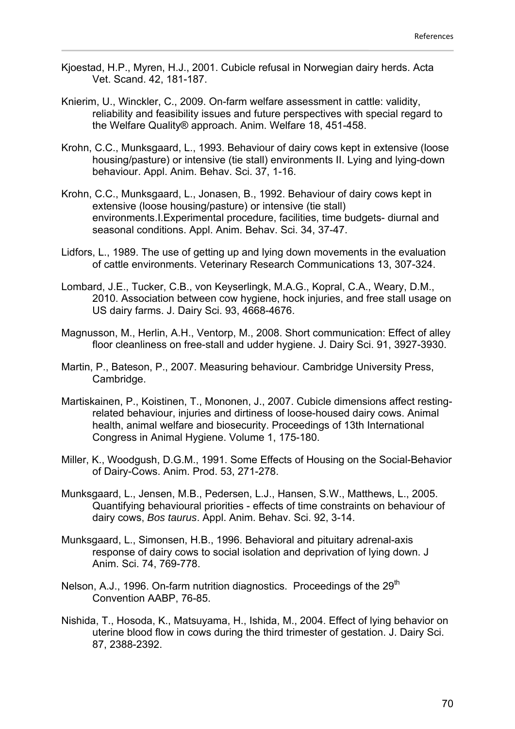- Kjoestad, H.P., Myren, H.J., 2001. Cubicle refusal in Norwegian dairy herds. Acta Vet. Scand. 42, 181-187.
- Knierim, U., Winckler, C., 2009. On-farm welfare assessment in cattle: validity, reliability and feasibility issues and future perspectives with special regard to the Welfare Quality® approach. Anim. Welfare 18, 451-458.
- Krohn, C.C., Munksgaard, L., 1993. Behaviour of dairy cows kept in extensive (loose housing/pasture) or intensive (tie stall) environments II. Lying and lying-down behaviour. Appl. Anim. Behav. Sci. 37, 1-16.
- Krohn, C.C., Munksgaard, L., Jonasen, B., 1992. Behaviour of dairy cows kept in extensive (loose housing/pasture) or intensive (tie stall) environments.I.Experimental procedure, facilities, time budgets- diurnal and seasonal conditions. Appl. Anim. Behav. Sci. 34, 37-47.
- Lidfors, L., 1989. The use of getting up and lying down movements in the evaluation of cattle environments. Veterinary Research Communications 13, 307-324.
- Lombard, J.E., Tucker, C.B., von Keyserlingk, M.A.G., Kopral, C.A., Weary, D.M., 2010. Association between cow hygiene, hock injuries, and free stall usage on US dairy farms. J. Dairy Sci. 93, 4668-4676.
- Magnusson, M., Herlin, A.H., Ventorp, M., 2008. Short communication: Effect of alley floor cleanliness on free-stall and udder hygiene. J. Dairy Sci. 91, 3927-3930.
- Martin, P., Bateson, P., 2007. Measuring behaviour. Cambridge University Press, Cambridge.
- Martiskainen, P., Koistinen, T., Mononen, J., 2007. Cubicle dimensions affect restingrelated behaviour, injuries and dirtiness of loose-housed dairy cows. Animal health, animal welfare and biosecurity. Proceedings of 13th International Congress in Animal Hygiene. Volume 1, 175-180.
- Miller, K., Woodgush, D.G.M., 1991. Some Effects of Housing on the Social-Behavior of Dairy-Cows. Anim. Prod. 53, 271-278.
- Munksgaard, L., Jensen, M.B., Pedersen, L.J., Hansen, S.W., Matthews, L., 2005. Quantifying behavioural priorities - effects of time constraints on behaviour of dairy cows, *Bos taurus*. Appl. Anim. Behav. Sci. 92, 3-14.
- Munksgaard, L., Simonsen, H.B., 1996. Behavioral and pituitary adrenal-axis response of dairy cows to social isolation and deprivation of lying down. J Anim. Sci. 74, 769-778.
- Nelson, A.J., 1996. On-farm nutrition diagnostics. Proceedings of the 29<sup>th</sup> Convention AABP, 76-85.
- Nishida, T., Hosoda, K., Matsuyama, H., Ishida, M., 2004. Effect of lying behavior on uterine blood flow in cows during the third trimester of gestation. J. Dairy Sci. 87, 2388-2392.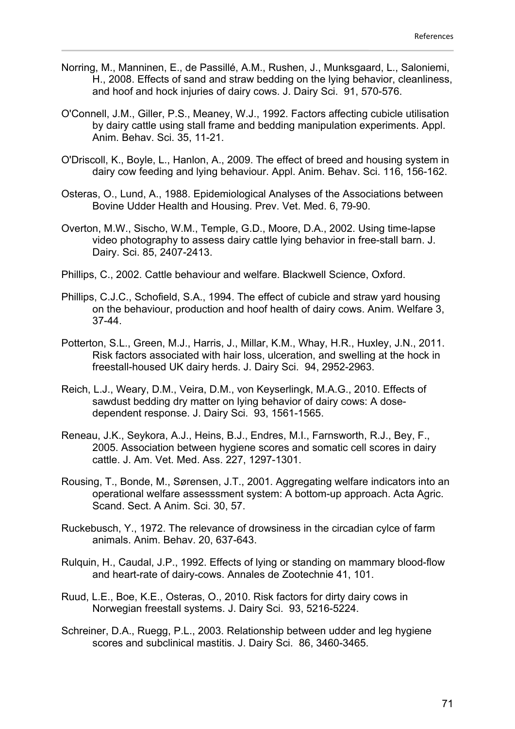- Norring, M., Manninen, E., de Passillé, A.M., Rushen, J., Munksgaard, L., Saloniemi, H., 2008. Effects of sand and straw bedding on the lying behavior, cleanliness, and hoof and hock injuries of dairy cows. J. Dairy Sci. 91, 570-576.
- O'Connell, J.M., Giller, P.S., Meaney, W.J., 1992. Factors affecting cubicle utilisation by dairy cattle using stall frame and bedding manipulation experiments. Appl. Anim. Behav. Sci. 35, 11-21.
- O'Driscoll, K., Boyle, L., Hanlon, A., 2009. The effect of breed and housing system in dairy cow feeding and lying behaviour. Appl. Anim. Behav. Sci. 116, 156-162.
- Osteras, O., Lund, A., 1988. Epidemiological Analyses of the Associations between Bovine Udder Health and Housing. Prev. Vet. Med. 6, 79-90.
- Overton, M.W., Sischo, W.M., Temple, G.D., Moore, D.A., 2002. Using time-lapse video photography to assess dairy cattle lying behavior in free-stall barn. J. Dairy. Sci. 85, 2407-2413.
- Phillips, C., 2002. Cattle behaviour and welfare. Blackwell Science, Oxford.
- Phillips, C.J.C., Schofield, S.A., 1994. The effect of cubicle and straw yard housing on the behaviour, production and hoof health of dairy cows. Anim. Welfare 3, 37-44.
- Potterton, S.L., Green, M.J., Harris, J., Millar, K.M., Whay, H.R., Huxley, J.N., 2011. Risk factors associated with hair loss, ulceration, and swelling at the hock in freestall-housed UK dairy herds. J. Dairy Sci. 94, 2952-2963.
- Reich, L.J., Weary, D.M., Veira, D.M., von Keyserlingk, M.A.G., 2010. Effects of sawdust bedding dry matter on lying behavior of dairy cows: A dosedependent response. J. Dairy Sci. 93, 1561-1565.
- Reneau, J.K., Seykora, A.J., Heins, B.J., Endres, M.I., Farnsworth, R.J., Bey, F., 2005. Association between hygiene scores and somatic cell scores in dairy cattle. J. Am. Vet. Med. Ass. 227, 1297-1301.
- Rousing, T., Bonde, M., Sørensen, J.T., 2001. Aggregating welfare indicators into an operational welfare assesssment system: A bottom-up approach. Acta Agric. Scand. Sect. A Anim. Sci. 30, 57.
- Ruckebusch, Y., 1972. The relevance of drowsiness in the circadian cylce of farm animals. Anim. Behav. 20, 637-643.
- Rulquin, H., Caudal, J.P., 1992. Effects of lying or standing on mammary blood-flow and heart-rate of dairy-cows. Annales de Zootechnie 41, 101.
- Ruud, L.E., Boe, K.E., Osteras, O., 2010. Risk factors for dirty dairy cows in Norwegian freestall systems. J. Dairy Sci. 93, 5216-5224.
- Schreiner, D.A., Ruegg, P.L., 2003. Relationship between udder and leg hygiene scores and subclinical mastitis. J. Dairy Sci. 86, 3460-3465.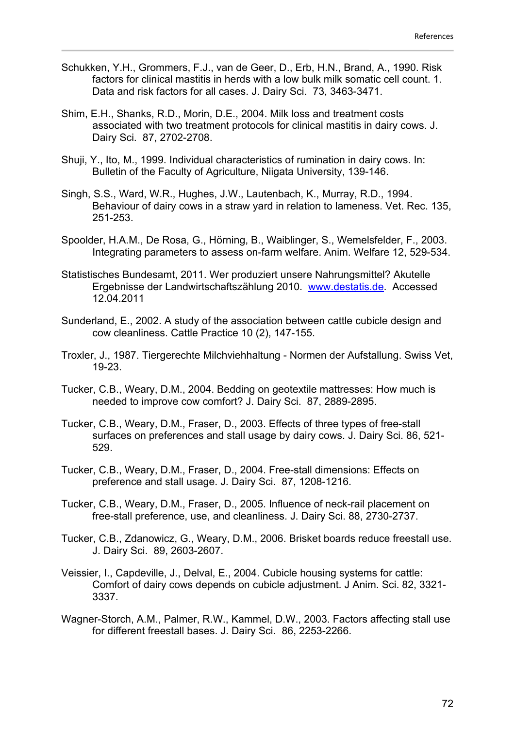- Schukken, Y.H., Grommers, F.J., van de Geer, D., Erb, H.N., Brand, A., 1990. Risk factors for clinical mastitis in herds with a low bulk milk somatic cell count. 1. Data and risk factors for all cases. J. Dairy Sci. 73, 3463-3471.
- Shim, E.H., Shanks, R.D., Morin, D.E., 2004. Milk loss and treatment costs associated with two treatment protocols for clinical mastitis in dairy cows. J. Dairy Sci. 87, 2702-2708.
- Shuji, Y., Ito, M., 1999. Individual characteristics of rumination in dairy cows. In: Bulletin of the Faculty of Agriculture, Niigata University, 139-146.
- Singh, S.S., Ward, W.R., Hughes, J.W., Lautenbach, K., Murray, R.D., 1994. Behaviour of dairy cows in a straw yard in relation to lameness. Vet. Rec. 135, 251-253.
- Spoolder, H.A.M., De Rosa, G., Hörning, B., Waiblinger, S., Wemelsfelder, F., 2003. Integrating parameters to assess on-farm welfare. Anim. Welfare 12, 529-534.
- Statistisches Bundesamt, 2011. Wer produziert unsere Nahrungsmittel? Akutelle Ergebnisse der Landwirtschaftszählung 2010. www.destatis.de. Accessed 12.04.2011
- Sunderland, E., 2002. A study of the association between cattle cubicle design and cow cleanliness. Cattle Practice 10 (2), 147-155.
- Troxler, J., 1987. Tiergerechte Milchviehhaltung Normen der Aufstallung. Swiss Vet, 19-23.
- Tucker, C.B., Weary, D.M., 2004. Bedding on geotextile mattresses: How much is needed to improve cow comfort? J. Dairy Sci. 87, 2889-2895.
- Tucker, C.B., Weary, D.M., Fraser, D., 2003. Effects of three types of free-stall surfaces on preferences and stall usage by dairy cows. J. Dairy Sci. 86, 521- 529.
- Tucker, C.B., Weary, D.M., Fraser, D., 2004. Free-stall dimensions: Effects on preference and stall usage. J. Dairy Sci. 87, 1208-1216.
- Tucker, C.B., Weary, D.M., Fraser, D., 2005. Influence of neck-rail placement on free-stall preference, use, and cleanliness. J. Dairy Sci. 88, 2730-2737.
- Tucker, C.B., Zdanowicz, G., Weary, D.M., 2006. Brisket boards reduce freestall use. J. Dairy Sci. 89, 2603-2607.
- Veissier, I., Capdeville, J., Delval, E., 2004. Cubicle housing systems for cattle: Comfort of dairy cows depends on cubicle adjustment. J Anim. Sci. 82, 3321- 3337.
- Wagner-Storch, A.M., Palmer, R.W., Kammel, D.W., 2003. Factors affecting stall use for different freestall bases. J. Dairy Sci. 86, 2253-2266.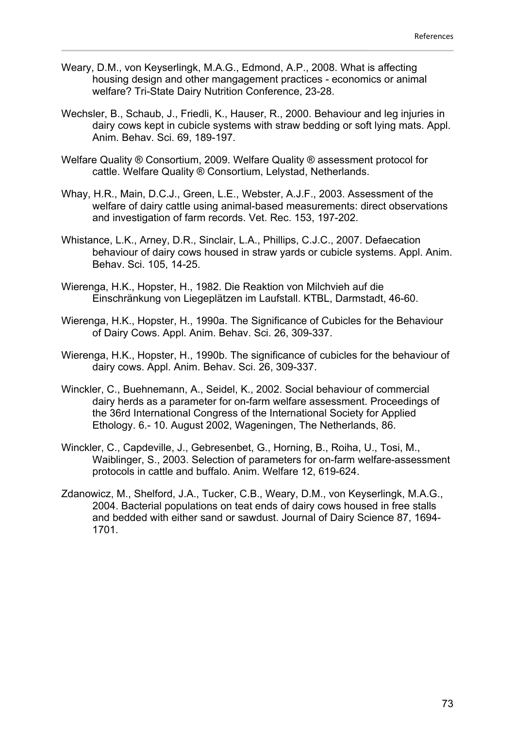- Weary, D.M., von Keyserlingk, M.A.G., Edmond, A.P., 2008. What is affecting housing design and other mangagement practices - economics or animal welfare? Tri-State Dairy Nutrition Conference, 23-28.
- Wechsler, B., Schaub, J., Friedli, K., Hauser, R., 2000. Behaviour and leg injuries in dairy cows kept in cubicle systems with straw bedding or soft lying mats. Appl. Anim. Behav. Sci. 69, 189-197.
- Welfare Quality ® Consortium, 2009. Welfare Quality ® assessment protocol for cattle. Welfare Quality ® Consortium, Lelystad, Netherlands.
- Whay, H.R., Main, D.C.J., Green, L.E., Webster, A.J.F., 2003. Assessment of the welfare of dairy cattle using animal-based measurements: direct observations and investigation of farm records. Vet. Rec. 153, 197-202.
- Whistance, L.K., Arney, D.R., Sinclair, L.A., Phillips, C.J.C., 2007. Defaecation behaviour of dairy cows housed in straw yards or cubicle systems. Appl. Anim. Behav. Sci. 105, 14-25.
- Wierenga, H.K., Hopster, H., 1982. Die Reaktion von Milchvieh auf die Einschränkung von Liegeplätzen im Laufstall. KTBL, Darmstadt, 46-60.
- Wierenga, H.K., Hopster, H., 1990a. The Significance of Cubicles for the Behaviour of Dairy Cows. Appl. Anim. Behav. Sci. 26, 309-337.
- Wierenga, H.K., Hopster, H., 1990b. The significance of cubicles for the behaviour of dairy cows. Appl. Anim. Behav. Sci. 26, 309-337.
- Winckler, C., Buehnemann, A., Seidel, K., 2002. Social behaviour of commercial dairy herds as a parameter for on-farm welfare assessment. Proceedings of the 36rd International Congress of the International Society for Applied Ethology. 6.- 10. August 2002, Wageningen, The Netherlands, 86.
- Winckler, C., Capdeville, J., Gebresenbet, G., Horning, B., Roiha, U., Tosi, M., Waiblinger, S., 2003. Selection of parameters for on-farm welfare-assessment protocols in cattle and buffalo. Anim. Welfare 12, 619-624.
- Zdanowicz, M., Shelford, J.A., Tucker, C.B., Weary, D.M., von Keyserlingk, M.A.G., 2004. Bacterial populations on teat ends of dairy cows housed in free stalls and bedded with either sand or sawdust. Journal of Dairy Science 87, 1694- 1701.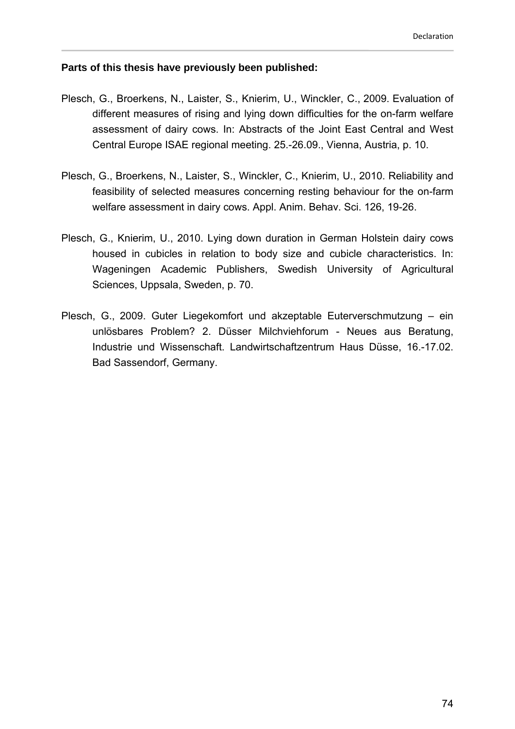## **Parts of this thesis have previously been published:**

- Plesch, G., Broerkens, N., Laister, S., Knierim, U., Winckler, C., 2009. Evaluation of different measures of rising and lying down difficulties for the on-farm welfare assessment of dairy cows. In: Abstracts of the Joint East Central and West Central Europe ISAE regional meeting. 25.-26.09., Vienna, Austria, p. 10.
- Plesch, G., Broerkens, N., Laister, S., Winckler, C., Knierim, U., 2010. Reliability and feasibility of selected measures concerning resting behaviour for the on-farm welfare assessment in dairy cows. Appl. Anim. Behav. Sci. 126, 19-26.
- Plesch, G., Knierim, U., 2010. Lying down duration in German Holstein dairy cows housed in cubicles in relation to body size and cubicle characteristics. In: Wageningen Academic Publishers, Swedish University of Agricultural Sciences, Uppsala, Sweden, p. 70.
- Plesch, G., 2009. Guter Liegekomfort und akzeptable Euterverschmutzung ein unlösbares Problem? 2. Düsser Milchviehforum - Neues aus Beratung, Industrie und Wissenschaft. Landwirtschaftzentrum Haus Düsse, 16.-17.02. Bad Sassendorf, Germany.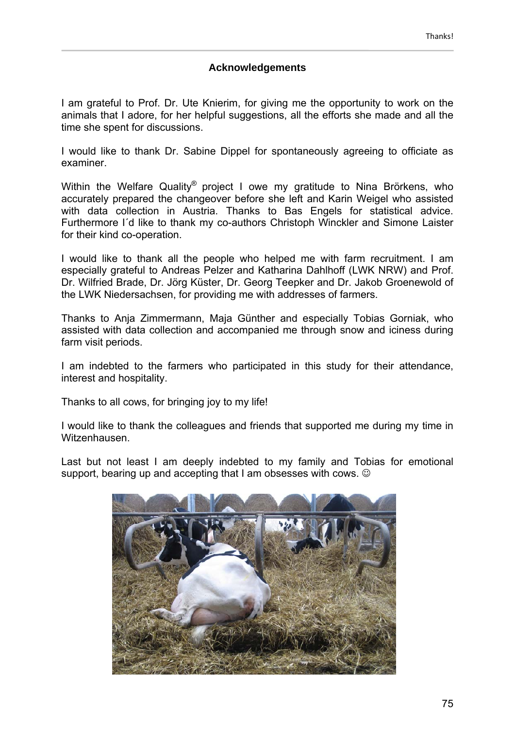## **Acknowledgements**

I am grateful to Prof. Dr. Ute Knierim, for giving me the opportunity to work on the animals that I adore, for her helpful suggestions, all the efforts she made and all the time she spent for discussions.

I would like to thank Dr. Sabine Dippel for spontaneously agreeing to officiate as examiner.

Within the Welfare Quality<sup>®</sup> project I owe my gratitude to Nina Brörkens, who accurately prepared the changeover before she left and Karin Weigel who assisted with data collection in Austria. Thanks to Bas Engels for statistical advice. Furthermore I´d like to thank my co-authors Christoph Winckler and Simone Laister for their kind co-operation.

I would like to thank all the people who helped me with farm recruitment. I am especially grateful to Andreas Pelzer and Katharina Dahlhoff (LWK NRW) and Prof. Dr. Wilfried Brade, Dr. Jörg Küster, Dr. Georg Teepker and Dr. Jakob Groenewold of the LWK Niedersachsen, for providing me with addresses of farmers.

Thanks to Anja Zimmermann, Maja Günther and especially Tobias Gorniak, who assisted with data collection and accompanied me through snow and iciness during farm visit periods.

I am indebted to the farmers who participated in this study for their attendance, interest and hospitality.

Thanks to all cows, for bringing joy to my life!

I would like to thank the colleagues and friends that supported me during my time in Witzenhausen.

Last but not least I am deeply indebted to my family and Tobias for emotional support, bearing up and accepting that I am obsesses with cows.  $\odot$